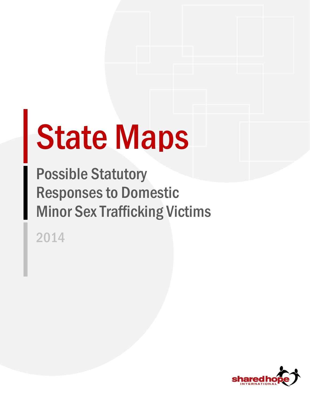# State Maps

Possible Statutory Responses to Domestic Minor Sex Trafficking Victims

2014

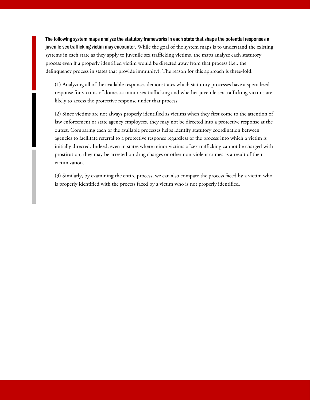The following system maps analyze the statutory frameworks in each state that shape the potential responses a juvenile sex trafficking victim may encounter. While the goal of the system maps is to understand the existing systems in each state as they apply to juvenile sex trafficking victims, the maps analyze each statutory process even if a properly identified victim would be directed away from that process (i.e., the delinquency process in states that provide immunity). The reason for this approach is three-fold:

(1) Analyzing all of the available responses demonstrates which statutory processes have a specialized response for victims of domestic minor sex trafficking and whether juvenile sex trafficking victims are likely to access the protective response under that process;

(2) Since victims are not always properly identified as victims when they first come to the attention of law enforcement or state agency employees, they may not be directed into a protective response at the outset. Comparing each of the available processes helps identify statutory coordination between agencies to facilitate referral to a protective response regardless of the process into which a victim is initially directed. Indeed, even in states where minor victims of sex trafficking cannot be charged with prostitution, they may be arrested on drug charges or other non-violent crimes as a result of their victimization.

(3) Similarly, by examining the entire process, we can also compare the process faced by a victim who is properly identified with the process faced by a victim who is not properly identified.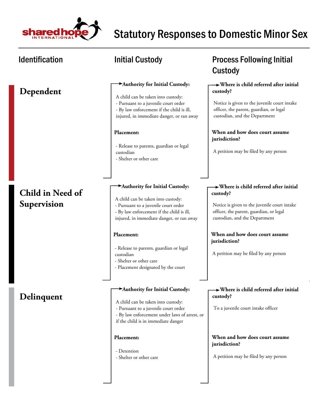

# **Dependent**

# **Child in Need of Supervision**

# **Delinquent**

### **Authority for Initial Custody:**

- A child can be taken into custody:
- Pursuant to a juvenile court order
- By law enforcement if the child is ill, injured, in immediate danger, or ran away

### **Placement:**

- Release to parents, guardian or legal custodian - Shelter or other care

### **Authority for Initial Custody:**

- A child can be taken into custody:
- Pursuant to a juvenile court order
- By law enforcement if the child is ill,
- injured, in immediate danger, or ran away

### **Placement:**

- Release to parents, guardian or legal custodian
- Shelter or other care
- Placement designated by the court

### **Authority for Initial Custody:**

- A child can be taken into custody:
- Pursuant to a juvenile court order
- By law enforcement under laws of arrest, or if the child is in immediate danger

### **Placement:**

- Detention - Shelter or other care

# Identification **Matube initial Custody CONGITY** Process Following Initial Custody

### **Where is child referred after initial custody?**

Notice is given to the juvenile court intake officer, the parent, guardian, or legal custodian, and the Department

### **When and how does court assume jurisdiction?**

A petition may be filed by any person

### **Where is child referred after initial custody?**

Notice is given to the juvenile court intake officer, the parent, guardian, or legal custodian, and the Department

### **When and how does court assume jurisdiction?**

A petition may be filed by any person

### **Where is child referred after initial custody?**

To a juvenile court intake officer

### **When and how does court assume jurisdiction?**

A petition may be filed by any person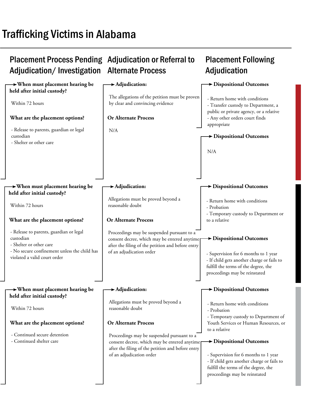# Trafficking Victims in Alabama

### Placement Process Pending Adjudication or Referral to Adjudication/Investigation Alternate Process **Placement Following Adjudication When must placement hearing be held after initial custody? When must placement hearing be held after initial custody? When must placement hearing be held after initial custody? Adjudication: Adjudication: Adjudication: Dispositional Outcomes Dispositional Outcomes Dispositional Outcomes Dispositional Outcomes Dispositional Outcomes Dispositional Outcomes Or Alternate Process Or Alternate Process Or Alternate Process What are the placement options? What are the placement options? What are the placement options?**  Within 72 hours - Release to parents, guardian or legal custodian - Shelter or other care Within 72 hours - Release to parents, guardian or legal custodian - Shelter or other care - No secure confinement unless the child has violated a valid court order - Continued secure detention - Continued shelter care N/A Proceedings may be suspended pursuant to a consent decree, which may be entered anytime after the filing of the petition and before entry of an adjudication order Proceedings may be suspended pursuant to a consent decree, which may be entered anytime after the filing of the petition and before entry of an adjudication order The allegations of the petition must be proven by clear and convincing evidence Allegations must be proved beyond a reasonable doubt Allegations must be proved beyond a reasonable doubt - Return home with conditions - Transfer custody to Department, a public or private agency, or a relative - Any other orders court finds appropriate - Return home with conditions - Probation - Temporary custody to Department or to a relative - Return home with conditions - Probation - Temporary custody to Department of Youth Services or Human Resources, or to a relative N/A - Supervision for 6 months to 1 year - If child gets another charge or fails to fulfill the terms of the degree, the proceedings may be reinstated Within 72 hours - Supervision for 6 months to 1 year - If child gets another charge or fails to fulfill the terms of the degree, the proceedings may be reinstated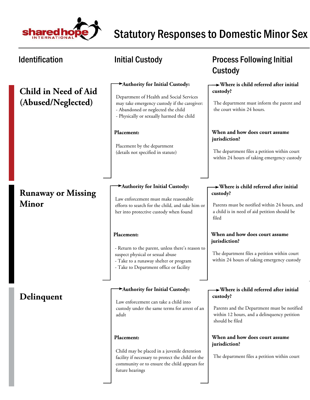

# **Child in Need of Aid (Abused/Neglected)**

# **Runaway or Missing Minor**

## **Delinquent**

### **Authority for Initial Custody:**

Department of Health and Social Services may take emergency custody if the caregiver: - Abandoned or neglected the child

- Physically or sexually harmed the child

### **Placement:**

Placement by the department (details not specified in statute)

### **Authority for Initial Custody:**

Law enforcement must make reasonable efforts to search for the child, and take him or her into protective custody when found

### **Placement:**

- Return to the parent, unless there's reason to suspect physical or sexual abuse
- Take to a runaway shelter or program
- Take to Department office or facility

### **Authority for Initial Custody:**

Law enforcement can take a child into custody under the same terms for arrest of an adult

### **Placement:**

Child may be placed in a juvenile detention facility if necessary to protect the child or the community or to ensure the child appears for future hearings

# Identification **Matube initial Custody Constant Custody Process Following Initial** Custody

### **Where is child referred after initial custody?**

The department must inform the parent and the court within 24 hours.

### **When and how does court assume jurisdiction?**

The department files a petition within court within 24 hours of taking emergency custody

### **Where is child referred after initial custody?**

Parents must be notified within 24 hours, and a child is in need of aid petition should be filed

### **When and how does court assume jurisdiction?**

The department files a petition within court within 24 hours of taking emergency custody

### **Where is child referred after initial custody?**

Parents and the Department must be notified within 12 hours, and a delinquency petition should be filed

### **When and how does court assume jurisdiction?**

The department files a petition within court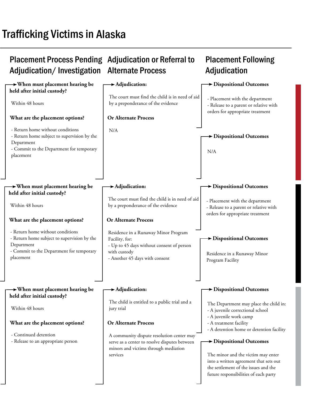# Trafficking Victims in Alaska

### Placement Process Pending Adjudication or Referral to Adjudication/Investigation Alternate Process **Placement Following Adjudication When must placement hearing be held after initial custody? When must placement hearing be held after initial custody? When must placement hearing be held after initial custody? Adjudication: Adjudication: Adjudication: Dispositional Outcomes Dispositional Outcomes Dispositional Outcomes Dispositional Outcomes Dispositional Outcomes Dispositional Outcomes Or Alternate Process Or Alternate Process Or Alternate Process What are the placement options? What are the placement options? What are the placement options?**  Within 48 hours - Return home without conditions - Return home subject to supervision by the Department - Commit to the Department for temporary placement Within 48 hours - Return home without conditions - Return home subject to supervision by the Department - Commit to the Department for temporary placement - Continued detention - Release to an appropriate person N/A Residence in a Runaway Minor Program Facility, for: - Up to 45 days without consent of person with custody - Another 45 days with consent A community dispute resolution center may serve as a center to resolve disputes between minors and victims through mediation services The court must find the child is in need of aid by a preponderance of the evidence The court must find the child is in need of aid by a preponderance of the evidence The child is entitled to a public trial and a jury trial - Placement with the department - Release to a parent or relative with orders for appropriate treatment - Placement with the department - Release to a parent or relative with orders for appropriate treatment The Department may place the child in: - A juvenile correctional school - A juvenile work camp - A treatment facility - A detention home or detention facility N/A Residence in a Runaway Minor Program Facility Within 48 hours The minor and the victim may enter into a written agreement that sets out the settlement of the issues and the future responsibilities of each party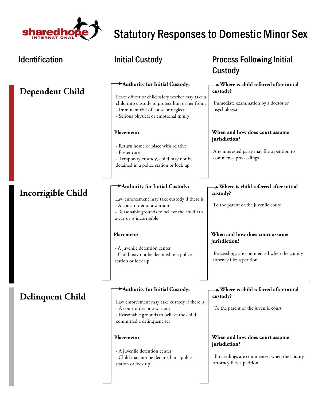

| <b>Identification</b>   | Initial Custody                                                                                                                                                                                                      | <b>Process Following Initial</b><br>Custody                                                                               |
|-------------------------|----------------------------------------------------------------------------------------------------------------------------------------------------------------------------------------------------------------------|---------------------------------------------------------------------------------------------------------------------------|
| <b>Dependent Child</b>  | Authority for Initial Custody:<br>Peace officer or child safety worker may take a<br>child into custody to protect him or her from:<br>- Imminent risk of abuse or neglect<br>- Serious physical or emotional injury | $\rightarrow$ Where is child referred after initial<br>custody?<br>Immediate examination by a doctor or<br>psychologist   |
|                         | Placement:<br>- Return home or place with relative<br>- Foster care<br>- Temporary custody, child may not be<br>detained in a police station or lock up                                                              | When and how does court assume<br>jurisdiction?<br>Any interested party may file a petition to<br>commence proceedings    |
| Incorrigible Child      | Authority for Initial Custody:<br>Law enforcement may take custody if there is:<br>- A court order or a warrant<br>- Reasonable grounds to believe the child ran<br>away or is incorrigible                          | $\rightarrow$ Where is child referred after initial<br>custody?<br>To the parent or the juvenile court                    |
|                         | Placement:<br>- A juvenile detention center<br>- Child may not be detained in a police<br>station or lock up                                                                                                         | When and how does court assume<br>jurisdiction?<br>Proceedings are commenced when the county<br>attorney files a petition |
| <b>Delinquent Child</b> | Authority for Initial Custody:<br>Law enforcement may take custody if there is:<br>- A court order or a warrant<br>- Reasonable grounds to believe the child<br>committed a delinquent act                           | $\rightarrow$ Where is child referred after initial<br>custody?<br>To the parent or the juvenile court                    |
|                         | Placement:<br>- A juvenile detention center<br>- Child may not be detained in a police<br>station or lock up                                                                                                         | When and how does court assume<br>jurisdiction?<br>Proceedings are commenced when the county<br>attorney files a petition |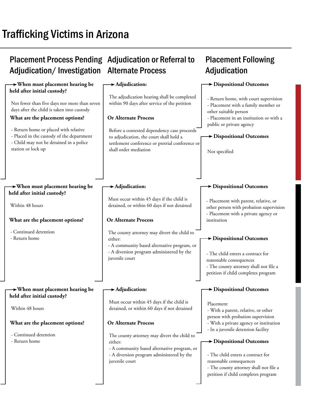# Trafficking Victims in Arizona

### Placement Process Pending Adjudication or Referral to Adjudication/Investigation **Alternate Process**

### **When must placement hearing be held after initial custody? When must placement hearing be held after initial custody? When must placement hearing be held after initial custody? Adjudication: Adjudication: Adjudication: Dispositional Outcomes Dispositional Outcomes Dispositional Outcomes Dispositional Outcomes Dispositional Outcomes Dispositional Outcomes Or Alternate Process Or Alternate Process Or Alternate Process What are the placement options? What are the placement options? What are the placement options?**  Not fewer than five days nor more than seven days after the child is taken into custody - Return home or placed with relative - Placed in the custody of the department - Child may not be detained in a police station or lock up Within 48 hours - Continued detention - Return home - Continued detention - Return home Before a contested dependency case proceeds to adjudication, the court shall hold a settlement conference or pretrial conference or shall order mediation The county attorney may divert the child to either: - A community based alternative program, or - A diversion program administered by the juvenile court The county attorney may divert the child to either: - A community based alternative program, or - A diversion program administered by the juvenile court The adjudication hearing shall be completed within 90 days after service of the petition Must occur within 45 days if the child is detained, or within 60 days if not detained Must occur within 45 days if the child is detained, or within 60 days if not detained - Return home, with court supervision - Placement with a family member or other suitable person - Placement in an institution or with a public or private agency - Placement with parent, relative, or other person with probation supervision - Placement with a private agency or institution Placement - With a parent, relative, or other person with probation supervision - With a private agency or institution - In a juvenile detention facility Not specified - The child enters a contract for reasonable consequences - The county attorney shall not file a petition if child completes program Within 48 hours - The child enters a contract for reasonable consequences - The county attorney shall not file a petition if child completes program

**Placement Following** 

Adjudication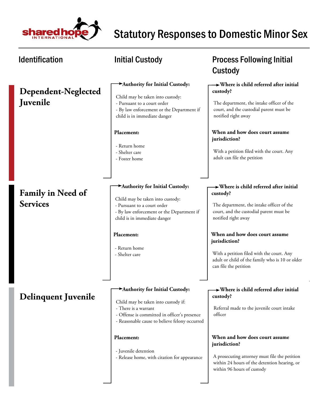

| <b>Identification</b>                       | <b>Initial Custody</b>                                                                                                                                                                                                                                                               | <b>Process Following Initial</b><br>Custody                                                                                                                                                                                                                                                                                                                |
|---------------------------------------------|--------------------------------------------------------------------------------------------------------------------------------------------------------------------------------------------------------------------------------------------------------------------------------------|------------------------------------------------------------------------------------------------------------------------------------------------------------------------------------------------------------------------------------------------------------------------------------------------------------------------------------------------------------|
| Dependent-Neglected<br><b>Juvenile</b>      | Authority for Initial Custody:<br>Child may be taken into custody:<br>- Pursuant to a court order<br>- By law enforcement or the Department if<br>child is in immediate danger<br>Placement:<br>- Return home<br>- Shelter care<br>- Foster home                                     | $\rightarrow$ Where is child referred after initial<br>custody?<br>The department, the intake officer of the<br>court, and the custodial parent must be<br>notified right away<br>When and how does court assume<br>jurisdiction?<br>With a petition filed with the court. Any<br>adult can file the petition                                              |
| <b>Family in Need of</b><br><b>Services</b> | Authority for Initial Custody:<br>Child may be taken into custody:<br>- Pursuant to a court order<br>- By law enforcement or the Department if<br>child is in immediate danger<br>Placement:<br>- Return home<br>- Shelter care                                                      | $\rightarrow$ Where is child referred after initial<br>custody?<br>The department, the intake officer of the<br>court, and the custodial parent must be<br>notified right away<br>When and how does court assume<br>jurisdiction?<br>With a petition filed with the court. Any<br>adult or child of the family who is 10 or older<br>can file the petition |
| <b>Delinquent Juvenile</b>                  | Authority for Initial Custody:<br>Child may be taken into custody if:<br>- There is a warrant<br>- Offense is committed in officer's presence<br>- Reasonable cause to believe felony occurred<br>Placement:<br>- Juvenile detention<br>- Release home, with citation for appearance | $\rightarrow$ Where is child referred after initial<br>custody?<br>Referral made to the juvenile court intake<br>officer<br>When and how does court assume<br>jurisdiction?<br>A prosecuting attorney must file the petition<br>within 24 hours of the detention hearing, or<br>within 96 hours of custody                                                 |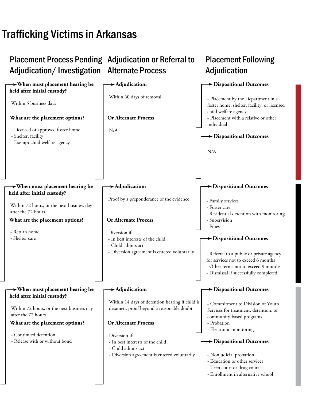# Trafficking Victims in Arkansas

| <b>Placement Process Pending Adjudication or Referral to</b><br>Adjudication/Investigation                                    | <b>Alternate Process</b>                                                                                                | <b>Placement Following</b><br>Adjudication                                                                                                                                                               |
|-------------------------------------------------------------------------------------------------------------------------------|-------------------------------------------------------------------------------------------------------------------------|----------------------------------------------------------------------------------------------------------------------------------------------------------------------------------------------------------|
| $\rightarrow$ When must placement hearing be<br>held after initial custody?<br>Within 5 business days                         | $\rightarrow$ Adjudication:<br>Within 60 days of removal                                                                | Dispositional Outcomes<br>- Placement by the Department in a<br>foster home, shelter, facility, or licensed<br>child welfare agency                                                                      |
| What are the placement options?<br>- Licensed or approved foster home<br>- Shelter, facility<br>- Exempt child welfare agency | <b>Or Alternate Process</b><br>N/A                                                                                      | - Placement with a relative or other<br>individual<br>$\blacktriangleright$ Dispositional Outcomes<br>N/A                                                                                                |
| $\rightarrow$ When must placement hearing be<br>held after initial custody?                                                   | $\blacktriangleright$ Adjudication:<br>Proof by a preponderance of the evidence                                         | $\rightarrow$ Dispositional Outcomes                                                                                                                                                                     |
| Within 72 hours, or the next business day<br>after the 72 hours                                                               |                                                                                                                         | - Family services<br>- Foster care<br>- Residential detention with monitoring                                                                                                                            |
| What are the placement options?<br>- Return home                                                                              | <b>Or Alternate Process</b><br>Diversion if:                                                                            | - Supervision<br>- Fines                                                                                                                                                                                 |
| - Shelter care                                                                                                                | - In best interests of the child<br>- Child admits act<br>- Diversion agreement is entered voluntarily                  | $\rightarrow$ Dispositional Outcomes<br>- Referral to a public or private agency<br>for services not to exceed 6 months<br>- Other terms not to exceed 9 months<br>- Dismissal if successfully completed |
| $\rightarrow$ When must placement hearing be<br>held after initial custody?                                                   | $\rightarrow$ Adjudication:                                                                                             | Dispositional Outcomes                                                                                                                                                                                   |
| Within 72 hours, or the next business day<br>after the 72 hours                                                               | Within 14 days of detention hearing if child is<br>detained, proof beyond a reasonable doubt                            | - Commitment to Division of Youth<br>Services for treatment, detention, or<br>community-based programs                                                                                                   |
| What are the placement options?                                                                                               | <b>Or Alternate Process</b>                                                                                             | - Probation<br>- Electronic monitoring                                                                                                                                                                   |
| - Continued detention<br>- Release with or without bond                                                                       | Diversion if:<br>- In best interests of the child<br>- Child admits act<br>- Diversion agreement is entered voluntarily | Dispositional Outcomes<br>- Nonjudicial probation<br>- Education or other services<br>- Teen court or drug court<br>- Enrollment in alternative school                                                   |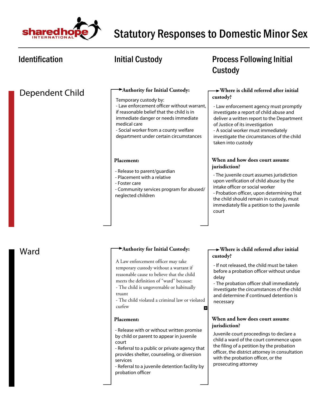

| <b>Identification</b> | <b>Initial Custody</b>                                                                                                                                                                                                                                                                                                                                                                                                                                                                                                                                                                                                             | <b>Process Following Initial</b><br>Custody                                                                                                                                                                                                                                                                                                                                                                                                                                                                                                                                                                   |
|-----------------------|------------------------------------------------------------------------------------------------------------------------------------------------------------------------------------------------------------------------------------------------------------------------------------------------------------------------------------------------------------------------------------------------------------------------------------------------------------------------------------------------------------------------------------------------------------------------------------------------------------------------------------|---------------------------------------------------------------------------------------------------------------------------------------------------------------------------------------------------------------------------------------------------------------------------------------------------------------------------------------------------------------------------------------------------------------------------------------------------------------------------------------------------------------------------------------------------------------------------------------------------------------|
| Dependent Child       | Authority for Initial Custody:<br>Temporary custody by:<br>- Law enforcement officer without warrant,<br>if reasonable belief that the child is in<br>immediate danger or needs immediate<br>medical care<br>- Social worker from a county welfare<br>department under certain circumstances                                                                                                                                                                                                                                                                                                                                       | $\rightarrow$ Where is child referred after initial<br>custody?<br>- Law enforcement agency must promptly<br>investigate a report of child abuse and<br>deliver a written report to the Department<br>of Justice of its investigation<br>- A social worker must immediately<br>investigate the circumstances of the child<br>taken into custody                                                                                                                                                                                                                                                               |
|                       | Placement:<br>- Release to parent/guardian<br>- Placement with a relative<br>- Foster care<br>- Community services program for abused/<br>neglected children                                                                                                                                                                                                                                                                                                                                                                                                                                                                       | When and how does court assume<br>jurisdiction?<br>- The juvenile court assumes jurisdiction<br>upon verification of child abuse by the<br>intake officer or social worker<br>- Probation officer, upon determining that<br>the child should remain in custody, must<br>immediately file a petition to the juvenile<br>court                                                                                                                                                                                                                                                                                  |
| Ward                  | Authority for Initial Custody:<br>A Law enforcement officer may take<br>temporary custody without a warrant if<br>reasonable cause to believe that the child<br>meets the definition of "ward" because:<br>- The child is ungovernable or habitually<br>truant<br>- The child violated a criminal law or violated<br>curfew<br>비<br>Placement:<br>- Release with or without written promise<br>by child or parent to appear in juvenile<br>court<br>- Referral to a public or private agency that<br>provides shelter, counseling, or diversion<br>services<br>- Referral to a juvenile detention facility by<br>probation officer | Where is child referred after initial<br>custody?<br>- If not released, the child must be taken<br>before a probation officer without undue<br>delay<br>- The probation officer shall immediately<br>investigate the circumstances of the child<br>and determine if continued detention is<br>necessary<br>When and how does court assume<br>jurisdiction?<br>Juvenile court proceedings to declare a<br>child a ward of the court commence upon<br>the filing of a petition by the probation<br>officer, the district attorney in consultation<br>with the probation officer, or the<br>prosecuting attorney |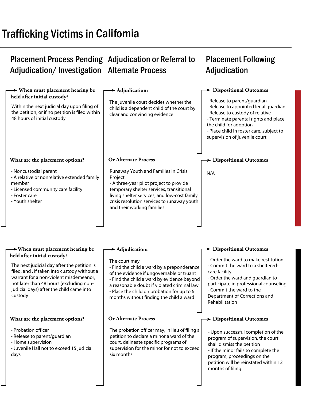# Trafficking Victims in California

# Placement Process Pending Adjudication or Referral to Adjudication/Investigation Alternate Process

# Placement Following Adjudication

| $\rightarrow$ When must placement hearing be<br>held after initial custody?                                                                                                                                                            | $\blacktriangleright$ Adjudication:                                                                                                                                                                                                                                                            | $\rightarrow$ Dispositional Outcomes                                                                                                                                                                                                                      |
|----------------------------------------------------------------------------------------------------------------------------------------------------------------------------------------------------------------------------------------|------------------------------------------------------------------------------------------------------------------------------------------------------------------------------------------------------------------------------------------------------------------------------------------------|-----------------------------------------------------------------------------------------------------------------------------------------------------------------------------------------------------------------------------------------------------------|
| Within the next judicial day upon filing of<br>the petition, or if no petition is filed within<br>48 hours of initial custody                                                                                                          | The juvenile court decides whether the<br>child is a dependent child of the court by<br>clear and convincing evidence                                                                                                                                                                          | - Release to parent/guardian<br>- Release to appointed legal guardian<br>- Release to custody of relative<br>- Terminate parental rights and place<br>the child for adoption<br>- Place child in foster care, subject to<br>supervision of juvenile court |
| What are the placement options?                                                                                                                                                                                                        | <b>Or Alternate Process</b>                                                                                                                                                                                                                                                                    | > Dispositional Outcomes                                                                                                                                                                                                                                  |
| - Noncustodial parent<br>- A relative or nonrelative extended family<br>member<br>- Licensed community care facility<br>- Foster care<br>- Youth shelter                                                                               | Runaway Youth and Families in Crisis<br>Project:<br>- A three-year pilot project to provide<br>temporary shelter services, transitional<br>living shelter services, and low-cost family<br>crisis resolution services to runaway youth<br>and their working families                           | N/A                                                                                                                                                                                                                                                       |
|                                                                                                                                                                                                                                        |                                                                                                                                                                                                                                                                                                |                                                                                                                                                                                                                                                           |
| $\rightarrow$ When must placement hearing be<br>held after initial custody?                                                                                                                                                            | $\blacktriangleright$ Adjudication:                                                                                                                                                                                                                                                            | <b>Dispositional Outcomes</b>                                                                                                                                                                                                                             |
| The next judicial day after the petition is<br>filed, and, if taken into custody without a<br>warrant for a non-violent misdemeanor,<br>not later than 48 hours (excluding non-<br>judicial days) after the child came into<br>custody | The court may<br>- Find the child a ward by a preponderance<br>of the evidence if ungovernable or truant<br>- Find the child a ward by evidence beyond<br>a reasonable doubt if violated criminal law<br>- Place the child on probation for up to 6<br>months without finding the child a ward | - Order the ward to make restitution<br>- Commit the ward to a sheltered-<br>care facility<br>- Order the ward and guardian to<br>participate in professional counseling<br>- Commit the ward to the<br>Department of Corrections and<br>Rehabilitation   |
| What are the placement options?                                                                                                                                                                                                        | <b>Or Alternate Process</b>                                                                                                                                                                                                                                                                    | $\rightarrow$ Dispositional Outcomes                                                                                                                                                                                                                      |
| - Probation officer<br>- Release to parent/guardian<br>- Home supervision<br>- Juvenile Hall not to exceed 15 judicial<br>days                                                                                                         | The probation officer may, in lieu of filing a<br>petition to declare a minor a ward of the<br>court, delineate specific programs of<br>supervision for the minor for not to exceed<br>six months                                                                                              | - Upon successful completion of the<br>program of supervision, the court<br>shall dismiss the petition<br>- If the minor fails to complete the<br>program, proceedings on the<br>petition will be reinstated within 12<br>months of filing.               |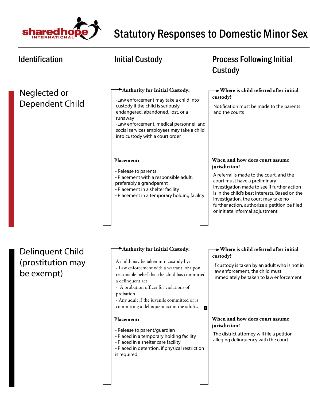

### Identification **Matube initial Custody CONGITY** Process Following Initial Custody  **Authority for Initial Custody: Where is child referred after initial**  Neglected or **custody?** -Law enforcement may take a child into Dependent Child custody if the child is seriously Notification must be made to the parents endangered, abandoned, lost, or a and the courts runaway -Law enforcement, medical personnel, and social services employees may take a child into custody with a court order **When and how does court assume Placement: jurisdiction?** - Release to parents A referral is made to the court, and the - Placement with a responsible adult, court must have a preliminary preferably a grandparent investigation made to see if further action - Placement in a shelter facility is in the child's best interests. Based on the - Placement in a temporary holding facility investigation, the court may take no further action, authorize a petition be filed or initiate informal adjustment  **Authority for Initial Custody: Where is child referred after initial**  Delinquent Child **custody?** (prostitution may A child may be taken into custody by: If custody is taken by an adult who is not in - Law enforcement with a warrant, or upon law enforcement, the child must be exempt) reasonable belief that the child has committed immediately be taken to law enforcement a delinquent act - A probation officer for violations of probation - Any adult if the juvenile committed or is committing a delinquent act in the adult's E3 **Placement: When and how does court assume jurisdiction?** - Release to parent/guardian The district attorney will file a petition - Placed in a temporary holding facility alleging delinquency with the court - Placed in a shelter care facility

- Placed in detention, if physical restriction is required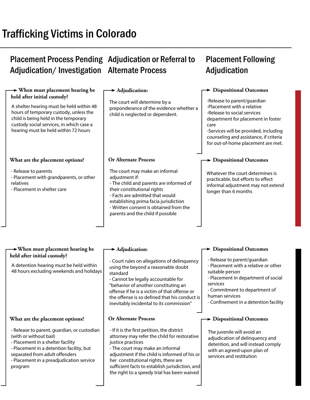# Trafficking Victims in Colorado

# Placement Process Pending Adjudication or Referral to Adjudication/Investigation Alternate Process

### **When must placement hearing be held after initial custody? When must placement hearing be held after initial custody? Adjudication Adjudication Dispositional Outcomes Dispositional Outcomes Dispositional Outcomes Or Alternate Process What are the placement options?**  The court will determine by a preponderance of the evidence whether a child is neglected or dependent. -Release to parent/guardian -Placement with a relative -Release to social services department for placement in foster care -Services will be provided, including counseling and assistance, if criteria for out-of-home placement are met. - Release to parents - Placement with grandparents, or other relatives - Placement in shelter care Whatever the court determines is practicable, but efforts to effect informal adjustment may not extend longer than 6 months The court may make an informal adjustment if: - The child and parents are informed of their constitutional rights - Facts are admitted that would establishing prima facia jurisdiction - Written consent is obtained from the parents and the child if possible A shelter hearing must be held within 48 hours of temporary custody, unless the child is being held in the temporary custody social services, in which case a hearing must be held within 72 hours A detention hearing must be held within 48 hours excluding weekends and holidays - Court rules on allegations of delinquency using the beyond a reasonable doubt standard - Cannot be legally accountable for - Release to parent/guardian - Placement with a relative or other suitable person - Placement in department of social services

"behavior of another constituting an offense if he is a victim of that offense or the offense is so defined that his conduct is inevitably incidental to its commission"

### **Or Alternate Process**

- If it is the first petition, the district attorney may refer the child for restorative justice practices
- The court may make an informal adjustment if the child is informed of his or her constitutional rights, there are sufficient facts to establish jurisdiction, and the right to a speedy trial has been waived

### **Dispositional Outcomes**

human services

- Commitment to department of

- Confinement in a detention facility

The juvenile will avoid an adjudication of delinquency and detention, and will instead comply with an agreed-upon plan of services and restitution

### **What are the placement options?**

- Release to parent, guardian, or custodian (with or without bail)
- Placement in a shelter facility
- Placement in a detention facility, but separated from adult offenders
- Placement in a preadjudication service program

# Placement Following **Adjudication**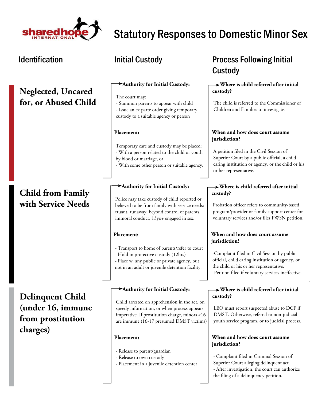

# **Neglected, Uncared for, or Abused Child**

# **Child from Family with Service Needs**

**Delinquent Child (under 16, immune from prostitution charges)**

### **Authority for Initial Custody:**

The court may:

- Summon parents to appear with child - Issue an ex parte order giving temporary custody to a suitable agency or person

### **Placement:**

Temporary care and custody may be placed: - With a person related to the child or youth by blood or marriage, or

- With some other person or suitable agency.

### **Authority for Initial Custody:**

Police may take custody of child reported or believed to be from family with service needs: truant, runaway, beyond control of parents, immoral conduct, 13yo+ engaged in sex.

### **Placement:**

- Transport to home of parents/refer to court
- Hold in protective custody (12hrs)
- Place w. any public or private agency, but not in an adult or juvenile detention facility.

### **Authority for Initial Custody:**

Child arrested on apprehension in the act, on speedy information, or when process appears imperative. If prostitution charge, minors <16 are immune (16-17 presumed DMST victims)

### **Placement:**

- Release to parent/guardian
- Release to own custody
- Placement in a juvenile detention center

# Identification **Matube initial Custody Constant Custody Process Following Initial** Custody

### **Where is child referred after initial custody?**

The child is referred to the Commissioner of Children and Families to investigate.

### **When and how does court assume jurisdiction?**

A petition filed in the Civil Session of Superior Court by a public official, a child caring institution or agency, or the child or his or her representative.

### **Where is child referred after initial custody?**

Probation officer refers to community-based program/provider or family support center for voluntary services and/or files FWSN petition.

### **When and how does court assume jurisdiction?**

-Complaint filed in Civil Session by public official, child caring institution or agency, or the child or his or her representative. -Petition filed if voluntary services ineffective.

### **Where is child referred after initial custody?**

LEO must report suspected abuse to DCF if DMST. Otherwise, referral to non-judicial youth service program, or to judicial process.

### **When and how does court assume jurisdiction?**

- Complaint filed in Criminal Session of Superior Court alleging delinquent act. - After investigation, the court can authorize the filing of a delinquency petition.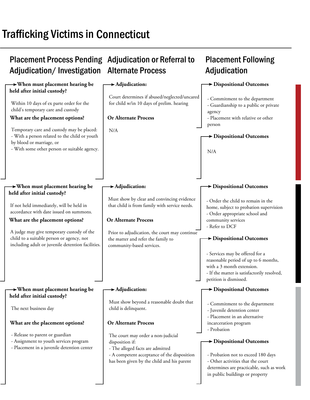# Trafficking Victims in Connecticut

| <b>Placement Process Pending</b><br>Adjudication/Investigation                                                                                                                                | <b>Adjudication or Referral to</b><br><b>Alternate Process</b>                                                                                                                         | <b>Placement Following</b><br>Adjudication                                                                                                                                                     |
|-----------------------------------------------------------------------------------------------------------------------------------------------------------------------------------------------|----------------------------------------------------------------------------------------------------------------------------------------------------------------------------------------|------------------------------------------------------------------------------------------------------------------------------------------------------------------------------------------------|
| $\rightarrow$ When must placement hearing be                                                                                                                                                  | $\blacktriangleright$ Adjudication:                                                                                                                                                    | Dispositional Outcomes                                                                                                                                                                         |
| held after initial custody?<br>Within 10 days of ex parte order for the<br>child's temporary care and custody<br>What are the placement options?<br>Temporary care and custody may be placed: | Court determines if abused/neglected/uncared<br>for child w/in 10 days of prelim. hearing<br><b>Or Alternate Process</b><br>N/A                                                        | - Commitment to the department<br>- Guardianship to a public or private<br>agency<br>- Placement with relative or other<br>person                                                              |
| - With a person related to the child or youth<br>by blood or marriage, or<br>- With some other person or suitable agency.                                                                     |                                                                                                                                                                                        | > Dispositional Outcomes<br>N/A                                                                                                                                                                |
| $\rightarrow$ When must placement hearing be<br>held after initial custody?                                                                                                                   | $\blacktriangleright$ Adjudication:                                                                                                                                                    | <b>&gt;</b> Dispositional Outcomes                                                                                                                                                             |
| If not held immediately, will be held in<br>accordance with date issued on summons.<br>What are the placement options?                                                                        | Must show by clear and convincing evidence<br>that child is from family with service needs.<br><b>Or Alternate Process</b>                                                             | - Order the child to remain in the<br>home, subject to probation supervision<br>- Order appropriate school and<br>community services                                                           |
| A judge may give temporary custody of the<br>child to a suitable person or agency, not<br>including adult or juvenile detention facilities.                                                   | Prior to adjudication, the court may continue<br>the matter and refer the family to<br>community-based services.                                                                       | - Refer to DCF<br>> Dispositional Outcomes                                                                                                                                                     |
|                                                                                                                                                                                               |                                                                                                                                                                                        | - Services may be offered for a<br>reasonable period of up to 6 months,<br>with a 3 month extension.<br>- If the matter is satisfactorily resolved,<br>petition is dismissed.                  |
| $\rightarrow$ When must placement hearing be<br>held after initial custody?                                                                                                                   | $\blacktriangleright$ Adjudication:                                                                                                                                                    | Dispositional Outcomes                                                                                                                                                                         |
| The next business day                                                                                                                                                                         | Must show beyond a reasonable doubt that<br>child is delinquent.                                                                                                                       | - Commitment to the department<br>- Juvenile detention center<br>- Placement in an alternative                                                                                                 |
| What are the placement options?                                                                                                                                                               | <b>Or Alternate Process</b>                                                                                                                                                            | incarceration program<br>- Probation                                                                                                                                                           |
| - Release to parent or guardian<br>- Assignment to youth services program<br>- Placement in a juvenile detention center                                                                       | The court may order a non-judicial<br>disposition if:<br>- The alleged facts are admitted<br>- A competent acceptance of the disposition<br>has been given by the child and his parent | $\rightarrow$ Dispositional Outcomes<br>- Probation not to exceed 180 days<br>- Other activities that the court<br>determines are practicable, such as work<br>in public buildings or property |
|                                                                                                                                                                                               |                                                                                                                                                                                        |                                                                                                                                                                                                |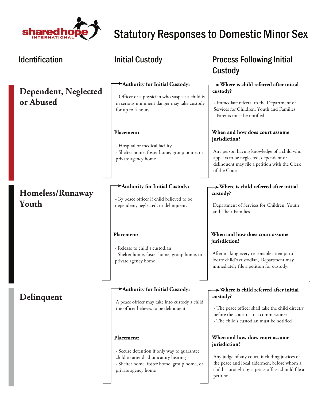

| <b>Identification</b>                    | <b>Initial Custody</b>                                                                                                                                                  | <b>Process Following Initial</b><br>Custody                                                                                                                                                                      |
|------------------------------------------|-------------------------------------------------------------------------------------------------------------------------------------------------------------------------|------------------------------------------------------------------------------------------------------------------------------------------------------------------------------------------------------------------|
| <b>Dependent, Neglected</b><br>or Abused | Authority for Initial Custody:<br>- Officer or a physician who suspect a child is<br>in serious imminent danger may take custody<br>for up to 4 hours.                  | $\rightarrow$ Where is child referred after initial<br>custody?<br>- Immediate referral to the Department of<br>Services for Children, Youth and Families<br>- Parents must be notified                          |
|                                          | Placement:<br>- Hospital or medical facility<br>- Shelter home, foster home, group home, or<br>private agency home                                                      | When and how does court assume<br>jurisdiction?<br>Any person having knowledge of a child who<br>appears to be neglected, dependent or<br>delinquent may file a petition with the Clerk<br>of the Court          |
| Homeless/Runaway<br>Youth                | Authority for Initial Custody:<br>- By peace officer if child believed to be<br>dependent, neglected, or delinquent.                                                    | $\rightarrow$ Where is child referred after initial<br>custody?<br>Department of Services for Children, Youth<br>and Their Families                                                                              |
|                                          | Placement:<br>- Release to child's custodian<br>- Shelter home, foster home, group home, or<br>private agency home                                                      | When and how does court assume<br>jurisdiction?<br>After making every reasonable attempt to<br>locate child's custodian, Department may<br>immediately file a petition for custody.                              |
| Delinquent                               | Authority for Initial Custody:<br>A peace officer may take into custody a child<br>the officer believes to be delinquent.                                               | $\rightarrow$ Where is child referred after initial<br>custody?<br>- The peace officer shall take the child directly<br>before the court or to a commissioner<br>- The child's custodian must be notified        |
|                                          | Placement:<br>- Secure detention if only way to guarantee<br>child to attend adjudicatory hearing<br>- Shelter home, foster home, group home, or<br>private agency home | When and how does court assume<br>jurisdiction?<br>Any judge of any court, including justices of<br>the peace and local aldermen, before whom a<br>child is brought by a peace officer should file a<br>petition |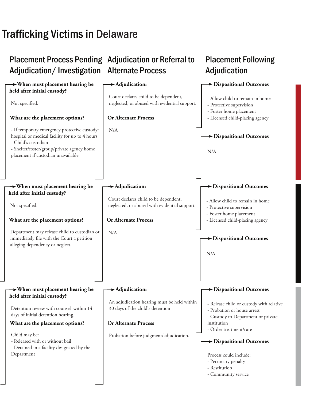# Trafficking Victims in Delaware

### Placement Process Pending Adjudication or Referral to Adjudication/Investigation Alternate Process **Placement Following** Adjudication  **When must placement hearing be held after initial custody? When must placement hearing be held after initial custody? When must placement hearing be held after initial custody? Adjudication: Adjudication: Adjudication: Dispositional Outcomes Dispositional Outcomes Dispositional Outcomes Dispositional Outcomes Dispositional Outcomes Dispositional Outcomes Or Alternate Process Or Alternate Process Or Alternate Process What are the placement options? What are the placement options? What are the placement options?**  Not specified. - If temporary emergency protective custody: hospital or medical facility for up to 4 hours - Child's custodian - Shelter/foster/group/private agency home placement if custodian unavailable Not specified. Department may release child to custodian or immediately file with the Court a petition alleging dependency or neglect. Child may be: - Released with or without bail - Detained in a facility designated by the Department N/A N/A Probation before judgment/adjudication. Court declares child to be dependent, neglected, or abused with evidential support. Court declares child to be dependent, neglected, or abused with evidential support. An adjudication hearing must be held within 30 days of the child's detention - Allow child to remain in home - Protective supervision - Foster home placement - Licensed child-placing agency - Allow child to remain in home - Protective supervision - Foster home placement - Licensed child-placing agency - Release child or custody with relative - Probation or house arrest - Custody to Department or private institution - Order treatment/care N/A N/A Detention review with counsel within 14 days of initial detention hearing. Process could include: - Pecuniary penalty - Restitution - Community service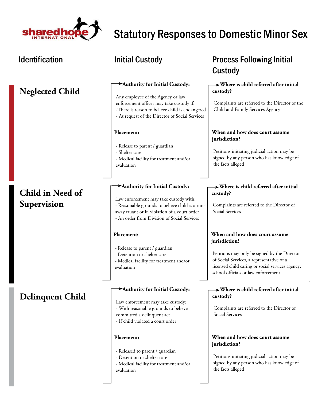

 $\overline{\phantom{a}}$ 

# Statutory Responses to Domestic Minor Sex

the facts alleged

| <b>Identification</b>           | <b>Initial Custody</b>                                                                                                                                                                                                     | <b>Process Following Initial</b><br>Custody                                                                                                                                                                                             |
|---------------------------------|----------------------------------------------------------------------------------------------------------------------------------------------------------------------------------------------------------------------------|-----------------------------------------------------------------------------------------------------------------------------------------------------------------------------------------------------------------------------------------|
| <b>Neglected Child</b>          | Authority for Initial Custody:<br>Any employee of the Agency or law<br>enforcement officer may take custody if:<br>-There is reason to believe child is endangered<br>- At request of the Director of Social Services      | $\rightarrow$ Where is child referred after initial<br>custody?<br>Complaints are referred to the Director of the<br>Child and Family Services Agency                                                                                   |
|                                 | Placement:<br>- Release to parent / guardian<br>- Shelter care<br>- Medical facility for treatment and/or<br>evaluation                                                                                                    | When and how does court assume<br>jurisdiction?<br>Petitions initiating judicial action may be<br>signed by any person who has knowledge of<br>the facts alleged                                                                        |
| Child in Need of<br>Supervision | Authority for Initial Custody:<br>Law enforcement may take custody with:<br>- Reasonable grounds to believe child is a run-<br>away truant or in violation of a court order<br>- An order from Division of Social Services | $\rightarrow$ Where is child referred after initial<br>custody?<br>Complaints are referred to the Director of<br>Social Services                                                                                                        |
|                                 | Placement:<br>- Release to parent / guardian<br>- Detention or shelter care<br>- Medical facility for treatment and/or<br>evaluation                                                                                       | When and how does court assume<br>jurisdiction?<br>Petitions may only be signed by the Director<br>of Social Services, a representative of a<br>licensed child caring or social services agency,<br>school officials or law enforcement |
| <b>Delinquent Child</b>         | Authority for Initial Custody:<br>Law enforcement may take custody:<br>- With reasonable grounds to believe<br>committed a delinquent act<br>- If child violated a court order                                             | $\rightarrow$ Where is child referred after initial<br>custody?<br>Complaints are referred to the Director of<br>Social Services                                                                                                        |
|                                 | Placement:<br>- Released to parent / guardian<br>- Detention or shelter care<br>- Medical facility for treatment and/or                                                                                                    | When and how does court assume<br>jurisdiction?<br>Petitions initiating judicial action may be<br>signed by any person who has knowledge of                                                                                             |

evaluation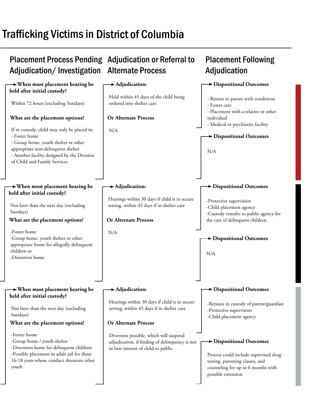# Trafficking Victims in District of Columbia

### Placement Process Pending Adjudication or Referral to Adjudication/Investigation Alternate Process **Placement Following Adjudication When must placement hearing be held after initial custody? When must placement hearing be held after initial custody? When must placement hearing be held after initial custody? Adjudication: Adjudication: Adjudication: Dispositional Outcomes Dispositional Outcomes Dispositional Outcomes Dispositional Outcomes Dispositional Outcomes Dispositional Outcomes Or Alternate Process Or Alternate Process Or Alternate Process What are the placement options? What are the placement options? What are the placement options?**  Within 72 hours (excluding Sundays) If in custody, child may only be placed in: - Foster home - Group home, youth shelter or other appropriate non-delinquent shelter - Another facility designed by the Division of Child and Family Services Not later than the next day (excluding Sundays) -Foster home -Group home, youth shelter or other appropriate home for allegedly delinquent children or -Detention home -Foster home -Group home / youth shelter -Detention home for delinquent children -Possible placement in adult jail for those 16-18 years whose conduct threatens other youth N/A N/A Diversion possible, which will suspend adjudication, if finding of delinquency is not in best interest of child or public Held within 45 days of the child being ordered into shelter care Hearings within 30 days if child is in secure setting, within 45 days if in shelter care Hearings within 30 days if child is in secure setting, within 45 days if in shelter care - Return to parent with conditions - Foster care - Placement with a relative or other individual - Medical or psychiatric facility -Protective supervision -Child placement agency -Custody transfer to public agency for the care of delinquent children -Remain in custody of parent/guardian -Protective supervision -Child placement agency N/A N/A Not later than the next day (excluding Sundays) Process could include supervised drug testing, parenting classes, and counseling for up to 6 months with possible extension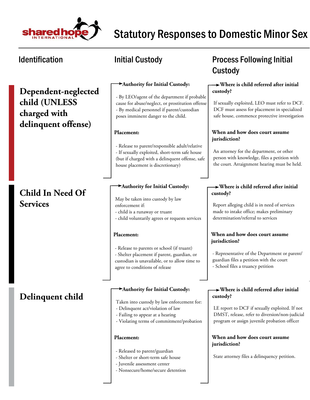

**Dependent-neglected child (UNLESS charged with delinquent offense)**

# **Child In Need Of Services**

# **Delinquent child**

### **Authority for Initial Custody:**

- By LEO/agent of the department if probable cause for abuse/neglect, or prostitution offense - By medical personnel if parent/custodian poses imminent danger to the child.

### **Placement:**

- Release to parent/responsible adult/relative - If sexually exploited, short-term safe house (but if charged with a delinquent offense, safe house placement is discretionary)

### **Authority for Initial Custody:**

May be taken into custody by law enforcement if:

- child is a runaway or truant
- child voluntarily agrees or requests services

### **Placement:**

- Release to parents or school (if truant)

- Shelter placement if parent, guardian, or custodian is unavailable, or to allow time to agree to conditions of release

### **Authority for Initial Custody:**

Taken into custody by law enforcement for:

- Delinquent act/violation of law
- Failing to appear at a hearing
- Violating terms of commitment/probation

### **Placement:**

- Released to parent/guardian
- Shelter or short-term safe house
- Juvenile assessment center
- Nonsecure/home/secure detention

# Identification **Matube initial Custody Constant Custody Process Following Initial** Custody

### **Where is child referred after initial custody?**

If sexually exploited, LEO must refer to DCF. DCF must assess for placement in specialized safe house, commence protective investigation

### **When and how does court assume jurisdiction?**

An attorney for the department, or other person with knowledge, files a petition with the court. Arraignment hearing must be held.

### **Where is child referred after initial custody?**

Report alleging child is in need of services made to intake office; makes preliminary determination/referral to services

### **When and how does court assume jurisdiction?**

- Representative of the Department or parent/ guardian files a petition with the court - School files a truancy petition

### **Where is child referred after initial custody?**

LE report to DCF if sexually exploited. If not DMST, release, refer to diversion/non-judicial program or assign juvenile probation officer

### **When and how does court assume jurisdiction?**

State attorney files a delinquency petition.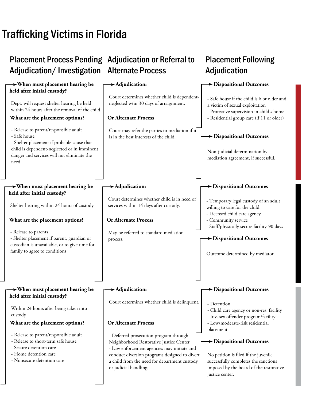# Trafficking Victims in Florida

### Placement Process Pending Adjudication or Referral to Adjudication/Investigation Alternate Process **Placement Following** Adjudication  **When must placement hearing be held after initial custody? When must placement hearing be held after initial custody? When must placement hearing be held after initial custody? Adjudication: Adjudication: Adjudication: Dispositional Outcomes Dispositional Outcomes Dispositional Outcomes Dispositional Outcomes Dispositional Outcomes Dispositional Outcomes Or Alternate Process Or Alternate Process Or Alternate Process What are the placement options? What are the placement options? What are the placement options?**  Dept. will request shelter hearing be held within 24 hours after the removal of the child. - Release to parent/responsible adult - Safe house - Shelter placement if probable cause that child is dependent-neglected or in imminent danger and services will not eliminate the need. Shelter hearing within 24 hours of custody - Release to parents - Shelter placement if parent, guardian or custodian is unavailable, or to give time for family to agree to conditions - Release to parent/responsible adult - Release to short-term safe house - Secure detention care - Home detention care - Nonsecure detention care Court may refer the parties to mediation if it is in the best interests of the child. May be referred to standard mediation process. - Deferred prosecution program through Neighborhood Restorative Justice Center - Law enforcement agencies may initiate and conduct diversion programs designed to divert a child from the need for department custody or judicial handling. Court determines whether child is dependentneglected w/in 30 days of arraignment. Court determines whether child is in need of services within 14 days after custody. Court determines whether child is delinquent. - Safe house if the child is 6 or older and a victim of sexual exploitation - Protective supervision in child's home - Residential group care (if 11 or older) - Temporary legal custody of an adult willing to care for the child - Licensed child care agency - Community service - Staff/physically secure facility-90 days - Detention - Child care agency or non-res. facility - Juv. sex offender program/facility - Low/moderate-risk residential placement Non-judicial determination by mediation agreement, if successful. Outcome determined by mediator. Within 24 hours after being taken into custody No petition is filed if the juvenile successfully completes the sanctions imposed by the board of the restorative justice center.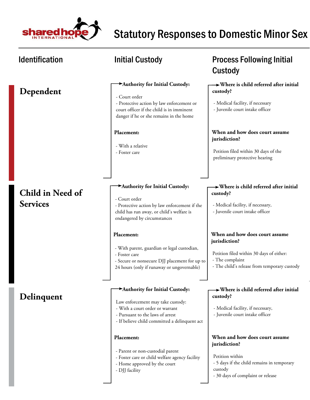

| <b>Identification</b>               | Initial Custody                                                                                                                                                                                                                          | <b>Process Following Initial</b><br>Custody                                                                                                                                                                                                                         |
|-------------------------------------|------------------------------------------------------------------------------------------------------------------------------------------------------------------------------------------------------------------------------------------|---------------------------------------------------------------------------------------------------------------------------------------------------------------------------------------------------------------------------------------------------------------------|
| Dependent                           | Authority for Initial Custody:<br>- Court order<br>- Protective action by law enforcement or<br>court officer if the child is in imminent<br>danger if he or she remains in the home<br>Placement:<br>- With a relative<br>- Foster care | $\rightarrow$ Where is child referred after initial<br>custody?<br>- Medical facility, if necessary<br>- Juvenile court intake officer<br>When and how does court assume<br>jurisdiction?<br>Petition filed within 30 days of the<br>preliminary protective hearing |
| Child in Need of<br><b>Services</b> | Authority for Initial Custody:<br>- Court order<br>- Protective action by law enforcement if the<br>child has run away, or child's welfare is<br>endangered by circumstances<br>Placement:                                               | $\rightarrow$ Where is child referred after initial<br>custody?<br>- Medical facility, if necessary,<br>- Juvenile court intake officer<br>When and how does court assume<br>jurisdiction?                                                                          |
|                                     | - With parent, guardian or legal custodian,<br>- Foster care<br>- Secure or nonsecure DJJ placement for up to<br>24 hours (only if runaway or ungovernable)                                                                              | Petition filed within 30 days of either:<br>- The complaint<br>- The child's release from temporary custody                                                                                                                                                         |
| Delinquent                          | Authority for Initial Custody:<br>Law enforcement may take custody:<br>- With a court order or warrant<br>- Pursuant to the laws of arrest<br>- If believe child committed a delinquent act                                              | $\rightarrow$ Where is child referred after initial<br>custody?<br>- Medical facility, if necessary,<br>- Juvenile court intake officer                                                                                                                             |
|                                     | Placement:<br>- Parent or non-custodial parent<br>- Foster care or child welfare agency facility<br>- Home approved by the court<br>- DJJ facility                                                                                       | When and how does court assume<br>jurisdiction?<br>Petition within<br>- 5 days if the child remains in temporary<br>custody<br>- 30 days of complaint or release                                                                                                    |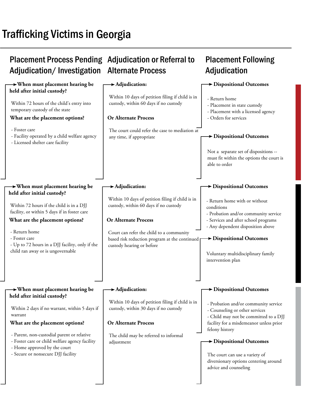# Trafficking Victims in Georgia

### Placement Process Pending Adjudication or Referral to Adjudication/Investigation Alternate Process **Placement Following** Adjudication  **When must placement hearing be held after initial custody? When must placement hearing be held after initial custody? When must placement hearing be held after initial custody? Adjudication: Adjudication: Adjudication: Dispositional Outcomes Dispositional Outcomes Dispositional Outcomes Dispositional Outcomes Dispositional Outcomes Dispositional Outcomes Or Alternate Process Or Alternate Process Or Alternate Process What are the placement options? What are the placement options? What are the placement options?**  Within 72 hours of the child's entry into temporary custody of the state - Foster care - Facility operated by a child welfare agency - Licensed shelter care facility Within 72 hours if the child is in a DJJ facility, or within 5 days if in foster care - Return home - Foster care - Up to 72 hours in a DJJ facility, only if the child ran away or is ungovernable - Parent, non-custodial parent or relative - Foster care or child welfare agency facility - Home approved by the court - Secure or nonsecure DJJ facility The court could refer the case to mediation at any time, if appropriate Court can refer the child to a community based risk reduction program at the continued p custody hearing or before The child may be referred to informal adjustment Within 10 days of petition filing if child is in custody, within 60 days if no custody Within 10 days of petition filing if child is in custody, within 60 days if no custody Within 10 days of petition filing if child is in custody, within 30 days if no custody - Return home - Placement in state custody - Placement with a licensed agency - Orders for services - Return home with or without conditions - Probation and/or community service - Services and after school programs - Any dependent disposition above - Probation and/or community service - Counseling or other services - Child may not be committed to a DJJ facility for a misdemeanor unless prior felony history Not a separate set of dispositions - must fit within the options the court is able to order Voluntary multidisciplinary family intervention plan Within 2 days if no warrant, within 5 days if warrant The court can use a variety of diversionary options centering around advice and counseling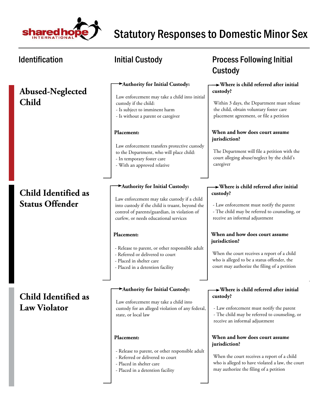

# **Abused-Neglected Child**

# **Child Identified as Status Offender**

**Child Identified as Law Violator**

### **Authority for Initial Custody:**

Law enforcement may take a child into initial custody if the child:

- Is subject to imminent harm
- Is without a parent or caregiver

### **Placement:**

Law enforcement transfers protective custody to the Department, who will place child: - In temporary foster care

- With an approved relative

### **Authority for Initial Custody:**

Law enforcement may take custody if a child into custody if the child is truant, beyond the control of parents/guardian, in violation of curfew, or needs educational services

### **Placement:**

- Release to parent, or other responsible adult
- Referred or delivered to court
- Placed in shelter care
- Placed in a detention facility

### **Authority for Initial Custody:**

Law enforcement may take a child into custody for an alleged violation of any federal, state, or local law

### **Placement:**

- Release to parent, or other responsible adult
- Referred or delivered to court
- Placed in shelter care
- Placed in a detention facility

# Identification **Matube initial Custody Constant Custody Process Following Initial** Custody

### **Where is child referred after initial custody?**

Within 3 days, the Department must release the child, obtain voluntary foster care placement agreement, or file a petition

### **When and how does court assume jurisdiction?**

The Department will file a petition with the court alleging abuse/neglect by the child's caregiver

### **Where is child referred after initial custody?**

- Law enforcement must notify the parent

- The child may be referred to counseling, or receive an informal adjustment

### **When and how does court assume jurisdiction?**

When the court receives a report of a child who is alleged to be a status offender, the court may authorize the filing of a petition

### **Where is child referred after initial custody?**

- Law enforcement must notify the parent - The child may be referred to counseling, or receive an informal adjustment

### **When and how does court assume jurisdiction?**

When the court receives a report of a child who is alleged to have violated a law, the court may authorize the filing of a petition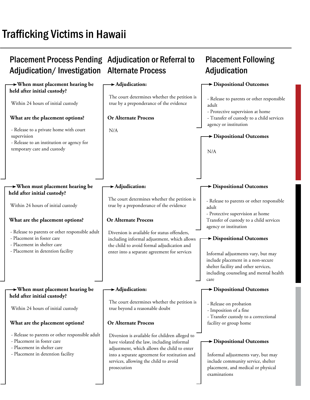# Trafficking Victims in Hawaii

### Placement Process Pending Adjudication or Referral to Adjudication/Investigation Alternate Process **Placement Following Adjudication When must placement hearing be held after initial custody? When must placement hearing be held after initial custody? When must placement hearing be held after initial custody? Adjudication: Adjudication: Adjudication: Dispositional Outcomes Dispositional Outcomes Dispositional Outcomes Dispositional Outcomes Dispositional Outcomes Dispositional Outcomes Or Alternate Process Or Alternate Process Or Alternate Process What are the placement options? What are the placement options? What are the placement options?**  Within 24 hours of initial custody - Release to a private home with court supervision - Release to an institution or agency for temporary care and custody Within 24 hours of initial custody - Release to parents or other responsible adult - Placement in foster care - Placement in shelter care - Placement in detention facility - Release to parents or other responsible adult - Placement in foster care - Placement in shelter care - Placement in detention facility N/A Diversion is available for status offenders, including informal adjustment, which allows the child to avoid formal adjudication and enter into a separate agreement for services Diversion is available for children alleged to have violated the law, including informal adjustment, which allows the child to enter into a separate agreement for restitution and services, allowing the child to avoid prosecution The court determines whether the petition is true by a preponderance of the evidence The court determines whether the petition is true by a preponderance of the evidence The court determines whether the petition is true beyond a reasonable doubt - Release to parents or other responsible adult - Protective supervision at home - Transfer of custody to a child services agency or institution - Release to parents or other responsible adult - Protective supervision at home Transfer of custody to a child services agency or institution - Release on probation - Imposition of a fine - Transfer custody to a correctional facility or group home N/A Informal adjustments vary, but may include placement in a non-secure shelter facility and other services, including counseling and mental health care Within 24 hours of initial custody Informal adjustments vary, but may include community service, shelter placement, and medical or physical examinations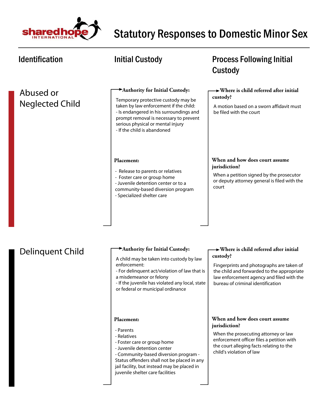

| <b>Identification</b>               | <b>Initial Custody</b>                                                                                                                                                                                                                                                          | <b>Process Following Initial</b><br>Custody                                                                                                                                                                                                  |
|-------------------------------------|---------------------------------------------------------------------------------------------------------------------------------------------------------------------------------------------------------------------------------------------------------------------------------|----------------------------------------------------------------------------------------------------------------------------------------------------------------------------------------------------------------------------------------------|
| Abused or<br><b>Neglected Child</b> | Authority for Initial Custody:<br>Temporary protective custody may be<br>taken by law enforcement if the child:<br>- Is endangered in his surroundings and<br>prompt removal is necessary to prevent<br>serious physical or mental injury<br>- If the child is abandoned        | $\rightarrow$ Where is child referred after initial<br>custody?<br>A motion based on a sworn affidavit must<br>be filed with the court                                                                                                       |
|                                     | Placement:<br>- Release to parents or relatives<br>- Foster care or group home<br>- Juvenile detention center or to a<br>community-based diversion program<br>- Specialized shelter care                                                                                        | When and how does court assume<br>jurisdiction?<br>When a petition signed by the prosecutor<br>or deputy attorney general is filed with the<br>court                                                                                         |
| Delinquent Child                    | Authority for Initial Custody:<br>A child may be taken into custody by law<br>enforcement:<br>- For delinquent act/violation of law that is<br>a misdemeanor or felony<br>- If the juvenile has violated any local, state<br>or federal or municipal ordinance                  | $\rightarrow$ Where is child referred after initial<br>custody?<br>Fingerprints and photographs are taken of<br>the child and forwarded to the appropriate<br>law enforcement agency and filed with the<br>bureau of criminal identification |
|                                     | Placement:<br>- Parents<br>- Relatives<br>- Foster care or group home<br>- Juvenile detention center<br>- Community-based diversion program -<br>Status offenders shall not be placed in any<br>jail facility, but instead may be placed in<br>juvenile shelter care facilities | When and how does court assume<br>jurisdiction?<br>When the prosecuting attorney or law<br>enforcement officer files a petition with<br>the court alleging facts relating to the<br>child's violation of law                                 |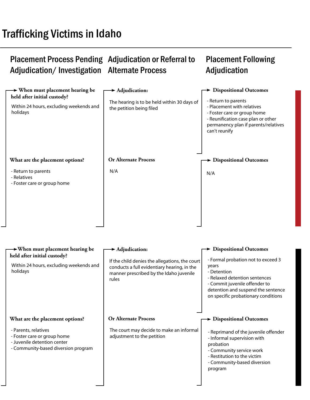# Trafficking Victims in Idaho

### Placement Process Pending Adjudication or Referral to Adjudication/Investigation Alternate Process Placement Following Adjudication

| $\rightarrow$ When must placement hearing be<br>held after initial custody?                                               | $\blacktriangleright$ Adjudication:                                                                                                               | > Dispositional Outcomes                                                                                                                                                                                  |
|---------------------------------------------------------------------------------------------------------------------------|---------------------------------------------------------------------------------------------------------------------------------------------------|-----------------------------------------------------------------------------------------------------------------------------------------------------------------------------------------------------------|
| Within 24 hours, excluding weekends and<br>holidays                                                                       | The hearing is to be held within 30 days of<br>the petition being filed                                                                           | - Return to parents<br>- Placement with relatives<br>- Foster care or group home<br>- Reunification case plan or other<br>permanency plan if parents/relatives<br>can't reunify                           |
| What are the placement options?                                                                                           | <b>Or Alternate Process</b>                                                                                                                       | <b>Dispositional Outcomes</b>                                                                                                                                                                             |
| - Return to parents<br>- Relatives<br>- Foster care or group home                                                         | N/A                                                                                                                                               | N/A                                                                                                                                                                                                       |
| $\rightarrow$ When must placement hearing be<br>held after initial custody?                                               | $\blacktriangleright$ Adjudication:                                                                                                               | > Dispositional Outcomes                                                                                                                                                                                  |
| Within 24 hours, excluding weekends and<br>holidays                                                                       | If the child denies the allegations, the court<br>conducts a full evidentiary hearing, in the<br>manner prescribed by the Idaho juvenile<br>rules | - Formal probation not to exceed 3<br>years<br>- Detention<br>- Relaxed detention sentences<br>- Commit juvenile offender to<br>detention and suspend the sentence<br>on specific probationary conditions |
| What are the placement options?                                                                                           | <b>Or Alternate Process</b>                                                                                                                       | $\rightarrow$ Dispositional Outcomes                                                                                                                                                                      |
| - Parents, relatives<br>- Foster care or group home<br>- Juvenile detention center<br>- Community-based diversion program | The court may decide to make an informal<br>adjustment to the petition                                                                            | - Reprimand of the juvenile offender<br>- Informal supervision with<br>probation<br>- Community service work<br>- Restitution to the victim<br>- Community-based diversion<br>program                     |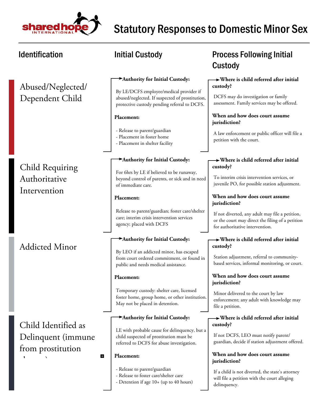

| <b>Identification</b>  | <b>Initial Custody</b>                                                                                                                     | <b>Process Following Initial</b><br>Custody                                                                                            |
|------------------------|--------------------------------------------------------------------------------------------------------------------------------------------|----------------------------------------------------------------------------------------------------------------------------------------|
| Abused/Neglected/      | Authority for Initial Custody:                                                                                                             | > Where is child referred after initial<br>custody?                                                                                    |
| Dependent Child        | By LE/DCFS employee/medical provider if<br>abused/neglected. If suspected of prostitution,<br>protective custody pending referral to DCFS. | DCFS may do investigation or family<br>assessment. Family services may be offered.                                                     |
|                        | Placement:                                                                                                                                 | When and how does court assume<br>jurisdiction?                                                                                        |
|                        | - Release to parent/guardian<br>- Placement in foster home<br>- Placement in shelter facility                                              | A law enforcement or public officer will file a<br>petition with the court.                                                            |
| <b>Child Requiring</b> | Authority for Initial Custody:                                                                                                             | $\rightarrow$ Where is child referred after initial<br>custody?                                                                        |
| Authoritative          | For 6hrs by LE if believed to be runaway,<br>beyond control of parents, or sick and in need<br>of immediate care.                          | To interim crisis intervention services, or<br>juvenile PO, for possible station adjustment.                                           |
| Intervention           | Placement:                                                                                                                                 | When and how does court assume<br>jurisdiction?                                                                                        |
|                        | Release to parent/guardian; foster care/shelter<br>care; interim crisis intervention services<br>agency; placed with DCFS                  | If not diverted, any adult may file a petition,<br>or the court may direct the filing of a petition<br>for authoritative intervention. |
|                        | Authority for Initial Custody:                                                                                                             | $\rightarrow$ Where is child referred after initial                                                                                    |
| <b>Addicted Minor</b>  | By LEO if an addicted minor, has escaped<br>from court ordered commitment, or found in<br>public and needs medical assistance.             | custody?<br>Station adjustment, referral to community-<br>based services, informal monitoring, or court.                               |
|                        | Placement:                                                                                                                                 | When and how does court assume<br>jurisdiction?                                                                                        |
|                        | Temporary custody: shelter care, licensed<br>foster home, group home, or other institution.<br>May not be placed in detention.             | Minor delivered to the court by law<br>enforcement; any adult with knowledge may<br>file a petition.                                   |
| Child Identified as    | Authority for Initial Custody:                                                                                                             | $\rightarrow$ Where is child referred after initial<br>custody?                                                                        |
| Delinquent (immune     | LE with probable cause for delinquency, but a<br>child suspected of prostitution must be<br>referred to DCFS for abuse investigation.      | If not DCFS, LEO must notify parent/<br>guardian, decide if station adjustment offered.                                                |
| from prostitution<br>Н | Placement:                                                                                                                                 | When and how does court assume<br>jurisdiction?                                                                                        |
|                        | - Release to parent/guardian<br>- Release to foster care/shelter care<br>- Detention if age 10+ (up to 40 hours)                           | If a child is not diverted, the state's attorney<br>will file a petition with the court alleging<br>delinquency.                       |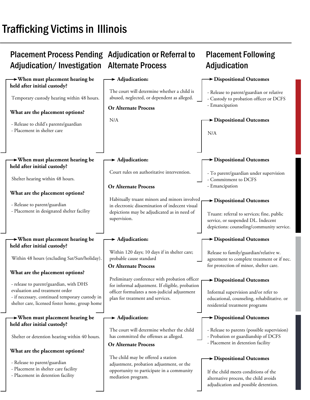# Trafficking Victims in Illinois

### Placement Process Pending Adjudication or Referral to Adjudication/Investigation Alternate Process **Placement Following Adjudication When must placement hearing be held after initial custody? When must placement hearing be held after initial custody? When must placement hearing be held after initial custody? When must placement hearing be held after initial custody? Adjudication Adjudication Adjudication Adjudication Dispositional Outcomes Dispositional Outcomes Dispositional Outcomes Dispositional Outcomes Dispositional Outcomes Dispositional Outcomes Dispositional Outcomes Dispositional Outcomes Or Alternate Process Or Alternate Process Or Alternate Process Or Alternate Process What are the placement options? What are the placement options? What are the placement options? What are the placement options?**  The court will determine whether a child is abused, neglected, or dependent as alleged. - Release to parent/guardian or relative - Custody to probation officer or DCFS - Emancipation - Release to child's parents/guardian - Placement in shelter care N/A N/A Court rules on authoritative intervention.  $\vert$  - To parent/guardian under supervision - Commitment to DCFS - Emancipation - Release to parent/guardian - Placement in designated shelter facility Habitually truant minors and minors involved in electronic dissemination of indecent visual depictions may be adjudicated as in need of depictions may be adjudicated as in need of<br>supervision. service, or suspended DL. Indecent depictions: counseling/community service. - release to parent/guardian, with DHS evaluation and treatment order - if necessary, continued temporary custody in shelter care, licensed foster home, group home - Release to parent/guardian - Placement in shelter care facility - Placement in detention facility Temporary custody hearing within 48 hours. Shelter hearing within 48 hours. Within 48 hours (excluding Sat/Sun/holiday). Within 120 days; 10 days if in shelter care; probable cause standard Release to family/guardian/relative w. agreement to complete treatment or if nec. for protection of minor, shelter care. Informal supervision and/or refer to educational, counseling, rehabilitative. or residential treatment programs Shelter or detention hearing within 40 hours. Preliminary conference with probation officer for informal adjustment. If eligible, probation officer formulates a non-judicial adjustment plan for treatment and services. The court will determine whether the child has committed the offenses as alleged. - Release to parents (possible supervision) - Probation or guardianship of DCFS - Placement in detention facility The child may be offered a station adjustment, probation adjustment, or the opportunity to participate in a community mediation program. If the child meets conditions of the alternative process, the child avoids adjudication and possible detention.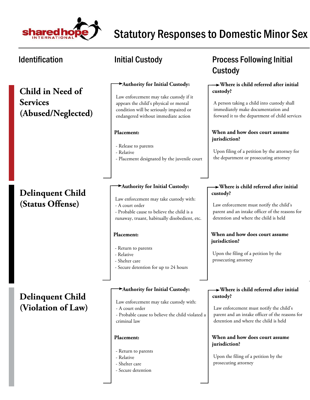

**Child in Need of Services (Abused/Neglected)**

# **Delinquent Child (Status Offense)**

**Delinquent Child (Violation of Law)**

### **Authority for Initial Custody:**

Law enforcement may take custody if it appears the child's physical or mental condition will be seriously impaired or endangered without immediate action

### **Placement:**

- Release to parents
- Relative
- Placement designated by the juvenile court

### **Authority for Initial Custody:**

- Law enforcement may take custody with: - A court order
- Probable cause to believe the child is a runaway, truant, habitually disobedient, etc.

### **Placement:**

- Return to parents
- Relative
- Shelter care
- Secure detention for up to 24 hours

### **Authority for Initial Custody:**

Law enforcement may take custody with: - A court order

- Probable cause to believe the child violated a criminal law

### **Placement:**

- Return to parents
- Relative
- Shelter care
- Secure detention

# Identification **Matube initial Custody Constant Custody Process Following Initial** Custody

### **Where is child referred after initial custody?**

A person taking a child into custody shall immediately make documentation and forward it to the department of child services

### **When and how does court assume jurisdiction?**

Upon filing of a petition by the attorney for the department or prosecuting attorney

### **Where is child referred after initial custody?**

Law enforcement must notify the child's parent and an intake officer of the reasons for detention and where the child is held

### **When and how does court assume jurisdiction?**

Upon the filing of a petition by the prosecuting attorney

### **Where is child referred after initial custody?**

Law enforcement must notify the child's parent and an intake officer of the reasons for detention and where the child is held

### **When and how does court assume jurisdiction?**

Upon the filing of a petition by the prosecuting attorney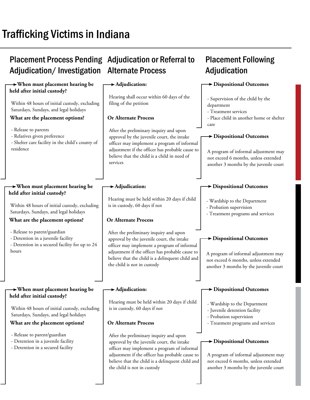# Trafficking Victims in Indiana

### Placement Process Pending Adjudication or Referral to Adjudication/Investigation Alternate Process **Placement Following Adjudication When must placement hearing be held after initial custody? When must placement hearing be held after initial custody? When must placement hearing be held after initial custody? Adjudication: Adjudication: Adjudication: Dispositional Outcomes Dispositional Outcomes Dispositional Outcomes Dispositional Outcomes Dispositional Outcomes Dispositional Outcomes Or Alternate Process Or Alternate Process Or Alternate Process What are the placement options? What are the placement options? What are the placement options?**  Within 48 hours of initial custody, excluding Saturdays, Sundays, and legal holidays - Release to parents - Relatives given preference - Shelter care facility in the child's county of residence Within 48 hours of initial custody, excluding Saturdays, Sundays, and legal holidays - Release to parent/guardian - Detention in a juvenile facility - Detention in a secured facility for up to 24 hours - Release to parent/guardian - Detention in a juvenile facility - Detention in a secured facility After the preliminary inquiry and upon approval by the juvenile court, the intake officer may implement a program of informal adjustment if the officer has probable cause to believe that the child is a child in need of services After the preliminary inquiry and upon approval by the juvenile court, the intake officer may implement a program of informal adjustment if the officer has probable cause to believe that the child is a delinquent child and the child is not in custody After the preliminary inquiry and upon approval by the juvenile court, the intake officer may implement a program of informal adjustment if the officer has probable cause to believe that the child is a delinquent child and the child is not in custody Hearing shall occur within 60 days of the filing of the petition Hearing must be held within 20 days if child is in custody, 60 days if not Hearing must be held within 20 days if child is in custody, 60 days if not - Supervision of the child by the department - Treatment services - Place child in another home or shelter care - Wardship to the Department - Probation supervision - Treatment programs and services - Wardship to the Department - Juvenile detention facility - Probation supervision - Treatment programs and services A program of informal adjustment may not exceed 6 months, unless extended another 3 months by the juvenile court A program of informal adjustment may not exceed 6 months, unless extended another 3 months by the juvenile court Within 48 hours of initial custody, excluding Saturdays, Sundays, and legal holidays A program of informal adjustment may not exceed 6 months, unless extended another 3 months by the juvenile court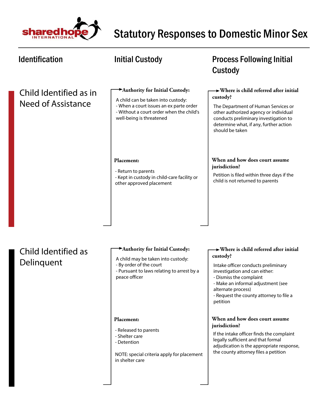

| <b>Identification</b>                        | <b>Initial Custody</b>                                                                                                                                                                  | <b>Process Following Initial</b><br>Custody                                                                                                                                                                                                                               |
|----------------------------------------------|-----------------------------------------------------------------------------------------------------------------------------------------------------------------------------------------|---------------------------------------------------------------------------------------------------------------------------------------------------------------------------------------------------------------------------------------------------------------------------|
| Child Identified as in<br>Need of Assistance | Authority for Initial Custody:<br>A child can be taken into custody:<br>- When a court issues an ex parte order<br>- Without a court order when the child's<br>well-being is threatened | $\rightarrow$ Where is child referred after initial<br>custody?<br>The Department of Human Services or<br>other authorized agency or individual<br>conducts preliminary investigation to<br>determine what, if any, further action<br>should be taken                     |
|                                              | Placement:<br>- Return to parents<br>- Kept in custody in child-care facility or<br>other approved placement                                                                            | When and how does court assume<br>jurisdiction?<br>Petition is filed within three days if the<br>child is not returned to parents                                                                                                                                         |
| Child Identified as<br>Delinquent            | Authority for Initial Custody:<br>A child may be taken into custody:<br>- By order of the court<br>- Pursuant to laws relating to arrest by a<br>peace officer                          | > Where is child referred after initial<br>custody?<br>Intake officer conducts preliminary<br>investigation and can either:<br>- Dismiss the complaint<br>- Make an informal adjustment (see<br>alternate process)<br>- Request the county attorney to file a<br>petition |
|                                              | Placement:<br>- Released to parents<br>- Shelter care<br>- Detention<br>NOTE: special criteria apply for placement<br>in shelter care                                                   | When and how does court assume<br>jurisdiction?<br>If the intake officer finds the complaint<br>legally sufficient and that formal<br>adjudication is the appropriate response,<br>the county attorney files a petition                                                   |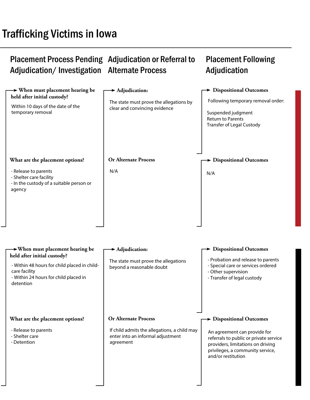### Placement Process Pending Adjudication or Referral to Adjudication/Investigation Alternate Process Placement Following Adjudication

### **When must placement hearing be held after initial custody? When must placement hearing be held after initial custody? Adjudication Adjudication Dispositional Outcomes Dispositional Outcomes Dispositional Outcomes Dispositional Outcomes Or Alternate Process Or Alternate Process What are the placement options? What are the placement options?**  The state must prove the allegations by clear and convincing evidence Following temporary removal order: Suspended judgment Return to Parents Transfer of Legal Custody - Release to parents - Shelter care facility - In the custody of a suitable person or agency N/A - Release to parents - Shelter care - Detention N/A If child admits the allegations, a child may enter into an informal adjustment agreement Within 10 days of the date of the temporary removal - Within 48 hours for child placed in childcare facility - Within 24 hours for child placed in detention The state must prove the allegations beyond a reasonable doubt - Probation and release to parents - Special care or services ordered - Other supervision - Transfer of legal custody An agreement can provide for referrals to public or private service providers, limitations on driving privileges, a community service, and/or restitution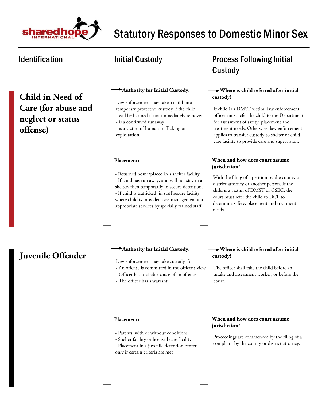

**Child in Need of Care (for abuse and neglect or status offense)**

### **Authority for Initial Custody:**

Law enforcement may take a child into temporary protective custody if the child: - will be harmed if not immediately removed

- is a confirmed runaway
- is a victim of human trafficking or exploitation.

### **Placement:**

- Returned home/placed in a shelter facility - If child has run away, and will not stay in a shelter, then temporarily in secure detention. - If child is trafficked, in staff secure facility where child is provided case management and appropriate services by specially trained staff.

# Identification **Matube 10 Mullet 10 Mullet 10 Mullet 10 Mullet 10 Mullet 10 Mullet 10 Mullet 10 Mullet 10 Mullet 10 Mullet 10 Mullet 10 Mullet 10 Mullet 10 Mullet 10 Mullet 10 Mullet 10 Mullet 10 Mullet 10 Mullet 10 Mullet** Custody

### **Where is child referred after initial custody?**

If child is a DMST victim, law enforcement officer must refer the child to the Department for assessment of safety, placement and treatment needs. Otherwise, law enforcement applies to transfer custody to shelter or child care facility to provide care and supervision.

### **When and how does court assume jurisdiction?**

With the filing of a petition by the county or district attorney or another person. If the child is a victim of DMST or CSEC, the court must refer the child to DCF to determine safety, placement and treatment needs.

# **Juvenile Offender**

### **Authority for Initial Custody:**

Law enforcement may take custody if:

- An offense is committed in the officer's view
- Officer has probable cause of an offense
- The officer has a warrant

### **Placement:**

- Parents, with or without conditions
- Shelter facility or licensed care facility
- Placement in a juvenile detention center,
- only if certain criteria are met

### **Where is child referred after initial custody?**

The officer shall take the child before an intake and assessment worker, or before the court.

### **When and how does court assume jurisdiction?**

Proceedings are commenced by the filing of a complaint by the county or district attorney.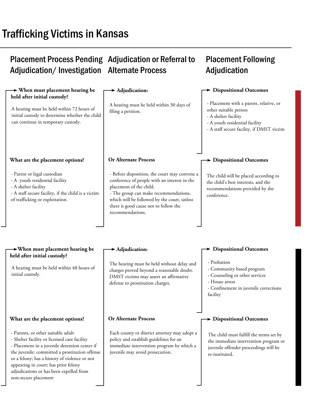# Trafficking Victims in Kansas

non-secure placement

### Placement Process Pending Adjudication or Referral to Adjudication/Investigation Alternate Process

#### **When must placement hearing be held after initial custody? When must placement hearing be held after initial custody? Adjudication Adjudication Dispositional Outcomes Dispositional Outcomes Dispositional Outcomes Dispositional Outcomes Or Alternate Process Or Alternate Process What are the placement options? What are the placement options?**  A hearing must be held within 30 days of filing a petition. - Placement with a parent, relative, or other suitable person - A shelter facility - A youth residential facility - A staff secure facility, if DMST victim - Parent or legal custodian - A youth residential facility - A shelter facility - A staff secure facility, if the child is a victim of trafficking or exploitation. The child will be placed according to the child's best interests, and the recommendations provided by the conference. - Before disposition, the court may convene a conference of people with an interest in the placement of the child. - The group can make recommendations, which will be followed by the court, unless there is good cause not to follow the recommendations. Each county or district attorney may adopt a policy and establish guidelines for an immediate intervention program by which a juvenile may avoid prosecution. A hearing must be held within 72 hours of initial custody to determine whether the child can continue in temporary custody. A hearing must be held within 48 hours of initial custody. The hearing must be held without delay and charges proved beyond a reasonable doubt. DMST victims may assert an affirmative defense to prostitution charges. - Probation - Community based program - Counseling or other services - House arrest - Confinement in juvenile corrections facility - Parents, or other suitable adult - Shelter facility or licensed care facility - Placement in a juvenile detention center if the juvenile: committed a prostitution offense or a felony; has a history of violence or not appearing in court; has prior felony adjudications or has been expelled from The child must fulfill the terms set by the immediate intervention program or juvenile offender proceedings will be re-instituted.

Placement Following

**Adjudication**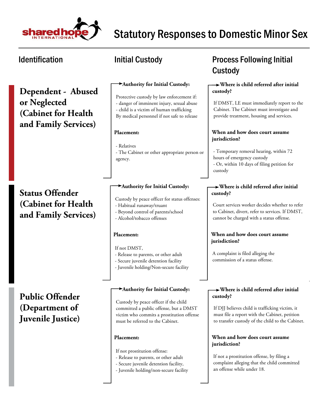

**Dependent - Abused or Neglected (Cabinet for Health and Family Services)**

### **Status Offender (Cabinet for Health and Family Services)**

**Public Offender (Department of Juvenile Justice)**

#### **Authority for Initial Custody:**

Protective custody by law enforcement if: - danger of imminent injury, sexual abuse - child is a victim of human trafficking By medical personnel if not safe to release

#### **Placement:**

- Relatives

- The Cabinet or other appropriate person or agency.

#### **Authority for Initial Custody:**

- Custody by peace officer for status offenses:
- Habitual runaway/truant
- Beyond control of parents/school
- Alcohol/tobacco offenses

#### **Placement:**

If not DMST,

- Release to parents, or other adult
- Secure juvenile detention facility
- Juvenile holding/Non-secure facility

#### **Authority for Initial Custody:**

Custody by peace officer if the child committed a public offense, but a DMST victim who commits a prostitution offense must be referred to the Cabinet.

#### **Placement:**

If not prostitution offense:

- Release to parents, or other adult
- Secure juvenile detention facility,
- Juvenile holding/non-secure facility

## Identification The Superinten Custody Channel Process Following Initial Custody

#### **Where is child referred after initial custody?**

If DMST, LE must immediately report to the Cabinet. The Cabinet must investigate and provide treatment, housing and services.

#### **When and how does court assume jurisdiction?**

- Temporary removal hearing, within 72 hours of emergency custody - Or, within 10 days of filing petition for custody

#### **Where is child referred after initial custody?**

Court services worker decides whether to refer to Cabinet, divert, refer to services. If DMST, cannot be charged with a status offense.

#### **When and how does court assume jurisdiction?**

A complaint is filed alleging the commission of a status offense.

#### **Where is child referred after initial custody?**

If DJJ believes child is trafficking victim, it must file a report with the Cabinet, petition to transfer custody of the child to the Cabinet.

#### **When and how does court assume jurisdiction?**

If not a prostitution offense, by filing a complaint alleging that the child committed an offense while under 18.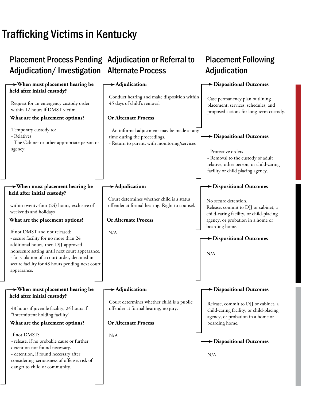# Trafficking Victims in Kentucky

#### Placement Process Pending Adjudication or Referral to Adjudication/Investigation Alternate Process **Placement Following Adjudication When must placement hearing be held after initial custody? When must placement hearing be held after initial custody? When must placement hearing be held after initial custody? Adjudication: Adjudication: Adjudication: Dispositional Outcomes Dispositional Outcomes Dispositional Outcomes Dispositional Outcomes Dispositional Outcomes Dispositional Outcomes Or Alternate Process Or Alternate Process Or Alternate Process What are the placement options? What are the placement options? What are the placement options?**  Request for an emergency custody order within 12 hours if DMST victim. Temporary custody to: - Relatives - The Cabinet or other appropriate person or agency. within twenty-four (24) hours, exclusive of weekends and holidays If not DMST and not released: - secure facility for no more than 24 additional hours, then DJJ-approved nonsecure setting until next court appearance. - for violation of a court order, detained in secure facility for 48 hours pending next court appearance. If not DMST: - release, if no probable cause or further detention not found necessary. - detention, if found necessary after considering seriousness of offense, risk of danger to child or community. - An informal adjustment may be made at any time during the proceedings. - Return to parent, with monitoring/services N/A N/A Conduct hearing and make disposition within 45 days of child's removal Court determines whether child is a status offender at formal hearing. Right to counsel. Court determines whether child is a public offender at formal hearing, no jury. Case permanency plan outlining placement, services, schedules, and proposed actions for long-term custody. No secure detention. Release, commit to DJJ or cabinet, a child-caring facility, or child-placing agency, or probation in a home or boarding home. Release, commit to DJJ or cabinet, a child-caring facility, or child-placing agency, or probation in a home or boarding home. - Protective orders - Removal to the custody of adult relative, other person, or child-caring facility or child placing agency. N/A 48 hours if juvenile facility, 24 hours if "intermittent holding facility" N/A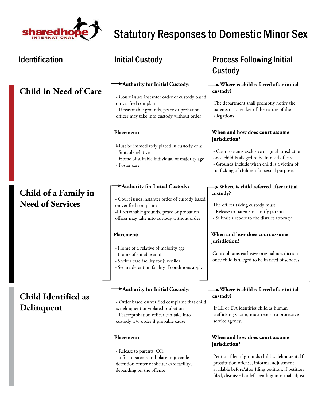

| <b>Identification</b>                           | <b>Initial Custody</b>                                                                                                                                                                                                                                                                                                                                                                 | <b>Process Following Initial</b><br>Custody                                                                                                                                                                                                                                                                                                                                                                                                  |
|-------------------------------------------------|----------------------------------------------------------------------------------------------------------------------------------------------------------------------------------------------------------------------------------------------------------------------------------------------------------------------------------------------------------------------------------------|----------------------------------------------------------------------------------------------------------------------------------------------------------------------------------------------------------------------------------------------------------------------------------------------------------------------------------------------------------------------------------------------------------------------------------------------|
| <b>Child in Need of Care</b>                    | Authority for Initial Custody:<br>- Court issues instanter order of custody based<br>on verified complaint<br>- If reasonable grounds, peace or probation<br>officer may take into custody without order                                                                                                                                                                               | $\rightarrow$ Where is child referred after initial<br>custody?<br>The department shall promptly notify the<br>parents or caretaker of the nature of the<br>allegations                                                                                                                                                                                                                                                                      |
|                                                 | Placement:<br>Must be immediately placed in custody of a:<br>- Suitable relative<br>- Home of suitable individual of majority age<br>- Foster care                                                                                                                                                                                                                                     | When and how does court assume<br>jurisdiction?<br>- Court obtains exclusive original jurisdiction<br>once child is alleged to be in need of care<br>- Grounds include when child is a victim of<br>trafficking of children for sexual purposes                                                                                                                                                                                              |
| Child of a Family in<br><b>Need of Services</b> | Authority for Initial Custody:<br>- Court issues instanter order of custody based<br>on verified complaint<br>-I f reasonable grounds, peace or probation<br>officer may take into custody without order<br>Placement:<br>- Home of a relative of majority age<br>- Home of suitable adult<br>- Shelter care facility for juveniles<br>- Secure detention facility if conditions apply | $\rightarrow$ Where is child referred after initial<br>custody?<br>The officer taking custody must:<br>- Release to parents or notify parents<br>- Submit a report to the district attorney<br>When and how does court assume<br>jurisdiction?<br>Court obtains exclusive original jurisdiction<br>once child is alleged to be in need of services                                                                                           |
| <b>Child Identified as</b><br>Delinquent        | Authority for Initial Custody:<br>- Order based on verified complaint that child<br>is delinquent or violated probation<br>- Peace/probation officer can take into<br>custody w/o order if probable cause<br>Placement:<br>- Release to parents, OR<br>- inform parents and place in juvenile<br>detention center or shelter care facility,<br>depending on the offense                | $\rightarrow$ Where is child referred after initial<br>custody?<br>If LE or DA identifies child as human<br>trafficking victim, must report to protective<br>service agency.<br>When and how does court assume<br>jurisdiction?<br>Petition filed if grounds child is delinquent. If<br>prostitution offense, informal adjustment<br>available before/after filing petition; if petition<br>filed, dismissed or left pending informal adjust |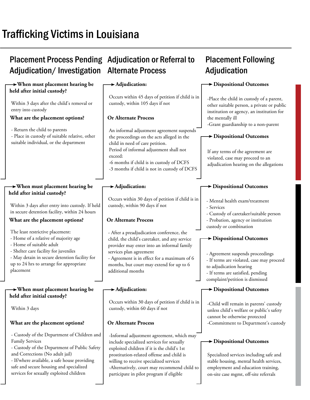# Trafficking Victims in Louisiana

## Placement Process Pending Adjudication or Referral to Adjudication/Investigation Alternate Process

#### **When must placement hearing be held after initial custody? When must placement hearing be held after initial custody? When must placement hearing be held after initial custody? Adjudication: Adjudication: Adjudication: Dispositional Outcomes Dispositional Outcomes Dispositional Outcomes Dispositional Outcomes Dispositional Outcomes Or Alternate Process Or Alternate Process Or Alternate Process What are the placement options? What are the placement options? What are the placement options?**  Within 3 days after the child's removal or entry into custody - Return the child to parents - Place in custody of suitable relative, other suitable individual, or the department Within 3 days after entry into custody. If held in secure detention facility, within 24 hours The least restrictive placement: - Home of a relative of majority age - Home of suitable adult - Shelter care facility for juveniles - May detain in secure detention facility for up to 24 hrs to arrange for appropriate placement An informal adjustment agreement suspends the proceedings on the acts alleged in the child in need of care petition. Period of informal adjustment shall not exceed: -6 months if child is in custody of DCFS -3 months if child is not in custody of DCFS - After a preadjudication conference, the child, the child's caretaker, and any service provider may enter into an informal family services plan agreement - Agreement is in effect for a maximum of 6 months, but court may extend for up to 6 additional months Occurs within 45 days of petition if child is in custody, within 105 days if not Occurs within 30 days of petition if child is in custody, within 90 days if not Occurs within 30 days of petition if child is in custody, within 60 days if not -Place the child in custody of a parent, other suitable person, a private or public institution or agency, an institution for the mentally ill -Grant guardianship to a non-parent - Mental health exam/treatment - Services - Custody of caretaker/suitable person - Probation, agency or institution custody or combination -Child will remain in parents' custody unless child's welfare or public's safety cannot be otherwise protected -Commitment to Department's custody If any terms of the agreement are violated, case may proceed to an adjudication hearing on the allegations - Agreement suspends proceedings - If terms are violated, case may proceed to adjudication hearing - If terms are satisfied, pending complaint/petition is dismissed Within 3 days

- Custody of the Department of Children and Family Services

- Custody of the Department of Public Safety and Corrections (No adult jail)

- If/where available, a safe house providing safe and secure housing and specialized services for sexually exploited children

-Informal adjustment agreement, which may include specialized services for sexually exploited children if it is the child's 1st prostitution-related offense and child is willing to receive specialized services -Alternatively, court may recommend child to participate in pilot program if eligible

#### **Dispositional Outcomes**

**Placement Following** 

**Adjudication** 

Specialized services including safe and stable housing, mental health services, employment and education training, on-site case mgmt, off-site referrals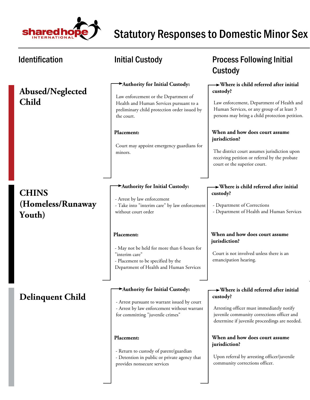

| <b>Identification</b>                       | <b>Initial Custody</b>                                                                                                                                                                                                                                | <b>Process Following Initial</b><br>Custody                                                                                                                                                                                                                                                                                                                                                      |
|---------------------------------------------|-------------------------------------------------------------------------------------------------------------------------------------------------------------------------------------------------------------------------------------------------------|--------------------------------------------------------------------------------------------------------------------------------------------------------------------------------------------------------------------------------------------------------------------------------------------------------------------------------------------------------------------------------------------------|
| Abused/Neglected<br><b>Child</b>            | Authority for Initial Custody:<br>Law enforcement or the Department of<br>Health and Human Services pursuant to a<br>preliminary child protection order issued by<br>the court.<br>Placement:<br>Court may appoint emergency guardians for<br>minors. | $\rightarrow$ Where is child referred after initial<br>custody?<br>Law enforcement, Department of Health and<br>Human Services, or any group of at least 3<br>persons may bring a child protection petition.<br>When and how does court assume<br>jurisdiction?<br>The district court assumes jurisdiction upon<br>receiving petition or referral by the probate<br>court or the superior court. |
| <b>CHINS</b><br>(Homeless/Runaway<br>Youth) | Authority for Initial Custody:<br>- Arrest by law enforcement<br>- Take into "interim care" by law enforcement<br>without court order                                                                                                                 | $\rightarrow$ Where is child referred after initial<br>custody?<br>- Department of Corrections<br>- Department of Health and Human Services                                                                                                                                                                                                                                                      |
|                                             | Placement:<br>- May not be held for more than 6 hours for<br>"interim care"<br>- Placement to be specified by the<br>Department of Health and Human Services                                                                                          | When and how does court assume<br>jurisdiction?<br>Court is not involved unless there is an<br>emancipation hearing.                                                                                                                                                                                                                                                                             |
| <b>Delinquent Child</b>                     | Authority for Initial Custody:<br>- Arrest pursuant to warrant issued by court<br>- Arrest by law enforcement without warrant<br>for committing "juvenile crimes"                                                                                     | $\rightarrow$ Where is child referred after initial<br>custody?<br>Arresting officer must immediately notify<br>juvenile community corrections officer and<br>determine if juvenile proceedings are needed.                                                                                                                                                                                      |
|                                             | Placement:<br>- Return to custody of parent/guardian<br>- Detention in public or private agency that<br>provides nonsecure services                                                                                                                   | When and how does court assume<br>jurisdiction?<br>Upon referral by arresting officer/juvenile<br>community corrections officer.                                                                                                                                                                                                                                                                 |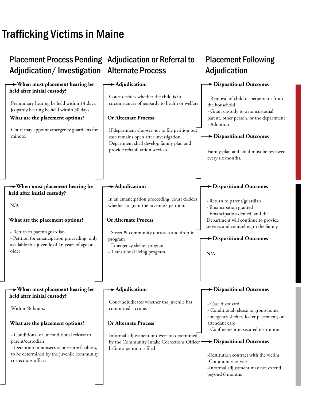# Trafficking Victims in Maine

#### Placement Process Pending Adjudication or Referral to Adjudication/ Investigation Alternate Process Placement Following Adjudication  **When must placement hearing be held after initial custody? When must placement hearing be held after initial custody? When must placement hearing be held after initial custody? Adjudication: Adjudication: Adjudication: Dispositional Outcomes Dispositional Outcomes Dispositional Outcomes Dispositional Outcomes Dispositional Outcomes Dispositional Outcomes Or Alternate Process Or Alternate Process Or Alternate Process What are the placement options? What are the placement options? What are the placement options?**  Preliminary hearing be held within 14 days; jeopardy hearing be held within 30 days. Court may appoint emergency guardians for minors. N/A - Return to parent/guardian - Petition for emancipation proceeding, only available to a juvenile of 16 years of age or older - Conditional or unconditional release to parent/custodian - Detention in nonsecure or secure facilities, to be determined by the juvenile community corrections officer If department chooses not to file petition but case remains open after investigation, Department shall develop family plan and provide rehabilitation services. - Street & community outreach and drop-in program - Emergency shelter program - Transitional living program Informal adjustment or diversion determined by the Community Intake Corrections Officer before a petition is filed . Court decides whether the child is in circumstances of jeopardy to health or welfare. In an emancipation proceeding, court decides whether to grant the juvenile's petition. Court adjudicates whether the juvenile has committed a crime. - Removal of child or perpetrator from the household - Grant custody to a noncustodial parent, other person, or the department - Adoption - Return to parent/guardian - Emancipation granted - Emancipation denied, and the Department will continue to provide services and counseling to the family - Case dismissed - Conditional release to group home, emergency shelter, foster placement, or attendant care - Confinement in secured institution Family plan and child must be reviewed every six months. N/A Within 48 hours. -Restitution contract with the victim -Community service -Informal adjustment may not extend beyond 6 months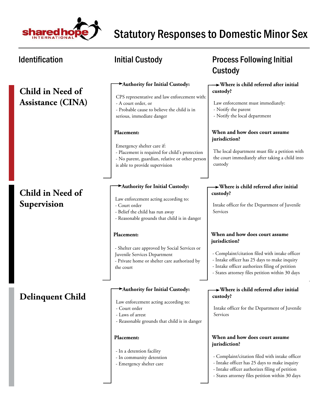

| <b>Identification</b>                        | <b>Initial Custody</b>                                                                                                                                                            | <b>Process Following Initial</b><br>Custody                                                                                                                                                                                                            |
|----------------------------------------------|-----------------------------------------------------------------------------------------------------------------------------------------------------------------------------------|--------------------------------------------------------------------------------------------------------------------------------------------------------------------------------------------------------------------------------------------------------|
| Child in Need of<br><b>Assistance (CINA)</b> | Authority for Initial Custody:<br>CPS representative and law enforcement with:<br>- A court order, or<br>- Probable cause to believe the child is in<br>serious, immediate danger | $\rightarrow$ Where is child referred after initial<br>custody?<br>Law enforcement must immediately:<br>- Notify the parent<br>- Notify the local department                                                                                           |
|                                              | Placement:<br>Emergency shelter care if:<br>- Placement is required for child's protection<br>- No parent, guardian, relative or other person<br>is able to provide supervision   | When and how does court assume<br>jurisdiction?<br>The local department must file a petition with<br>the court immediately after taking a child into<br>custody                                                                                        |
| Child in Need of<br>Supervision              | Authority for Initial Custody:<br>Law enforcement acting according to:<br>- Court order<br>- Belief the child has run away<br>- Reasonable grounds that child is in danger        | $\rightarrow$ Where is child referred after initial<br>custody?<br>Intake officer for the Department of Juvenile<br>Services                                                                                                                           |
|                                              | Placement:<br>- Shelter care approved by Social Services or<br>Juvenile Services Department<br>- Private home or shelter care authorized by<br>the court                          | When and how does court assume<br>jurisdiction?<br>- Complaint/citation filed with intake officer<br>- Intake officer has 25 days to make inquiry<br>- Intake officer authorizes filing of petition<br>- States attorney files petition within 30 days |
| <b>Delinquent Child</b>                      | Authority for Initial Custody:<br>Law enforcement acting according to:<br>- Court order<br>- Laws of arrest<br>- Reasonable grounds that child is in danger                       | $\rightarrow$ Where is child referred after initial<br>custody?<br>Intake officer for the Department of Juvenile<br>Services                                                                                                                           |
|                                              | Placement:<br>- In a detention facility<br>- In community detention<br>- Emergency shelter care                                                                                   | When and how does court assume<br>jurisdiction?<br>- Complaint/citation filed with intake officer<br>- Intake officer has 25 days to make inquiry                                                                                                      |

- Emergency shelter care

### - Intake officer authorizes filing of petition

- States attorney files petition within 30 days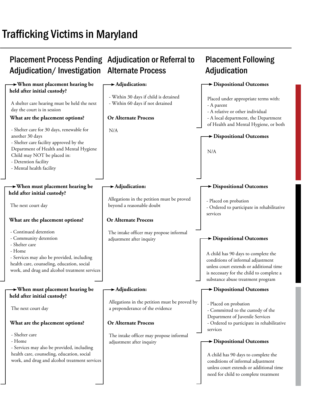# Trafficking Victims in Maryland

#### Placement Process Pending Adjudication or Referral to Adjudication/Investigation Alternate Process **Placement Following Adjudication When must placement hearing be held after initial custody? When must placement hearing be held after initial custody? When must placement hearing be held after initial custody? Adjudication: Adjudication: Adjudication: Dispositional Outcomes Dispositional Outcomes Dispositional Outcomes Dispositional Outcomes Dispositional Outcomes Dispositional Outcomes Or Alternate Process Or Alternate Process Or Alternate Process What are the placement options? What are the placement options? What are the placement options?**  A shelter care hearing must be held the next day the court is in session - Shelter care for 30 days, renewable for another 30 days - Shelter care facility approved by the Department of Health and Mental Hygiene Child may NOT be placed in: - Detention facility - Mental health facility The next court day - Continued detention - Community detention - Shelter care - Home - Services may also be provided, including health care, counseling, education, social work, and drug and alcohol treatment services - Shelter care - Home - Services may also be provided, including health care, counseling, education, social work, and drug and alcohol treatment services N/A The intake officer may propose informal adjustment after inquiry The intake officer may propose informal adjustment after inquiry - Within 30 days if child is detained - Within 60 days if not detained Allegations in the petition must be proved beyond a reasonable doubt Allegations in the petition must be proved by a preponderance of the evidence Placed under appropriate terms with: - A parent - A relative or other individual - A local department, the Department of Health and Mental Hygiene, or both - Placed on probation - Ordered to participate in rehabilitative services - Placed on probation - Committed to the custody of the Department of Juvenile Services - Ordered to participate in rehabilitative services N/A A child has 90 days to complete the conditions of informal adjustment unless court extends or additional time is necessary for the child to complete a substance abuse treatment program The next court day A child has 90 days to complete the conditions of informal adjustment unless court extends or additional time need for child to complete treatment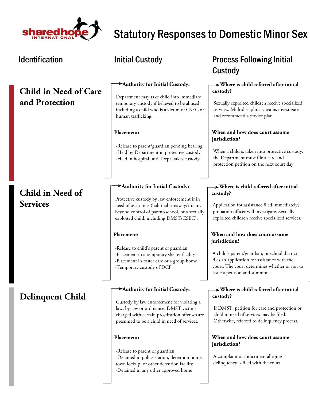

### **Child in Need of Care and Protection**

### **Child in Need of Services**

### **Delinquent Child**

#### **Authority for Initial Custody:**

Department may take child into immediate temporary custody if believed to be abused, including a child who is a victim of CSEC or human trafficking.

#### **Placement:**

-Release to parent/guardian pending hearing -Held by Department in protective custody -Held in hospital until Dept. takes custody

#### **Authority for Initial Custody:**

Protective custody by law enforcement if in need of assistance (habitual runaway/truant, beyond control of parent/school, or a sexually exploited child, including DMST/CSEC).

#### **Placement:**

-Release to child's parent or guardian -Placement in a temporary shelter facility -Placement in foster care or a group home -Temporary custody of DCF.

#### **Authority for Initial Custody:**

Custody by law enforcement for violating a law, by-law or ordinance. DMST victims charged with certain prostitution offenses are presumed to be a child in need of services.

#### **Placement:**

-Release to parent or guardian -Detained in police station, detention home, town lockup, or other detention facility -Detained in any other approved home

### Identification **Matube initial Custody Constant Custody Process Following Initial** Custody

#### **Where is child referred after initial custody?**

Sexually exploited children receive specialized services. Multidisciplinary teams investigate and recommend a service plan.

#### **When and how does court assume jurisdiction?**

When a child is taken into protective custody, the Department must file a care and protection petition on the next court day.

#### **Where is child referred after initial custody?**

Application for assistance filed immediately; probation officer will investigate. Sexually exploited children receive specialized services.

#### **When and how does court assume jurisdiction?**

A child's parent/guardian, or school district files an application for assistance with the court. The court determines whether or not to issue a petition and summons.

#### **Where is child referred after initial custody?**

If DMST, petition for care and protection or child in need of services may be filed. Otherwise, referred to delinquency process.

#### **When and how does court assume jurisdiction?**

A complaint or indictment alleging delinquency is filed with the court.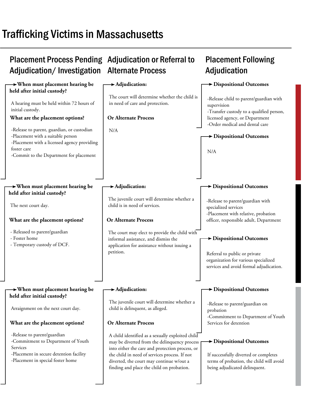# Trafficking Victims in Massachusetts

| Adjudication/Investigation                                                                                                                                    | <b>Placement Process Pending Adjudication or Referral to</b><br><b>Alternate Process</b>                                                                                                                                                                                                      | <b>Placement Following</b><br>Adjudication                                                                                                                            |
|---------------------------------------------------------------------------------------------------------------------------------------------------------------|-----------------------------------------------------------------------------------------------------------------------------------------------------------------------------------------------------------------------------------------------------------------------------------------------|-----------------------------------------------------------------------------------------------------------------------------------------------------------------------|
| $\rightarrow$ When must placement hearing be<br>held after initial custody?                                                                                   | $\rightarrow$ Adjudication:                                                                                                                                                                                                                                                                   | Dispositional Outcomes                                                                                                                                                |
| A hearing must be held within 72 hours of<br>initial custody.<br>What are the placement options?                                                              | The court will determine whether the child is<br>in need of care and protection.<br><b>Or Alternate Process</b>                                                                                                                                                                               | -Release child to parent/guardian with<br>supervision<br>-Transfer custody to a qualified person,<br>licensed agency, or Department<br>-Order medical and dental care |
| -Release to parent, guardian, or custodian<br>-Placement with a suitable person                                                                               | N/A                                                                                                                                                                                                                                                                                           | > Dispositional Outcomes                                                                                                                                              |
| -Placement with a licensed agency providing<br>foster care<br>-Commit to the Department for placement                                                         |                                                                                                                                                                                                                                                                                               | N/A                                                                                                                                                                   |
| $\rightarrow$ When must placement hearing be                                                                                                                  | $\blacktriangleright$ Adjudication:                                                                                                                                                                                                                                                           | <b>&gt; Dispositional Outcomes</b>                                                                                                                                    |
| held after initial custody?<br>The next court day.                                                                                                            | The juvenile court will determine whether a<br>child is in need of services.                                                                                                                                                                                                                  | -Release to parent/guardian with<br>specialized services<br>-Placement with relative, probation                                                                       |
| What are the placement options?                                                                                                                               | Or Alternate Process                                                                                                                                                                                                                                                                          | officer, responsible adult, Department                                                                                                                                |
| - Released to parent/guardian<br>- Foster home<br>- Temporary custody of DCF.                                                                                 | The court may elect to provide the child with<br>informal assistance, and dismiss the<br>application for assistance without issuing a<br>petition.                                                                                                                                            | <b>&gt;</b> Dispositional Outcomes<br>Referral to public or private<br>organization for various specialized<br>services and avoid formal adjudication.                |
| $\rightarrow$ When must placement hearing be                                                                                                                  | Adjudication:                                                                                                                                                                                                                                                                                 | <b>&gt; Dispositional Outcomes</b>                                                                                                                                    |
| held after initial custody?<br>Arraignment on the next court day.                                                                                             | The juvenile court will determine whether a<br>child is delinquent, as alleged.                                                                                                                                                                                                               | -Release to parent/guardian on<br>probation<br>-Commitment to Department of Youth                                                                                     |
| What are the placement options?                                                                                                                               | <b>Or Alternate Process</b>                                                                                                                                                                                                                                                                   | Services for detention                                                                                                                                                |
| -Release to parent/guardian<br>-Commitment to Department of Youth<br>Services<br>-Placement in secure detention facility<br>-Placement in special foster home | A child identified as a sexually exploited child<br>may be diverted from the delinquency process<br>into either the care and protection process, or<br>the child in need of services process. If not<br>diverted, the court may continue w/out a<br>finding and place the child on probation. | $\blacktriangleright$ Dispositional Outcomes<br>If successfully diverted or completes<br>terms of probation, the child will avoid<br>being adjudicated delinquent.    |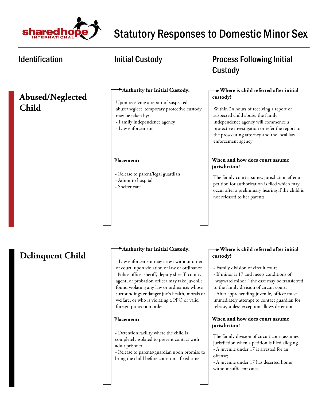

### **Abused/Neglected Child**

#### **Authority for Initial Custody:**

Upon receiving a report of suspected abuse/neglect, temporary protective custody may be taken by:

- Family independence agency
- Law enforcement

#### **Placement:**

- Release to parent/legal guardian
- Admit to hospital
- Shelter care

## Identification **Matube initial Custody CONGITY** Process Following Initial Custody

### **Where is child referred after initial custody?**

Within 24 hours of receiving a report of suspected child abuse, the family independence agency will commence a protective investigation or refer the report to the prosecuting attorney and the local law enforcement agency

### **When and how does court assume jurisdiction?**

The family court assumes jurisdiction after a petition for authorization is filed which may occur after a preliminary hearing if the child is not released to her parents

# **Delinquent Child**

#### **Authority for Initial Custody:**

- Law enforcement may arrest without order of court, upon violation of law or ordinance -Police office, sheriff, deputy sheriff, county agent, or probation officer may take juvenile found violating any law or ordinance; whose surroundings endanger juv's health, morals or welfare; or who is violating a PPO or valid foreign protection order

#### **Placement:**

- Detention facility where the child is completely isolated to prevent contact with adult prisoner

- Release to parents/guardian upon promise to bring the child before court on a fixed time

#### **Where is child referred after initial custody?**

- Family division of circuit court
- If minor is 17 and meets conditions of "wayward minor," the case may be transferred to the family division of circuit court.

- After apprehending juvenile, officer must immediately attempt to contact guardian for release, unless exception allows detention

#### **When and how does court assume jurisdiction?**

The family division of circuit court assumes jurisdiction when a petition is filed alleging - A juvenile under 17 is arrested for an offense;

- A juvenile under 17 has deserted home without sufficient cause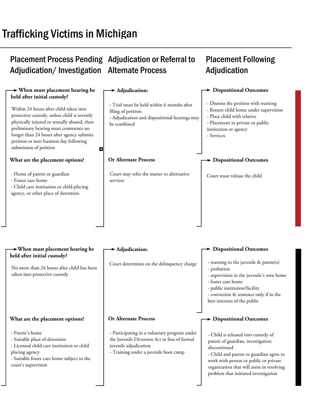# Trafficking Victims in Michigan

### Placement Process Pending Adjudication or Referral to Adjudication/Investigation Alternate Process Adjudication

# Placement Following

| $\rightarrow$ When must placement hearing be                                                                                                                                                                                                                                                         | $\blacktriangleright$ Adjudication:                                                                                                                            | $\blacktriangleright$ Dispositional Outcomes                                                                                                                                                                                                                       |
|------------------------------------------------------------------------------------------------------------------------------------------------------------------------------------------------------------------------------------------------------------------------------------------------------|----------------------------------------------------------------------------------------------------------------------------------------------------------------|--------------------------------------------------------------------------------------------------------------------------------------------------------------------------------------------------------------------------------------------------------------------|
| held after initial custody?                                                                                                                                                                                                                                                                          |                                                                                                                                                                |                                                                                                                                                                                                                                                                    |
| Within 24 hours after child taken into<br>protective custody, unless child is severely<br>physically injured or sexually abused, then<br>preliminary hearing must commence no<br>longer than 24 hours after agency submits<br>petition or next business day following<br>submission of petition<br>П | - Trial must be held within 6 months after<br>filing of petition<br>- Adjudication and dispositional hearings may<br>be combined                               | - Dismiss the petition with warning<br>- Return child home under supervision<br>- Place child with relative<br>- Placement in private or public<br>institution or agency<br>- Services                                                                             |
| What are the placement options?                                                                                                                                                                                                                                                                      | <b>Or Alternate Process</b>                                                                                                                                    | <b>Dispositional Outcomes</b>                                                                                                                                                                                                                                      |
| - Home of parent or guardian<br>- Foster care home<br>- Child care institution or child-placing<br>agency, or other place of detention.                                                                                                                                                              | Court may refer the matter to alternative<br>services                                                                                                          | Court must release the child                                                                                                                                                                                                                                       |
| $\rightarrow$ When must placement hearing be<br>held after initial custody?                                                                                                                                                                                                                          | $\blacktriangleright$ Adjudication:                                                                                                                            | <b>Dispositional Outcomes</b>                                                                                                                                                                                                                                      |
| No more than 24 hours after child has been<br>taken into protective custody                                                                                                                                                                                                                          | Court determines on the delinquency charge                                                                                                                     | - warning to the juvenile & parent(s)<br>- probation<br>- supervision in the juvenile's own home<br>- foster care home<br>- public institution/facility<br>- conviction & sentence only if in the<br>best interests of the public                                  |
| What are the placement options?                                                                                                                                                                                                                                                                      | <b>Or Alternate Process</b>                                                                                                                                    | > Dispositional Outcomes                                                                                                                                                                                                                                           |
| - Parent's home<br>- Suitable place of detention<br>- Licensed child care institution or child<br>placing agency<br>- Suitable foster care home subject to the<br>court's supervision                                                                                                                | - Participating in a voluntary program under<br>the Juvenile Diversion Act in lieu of formal<br>juvenile adjudication<br>- Training under a juvenile boot camp | - Child is released into custody of<br>parent of guardian, investigation<br>discontinued<br>- Child and parent or guardian agree to<br>work with person or public or private<br>organization that will assist in resolving<br>problem that initiated investigation |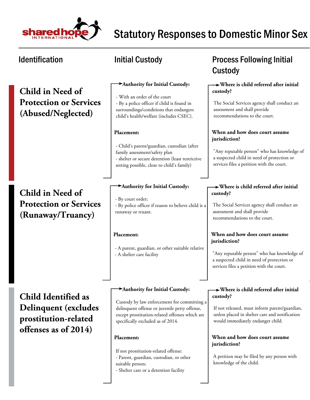

**Child in Need of Protection or Services (Abused/Neglected)**

## **Child in Need of Protection or Services (Runaway/Truancy)**

#### **Authority for Initial Custody:**

- With an order of the court - By a police officer if child is found in surroundings/conditions that endangers child's health/welfare (includes CSEC).

#### **Placement:**

- Child's parent/guardian, custodian (after family assessment/safety plan - shelter or secure detention (least restrictive setting possible, close to child's family)

#### **Authority for Initial Custody:**

- By court order; - By police officer if reason to believe child is a runaway or truant.

#### **Placement:**

- A parent, guardian, or other suitable relative - A shelter care facility

**Child Identified as Delinquent (excludes prostitution-related offenses as of 2014)**

#### **Authority for Initial Custody:**

Custody by law enforcement for committing a delinquent offense or juvenile petty offense, except prostitution-related offenses which are specifically excluded as of 2014.

#### **Placement:**

If not prostitution-related offense:

- Parent, guardian, custodian, or other
- suitable person;

- Shelter care or a detention facility

## Identification **Matube initial Custody Constant Custody Process Following Initial** Custody

#### **Where is child referred after initial custody?**

The Social Services agency shall conduct an assessment and shall provide recommendations to the court.

#### **When and how does court assume jurisdiction?**

"Any reputable person" who has knowledge of a suspected child in need of protection or services files a petition with the court.

#### **Where is child referred after initial custody?**

The Social Services agency shall conduct an assessment and shall provide recommendations to the court.

#### **When and how does court assume jurisdiction?**

"Any reputable person" who has knowledge of a suspected child in need of protection or services files a petition with the court.

#### **Where is child referred after initial custody?**

If not released, must inform parent/guardian, unless placed in shelter care and notification would immediately endanger child.

#### **When and how does court assume jurisdiction?**

A petition may be filed by any person with knowledge of the child.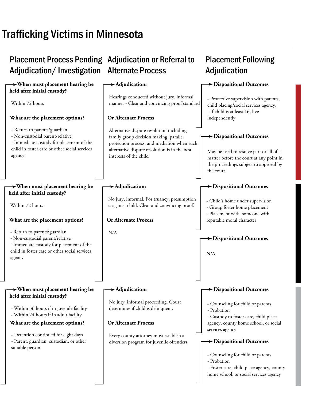# Trafficking Victims in Minnesota

## Placement Process Pending Adjudication or Referral to Adjudication/Investigation Alternate Process

| $\rightarrow$ When must placement hearing be                                                                                                                           | $\blacktriangleright$ Adjudication:                                                                                                                                                                          | Dispositional Outcomes                                                                                                                                                                     |
|------------------------------------------------------------------------------------------------------------------------------------------------------------------------|--------------------------------------------------------------------------------------------------------------------------------------------------------------------------------------------------------------|--------------------------------------------------------------------------------------------------------------------------------------------------------------------------------------------|
| held after initial custody?                                                                                                                                            |                                                                                                                                                                                                              |                                                                                                                                                                                            |
| Within 72 hours                                                                                                                                                        | Hearings conducted without jury, informal<br>manner - Clear and convincing proof standard                                                                                                                    | - Protective supervision with parents,<br>child placing/social services agency,<br>- If child is at least 16, live                                                                         |
| What are the placement options?                                                                                                                                        | <b>Or Alternate Process</b>                                                                                                                                                                                  | independently                                                                                                                                                                              |
| - Return to parents/guardian<br>- Non-custodial parent/relative<br>- Immediate custody for placement of the<br>child in foster care or other social services<br>agency | Alternative dispute resolution including<br>family group decision making, parallel<br>protection process, and mediation when such<br>alternative dispute resolution is in the best<br>interests of the child | $\blacktriangleright$ Dispositional Outcomes<br>May be used to resolve part or all of a<br>matter before the court at any point in<br>the proceedings subject to approval by<br>the court. |
| $\rightarrow$ When must placement hearing be<br>held after initial custody?                                                                                            | Adjudication:                                                                                                                                                                                                | $\blacktriangleright$ Dispositional Outcomes                                                                                                                                               |
| Within 72 hours                                                                                                                                                        | No jury, informal. For truancy, presumption<br>is against child. Clear and convincing proof.                                                                                                                 | - Child's home under supervision<br>- Group foster home placement<br>- Placement with someone with                                                                                         |
| What are the placement options?                                                                                                                                        | <b>Or Alternate Process</b>                                                                                                                                                                                  | reputable moral character                                                                                                                                                                  |
| - Return to parents/guardian<br>- Non-custodial parent/relative<br>- Immediate custody for placement of the<br>child in foster care or other social services<br>agency | N/A                                                                                                                                                                                                          | $\blacktriangleright$ Dispositional Outcomes<br>N/A                                                                                                                                        |
| $\rightarrow$ When must placement hearing be<br>held after initial custody?                                                                                            | $\blacktriangleright$ Adjudication:                                                                                                                                                                          | <b>&gt; Dispositional Outcomes</b>                                                                                                                                                         |
| - Within 36 hours if in juvenile facility<br>- Within 24 hours if in adult facility<br>What are the placement options?                                                 | No jury, informal proceeding. Court<br>determines if child is delinquent.<br><b>Or Alternate Process</b>                                                                                                     | - Counseling for child or parents<br>- Probation<br>- Custody to foster care, child place<br>agency, county home school, or social                                                         |
| - Detention continued for eight days<br>- Parent, guardian, custodian, or other                                                                                        | Every county attorney must establish a<br>diversion program for juvenile offenders.                                                                                                                          | services agency<br>Dispositional Outcomes                                                                                                                                                  |
| suitable person                                                                                                                                                        |                                                                                                                                                                                                              | - Counseling for child or parents<br>- Probation<br>- Foster care, child place agency, county<br>home school, or social services agency                                                    |

Placement Following

Adjudication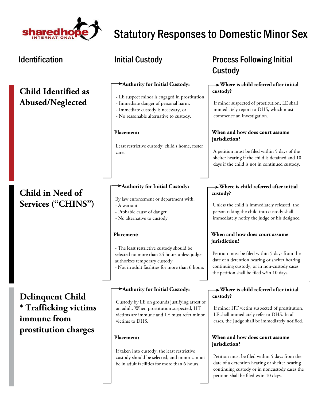

## **Child Identified as Abused/Neglected**

## **Child in Need of Services ("CHINS")**

**Delinquent Child \* Trafficking victims immune from prostitution charges**

#### **Authority for Initial Custody:**

- LE suspect minor is engaged in prostitution,
- Immediate danger of personal harm,
- Immediate custody is necessary, or
- No reasonable alternative to custody.

#### **Placement:**

Least restrictive custody; child's home, foster care.

#### **Authority for Initial Custody:**

- By law enforcement or department with:
- A warrant
- Probable cause of danger
- No alternative to custody

#### **Placement:**

- The least restrictive custody should be selected no more than 24 hours unless judge authorizes temporary custody - Not in adult facilities for more than 6 hours

#### **Authority for Initial Custody:**

Custody by LE on grounds justifying arrest of an adult. When prostitution suspected, HT victims are immune and LE must refer minor victims to DHS.

#### **Placement:**

If taken into custody, the least restrictive custody should be selected, and minor cannot be in adult facilities for more than 6 hours.

### Identification **Matube initial Custody Constant Custody Process Following Initial** Custody

#### **Where is child referred after initial custody?**

If minor suspected of prostitution, LE shall immediately report to DHS, which must commence an investigation.

#### **When and how does court assume jurisdiction?**

A petition must be filed within 5 days of the shelter hearing if the child is detained and 10 days if the child is not in continued custody.

#### **Where is child referred after initial custody?**

Unless the child is immediately released, the person taking the child into custody shall immediately notify the judge or his designee.

#### **When and how does court assume jurisdiction?**

Petition must be filed within 5 days from the date of a detention hearing or shelter hearing continuing custody, or in non-custody cases the petition shall be filed w/in 10 days.

#### **Where is child referred after initial custody?**

If minor HT victim suspected of prostitution, LE shall immediately refer to DHS. In all cases, the Judge shall be immediately notified.

#### **When and how does court assume jurisdiction?**

Petition must be filed within 5 days from the date of a detention hearing or shelter hearing continuing custody or in noncustody cases the petition shall be filed w/in 10 days.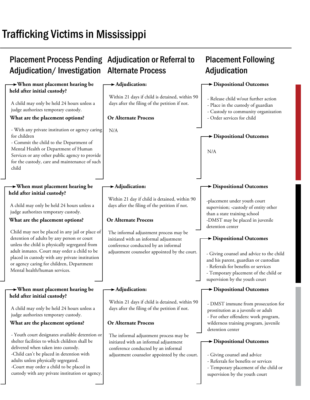# Trafficking Victims in Mississippi

#### Placement Process Pending Adjudication or Referral to Adjudication/Investigation Alternate Process **Placement Following Adjudication When must placement hearing be held after initial custody? When must placement hearing be held after initial custody? When must placement hearing be held after initial custody? Adjudication: Adjudication: Adjudication: Dispositional Outcomes Dispositional Outcomes Dispositional Outcomes Dispositional Outcomes Dispositional Outcomes Dispositional Outcomes Or Alternate Process Or Alternate Process Or Alternate Process What are the placement options? What are the placement options? What are the placement options?**  A child may only be held 24 hours unless a judge authorizes temporary custody. - With any private institution or agency caring for children - Commit the child to the Department of Mental Health or Department of Human Services or any other public agency to provide for the custody, care and maintenance of such child A child may only be held 24 hours unless a judge authorizes temporary custody. Child may not be placed in any jail or place of detention of adults by any person or court unless the child is physically segregated from adult inmates. Court may order a child to be placed in custody with any private institution or agency caring for children, Department Mental health/human services. - Youth court designates available detention or shelter facilities to which children shall be delivered when taken into custody. -Child can't be placed in detention with adults unless physically segregated. -Court may order a child to be placed in custody with any private institution or agency. N/A The informal adjustment process may be initiated with an informal adjustment conference conducted by an informal adjustment counselor appointed by the court. The informal adjustment process may be initiated with an informal adjustment conference conducted by an informal adjustment counselor appointed by the court. Within 21 days if child is detained, within 90 days after the filing of the petition if not. Within 21 day if child is detained, within 90 days after the filing of the petition if not. Within 21 days if child is detained, within 90 days after the filing of the petition if not. - Release child w/out further action - Place in the custody of guardian - Custody to community organization - Order services for child -placement under youth court supervision; -custody of entity other than a state training school -DMST may be placed in juvenile detention center - DMST immune from prosecution for prostitution as a juvenile or adult - For other offenders: work program, wilderness training program, juvenile detention center N/A - Giving counsel and advice to the child and his parent, guardian or custodian - Referrals for benefits or services - Temporary placement of the child or supervision by the youth court A child may only be held 24 hours unless a judge authorizes temporary custody. - Giving counsel and advice - Referrals for benefits or services - Temporary placement of the child or supervision by the youth court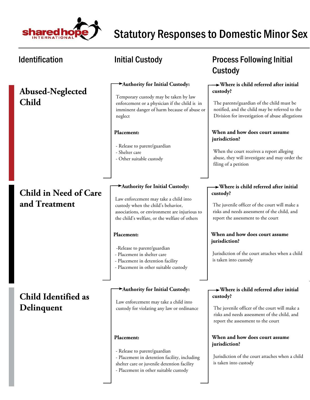

**Abused-Neglected Child**

## **Child in Need of Care and Treatment**

## **Child Identified as Delinquent**

#### **Authority for Initial Custody:**

Temporary custody may be taken by law enforcement or a physician if the child is in imminent danger of harm because of abuse or neglect

#### **Placement:**

- Release to parent/guardian
- Shelter care
- Other suitable custody

#### **Authority for Initial Custody:**

Law enforcement may take a child into custody when the child's behavior, associations, or environment are injurious to the child's welfare, or the welfare of others

#### **Placement:**

- -Release to parent/guardian
- Placement in shelter care
- Placement in detention facility
- Placement in other suitable custody

#### **Authority for Initial Custody:**

Law enforcement may take a child into custody for violating any law or ordinance

#### **Placement:**

- Release to parent/guardian
- Placement in detention facility, including
- shelter care or juvenile detention facility
- Placement in other suitable custody

# Identification **Matube initial Custody Constant Custody Process Following Initial** Custody

#### **Where is child referred after initial custody?**

The parents/guardian of the child must be notified, and the child may be referred to the Division for investigation of abuse allegations

#### **When and how does court assume jurisdiction?**

When the court receives a report alleging abuse, they will investigate and may order the filing of a petition

### **Where is child referred after initial custody?**

The juvenile officer of the court will make a risks and needs assessment of the child, and report the assessment to the court

#### **When and how does court assume jurisdiction?**

Jurisdiction of the court attaches when a child is taken into custody

#### **Where is child referred after initial custody?**

The juvenile officer of the court will make a risks and needs assessment of the child, and report the assessment to the court

### **When and how does court assume jurisdiction?**

Jurisdiction of the court attaches when a child is taken into custody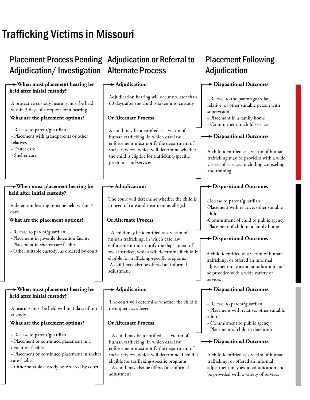# Trafficking Victims in Missouri

# Placement Process Pending Adjudication or Referral to Adjudication/Investigation Alternate Process

#### **When must placement hearing be held after initial custody?**

A protective custody hearing must be held within 3 days of a request for a hearing

### **What are the placement options?**

- Release to parent/guardian

- Placement with grandparents or other relatives

- Foster care

- Shelter care

#### **When must placement hearing be held after initial custody?**

A detention hearing must be held within 3 days

#### **What are the placement options?**

- Release to parent/guardian
- Placement in juvenile detention facility
- Placement in shelter care facility
- Other suitable custody, as ordered by court

#### **When must placement hearing be held after initial custody?**

A hearing must be held within 3 days of initial custody

#### **What are the placement options?**

- Release to parent/guardian

- Placement or continued placement in a detention facility

- Placement or continued placement in shelter care facility

- Other suitable custody, as ordered by court

#### **Adjudication:**

Adjudication hearing will occur no later than 60 days after the child is taken into custody

#### **Or Alternate Process**

A child may be identified as a victim of human trafficking, in which case law enforcement must notify the department of social services, which will determine whether the child is eligible for trafficking-specific programs and services

#### **Adjudication:**

The court will determine whether the child is in need of care and treatment as alleged

#### **Or Alternate Process**

- A child may be identified as a victim of human trafficking, in which case law enforcement must notify the department of social services, which will determine if child is eligible for trafficking-specific programs -A child may also be offered an informal adjustment

#### **Adjudication:**

The court will determine whether the child is delinquent as alleged

#### **Or Alternate Process**

- A child may be identified as a victim of human trafficking, in which case law enforcement must notify the department of social services, which will determine if child is eligible for trafficking-specific programs - A child may also be offered an informal

adjustment

## **Placement Following Adjudication**

#### **Dispositional Outcomes**

- Release to the parent/guardian, relative, or other suitable person with supervision
- Placement in a family home
- Commitment to child services

### **Dispositional Outcomes**

A child identified as a victim of human trafficking may be provided with a wide variety of services, including counseling and training

### **Dispositional Outcomes**

-Release to parent/guardian

-Placement with relative, other suitable adult

-Commitment of child to public agency -Placement of child in a family home

#### **Dispositional Outcomes**

A child identified as a victim of human trafficking, or offered an informal adjustment may avoid adjudication and be provided with a wide variety of services

### **Dispositional Outcomes**

- Release to parent/guardian
- Placement with relative, other suitable adult
- Commitment to public agency
- Placement of child in detention

#### **Dispositional Outcomes**

A child identified as a victim of human trafficking, or offered an informal adjustment may avoid adjudication and be provided with a variety of services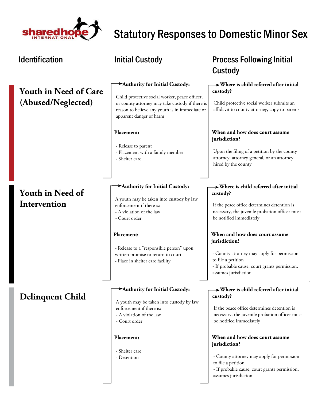

| <b>Identification</b>                              | <b>Initial Custody</b>                                                                                                                                                                                                                                                                  | <b>Process Following Initial</b><br>Custody                                                                                                                                                                                                                                                                                                                                                 |
|----------------------------------------------------|-----------------------------------------------------------------------------------------------------------------------------------------------------------------------------------------------------------------------------------------------------------------------------------------|---------------------------------------------------------------------------------------------------------------------------------------------------------------------------------------------------------------------------------------------------------------------------------------------------------------------------------------------------------------------------------------------|
| <b>Youth in Need of Care</b><br>(Abused/Neglected) | Authority for Initial Custody:<br>Child protective social worker, peace officer,<br>or county attorney may take custody if there is<br>reason to believe any youth is in immediate or<br>apparent danger of harm                                                                        | $\rightarrow$ Where is child referred after initial<br>custody?<br>Child protective social worker submits an<br>affidavit to county attorney, copy to parents                                                                                                                                                                                                                               |
|                                                    | Placement:<br>- Release to parent<br>- Placement with a family member<br>- Shelter care                                                                                                                                                                                                 | When and how does court assume<br>jurisdiction?<br>Upon the filing of a petition by the county<br>attorney, attorney general, or an attorney<br>hired by the county                                                                                                                                                                                                                         |
| <b>Youth in Need of</b><br>Intervention            | Authority for Initial Custody:<br>A youth may be taken into custody by law<br>enforcement if there is:<br>- A violation of the law<br>- Court order<br>Placement:<br>- Release to a "responsible person" upon<br>written promise to return to court<br>- Place in shelter care facility | $\rightarrow$ Where is child referred after initial<br>custody?<br>If the peace office determines detention is<br>necessary, the juvenile probation officer must<br>be notified immediately<br>When and how does court assume<br>jurisdiction?<br>- County attorney may apply for permission<br>to file a petition<br>- If probable cause, court grants permission,<br>assumes jurisdiction |
| <b>Delinquent Child</b>                            | Authority for Initial Custody:<br>A youth may be taken into custody by law<br>enforcement if there is:<br>- A violation of the law<br>- Court order                                                                                                                                     | $\rightarrow$ Where is child referred after initial<br>custody?<br>If the peace office determines detention is<br>necessary, the juvenile probation officer must<br>be notified immediately                                                                                                                                                                                                 |
|                                                    | Placement:<br>- Shelter care<br>- Detention                                                                                                                                                                                                                                             | When and how does court assume<br>jurisdiction?<br>- County attorney may apply for permission<br>to file a petition<br>- If probable cause, court grants permission,<br>assumes jurisdiction                                                                                                                                                                                                |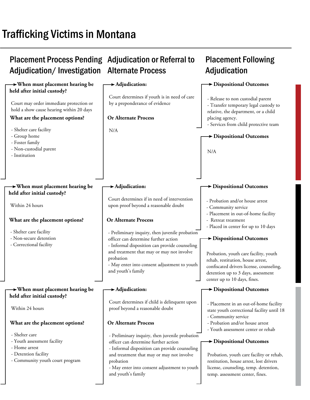# Trafficking Victims in Montana

| <b>Placement Process Pending Adjudication or Referral to</b><br>Adjudication/Investigation                                                            | <b>Alternate Process</b>                                                                                                                                                                                                                                                | <b>Placement Following</b><br>Adjudication                                                                                                                                                                             |
|-------------------------------------------------------------------------------------------------------------------------------------------------------|-------------------------------------------------------------------------------------------------------------------------------------------------------------------------------------------------------------------------------------------------------------------------|------------------------------------------------------------------------------------------------------------------------------------------------------------------------------------------------------------------------|
| $\rightarrow$ When must placement hearing be                                                                                                          | $\blacktriangleright$ Adjudication:                                                                                                                                                                                                                                     | Dispositional Outcomes                                                                                                                                                                                                 |
| held after initial custody?<br>Court may order immediate protection or<br>hold a show cause hearing within 20 days<br>What are the placement options? | Court determines if youth is in need of care<br>by a preponderance of evidence<br><b>Or Alternate Process</b>                                                                                                                                                           | - Release to non custodial parent<br>- Transfer temporary legal custody to<br>relative, the department, or a child<br>placing agency.<br>- Services from child protective team                                         |
| - Shelter care facility<br>- Group home<br>- Foster family<br>- Non-custodial parent<br>- Institution                                                 | N/A                                                                                                                                                                                                                                                                     | Dispositional Outcomes<br>N/A                                                                                                                                                                                          |
| $\rightarrow$ When must placement hearing be<br>held after initial custody?                                                                           | $\blacktriangleright$ Adjudication:                                                                                                                                                                                                                                     | <b>&gt; Dispositional Outcomes</b>                                                                                                                                                                                     |
| Within 24 hours                                                                                                                                       | Court determines if in need of intervention<br>upon proof beyond a reasonable doubt                                                                                                                                                                                     | - Probation and/or house arrest<br>- Community service<br>- Placement in out-of-home facility                                                                                                                          |
| What are the placement options?                                                                                                                       | <b>Or Alternate Process</b>                                                                                                                                                                                                                                             | - Retreat treatment<br>- Placed in center for up to 10 days                                                                                                                                                            |
| - Shelter care facility<br>- Non-secure detention<br>- Correctional facility                                                                          | - Preliminary inquiry, then juvenile probation<br>officer can determine further action<br>- Informal disposition can provide counseling<br>and treatment that may or may not involve<br>probation<br>- May enter into consent adjustment to youth<br>and youth's family | Dispositional Outcomes<br>Probation, youth care facility, youth<br>rehab, restitution, house arrest,<br>confiscated drivers license, counseling,<br>detention up to 3 days, assessment<br>center up to 10 days, fines. |
| $\rightarrow$ When must placement hearing be<br>held after initial custody?                                                                           | $\blacktriangleright$ Adjudication:                                                                                                                                                                                                                                     | $\rightarrow$ Dispositional Outcomes                                                                                                                                                                                   |
| Within 24 hours                                                                                                                                       | Court determines if child is delinquent upon<br>proof beyond a reasonable doubt                                                                                                                                                                                         | - Placement in an out-of-home facility<br>state youth correctional facility until 18<br>- Community service                                                                                                            |
| What are the placement options?                                                                                                                       | <b>Or Alternate Process</b>                                                                                                                                                                                                                                             | - Probation and/or house arrest<br>- Youth assessment center or rehab                                                                                                                                                  |
| - Shelter care<br>- Youth assessment facility<br>- Home arrest<br>- Detention facility<br>- Community youth court program                             | - Preliminary inquiry, then juvenile probation<br>officer can determine further action<br>- Informal disposition can provide counseling<br>and treatment that may or may not involve<br>probation<br>- May enter into consent adjustment to youth<br>and youth's family | $\rightarrow$ Dispositional Outcomes<br>Probation, youth care facility or rehab,<br>restitution, house arrest, lost drivers<br>license, counseling, temp. detention,<br>temp. assessment center, fines.                |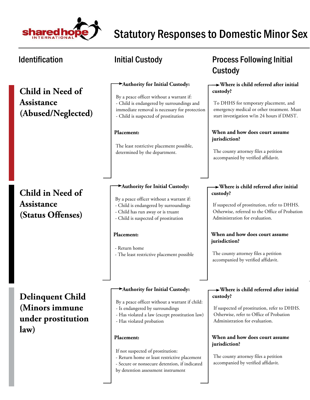

**Child in Need of Assistance (Abused/Neglected)**

## **Child in Need of Assistance (Status Offenses)**

**Delinquent Child (Minors immune under prostitution law)**

#### **Authority for Initial Custody:**

By a peace officer without a warrant if: - Child is endangered by surroundings and immediate removal is necessary for protection - Child is suspected of prostitution

#### **Placement:**

The least restrictive placement possible, determined by the department.

#### **Authority for Initial Custody:**

- By a peace officer without a warrant if:
- Child is endangered by surroundings
- Child has run away or is truant
- Child is suspected of prostitution

#### **Placement:**

- Return home - The least restrictive placement possible

#### **Authority for Initial Custody:**

By a peace officer without a warrant if child:

- Is endangered by surroundings
- Has violated a law (except prostitution law)
- Has violated probation

#### **Placement:**

If not suspected of prostitution:

- Return home or least restrictive placement
- Secure or nonsecure detention, if indicated
- by detention assessment instrument

## Identification **Matube initial Custody Constant Custody Process Following Initial** Custody

#### **Where is child referred after initial custody?**

To DHHS for temporary placement, and emergency medical or other treatment. Must start investigation w/in 24 hours if DMST.

#### **When and how does court assume jurisdiction?**

The county attorney files a petition accompanied by verified affidavit.

### **Where is child referred after initial custody?**

If suspected of prostitution, refer to DHHS. Otherwise, referred to the Office of Probation Administration for evaluation.

#### **When and how does court assume jurisdiction?**

The county attorney files a petition accompanied by verified affidavit.

#### **Where is child referred after initial custody?**

If suspected of prostitution, refer to DHHS. Otherwise, refer to Office of Probation Administration for evaluation.

#### **When and how does court assume jurisdiction?**

The county attorney files a petition accompanied by verified affidavit.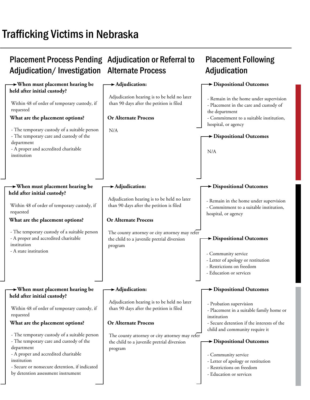# Trafficking Victims in Nebraska

#### Placement Process Pending Adjudication or Referral to Adjudication/Investigation Alternate Process **Placement Following Adjudication When must placement hearing be held after initial custody? When must placement hearing be held after initial custody? When must placement hearing be held after initial custody? Adjudication: Adjudication: Adjudication: Dispositional Outcomes Dispositional Outcomes Dispositional Outcomes Dispositional Outcomes Dispositional Outcomes Dispositional Outcomes Or Alternate Process Or Alternate Process Or Alternate Process What are the placement options? What are the placement options? What are the placement options?**  Within 48 of order of temporary custody, if requested - The temporary custody of a suitable person - The temporary care and custody of the department - A proper and accredited charitable institution Within 48 of order of temporary custody, if requested - The temporary custody of a suitable person - A proper and accredited charitable institution - A state institution - The temporary custody of a suitable person - The temporary care and custody of the department - A proper and accredited charitable institution - Secure or nonsecure detention, if indicated by detention assessment instrument N/A The county attorney or city attorney may refer the child to a juvenile pretrial diversion program The county attorney or city attorney may refer the child to a juvenile pretrial diversion program Adjudication hearing is to be held no later than 90 days after the petition is filed Adjudication hearing is to be held no later than 90 days after the petition is filed Adjudication hearing is to be held no later than 90 days after the petition is filed - Remain in the home under supervision - Placement in the care and custody of the department - Commitment to a suitable institution, hospital, or agency - Remain in the home under supervision - Commitment to a suitable institution, hospital, or agency - Probation supervision - Placement in a suitable family home or institution - Secure detention if the interests of the child and community require it N/A - Community service - Letter of apology or restitution - Restrictions on freedom - Education or services Within 48 of order of temporary custody, if requested - Community service - Letter of apology or restitution - Restrictions on freedom - Education or services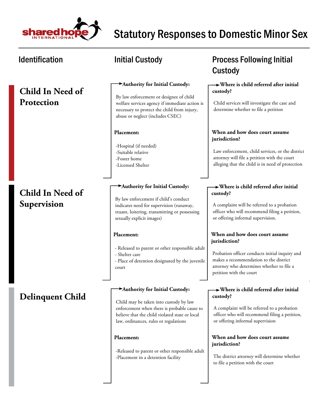

## **Child In Need of Protection**

## **Child In Need of Supervision**

### **Delinquent Child**

#### **Authority for Initial Custody:**

By law enforcement or designee of child welfare services agency if immediate action is necessary to protect the child from injury, abuse or neglect (includes CSEC)

#### **Placement:**

-Hospital (if needed) -Suitable relative -Foster home -Licensed Shelter

#### **Authority for Initial Custody:**

By law enforcement if child's conduct indicates need for supervision (runaway, truant, loitering, transmitting or possessing sexually explicit images)

#### **Placement:**

- Released to parent or other responsible adult - Shelter care

- Place of detention designated by the juvenile court

#### **Authority for Initial Custody:**

Child may be taken into custody by law enforcement when there is probable cause to believe that the child violated state or local law, ordinances, rules or regulations

#### **Placement:**

-Released to parent or other responsible adult -Placement in a detention facility

### Identification **Matube initial Custody Constant Custody Process Following Initial** Custody

#### **Where is child referred after initial custody?**

Child services will investigate the case and determine whether to file a petition

#### **When and how does court assume jurisdiction?**

Law enforcement, child services, or the district attorney will file a petition with the court alleging that the child is in need of protection

#### **Where is child referred after initial custody?**

A complaint will be referred to a probation officer who will recommend filing a petition, or offering informal supervision.

#### **When and how does court assume jurisdiction?**

Probation officer conducts initial inquiry and makes a recommendation to the district attorney who determines whether to file a petition with the court

#### **Where is child referred after initial custody?**

A complaint will be referred to a probation officer who will recommend filing a petition, or offering informal supervision

#### **When and how does court assume jurisdiction?**

The district attorney will determine whether to file a petition with the court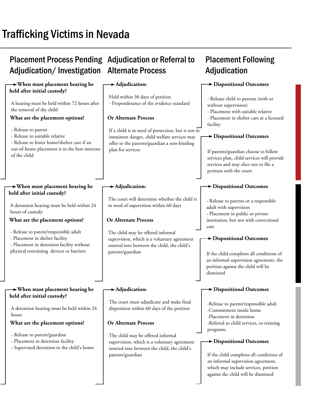# Trafficking Victims in Nevada

## Placement Process Pending Adjudication or Referral to Adjudication/Investigation Alternate Process

#### **When must placement hearing be held after initial custody? When must placement hearing be held after initial custody? When must placement hearing be held after initial custody? Adjudication: Adjudication: Adjudication: Dispositional Outcomes Dispositional Outcomes Dispositional Outcomes Dispositional Outcomes Dispositional Outcomes Dispositional Outcomes Or Alternate Process Or Alternate Process Or Alternate Process What are the placement options? What are the placement options? What are the placement options?**  A hearing must be held within 72 hours after the removal of the child - Release to parent - Release to suitable relative - Release to foster home/shelter care if an out-of-home placement is in the best interests of the child A detention hearing must be held within 24 hours of custody - Release to parent/responsible adult - Placement in shelter facility - Placement in detention facility without physical restraining devices or barriers - Release to parent/guardian - Placement in detention facility - Supervised detention in the child's home If a child is in need of protection, but is not in imminent danger, child welfare services may offer to the parents/guardian a non-binding plan for services The child may be offered informal supervision, which is a voluntary agreement entered into between the child, the child's parents/guardian The child may be offered informal supervision, which is a voluntary agreement entered into between the child, the child's parents/guardian Held within 30 days of petition - Preponderance of the evidence standard The court will determine whether the child is in need of supervision within 60 days The court must adjudicate and make final disposition within 60 days of the petition - Release child to parents (with or without supervision) - Placement with suitable relative - Placement in shelter care at a licensed facility - Release to parents or a responsible adult with supervision - Placement in public or private institution, but not with correctional care -Release to parent/responsible adult -Commitment inside home -Placement in detention -Referral to child services, or training programs If parents/guardian choose to follow services plan, child services will provide services and may elect not to file a petition with the court If the child completes all conditions of an informal supervision agreement, the petition against the child will be dismissed A detention hearing must be held within 24 hours If the child completes all conditions of an informal supervision agreement, which may include services, petition against the child will be dismissed

**Placement Following** 

**Adjudication**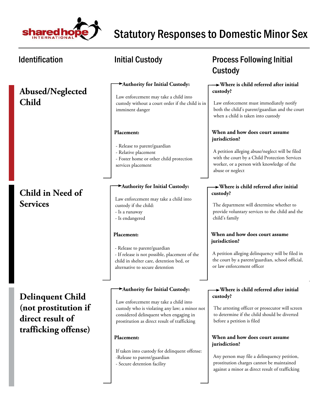

| <b>Identification</b>                                               | <b>Initial Custody</b>                                                                                                                                                                                             | <b>Process Following Initial</b><br><b>Custody</b>                                                                                                                                                                   |
|---------------------------------------------------------------------|--------------------------------------------------------------------------------------------------------------------------------------------------------------------------------------------------------------------|----------------------------------------------------------------------------------------------------------------------------------------------------------------------------------------------------------------------|
| <b>Abused/Neglected</b><br><b>Child</b>                             | Authority for Initial Custody:<br>Law enforcement may take a child into<br>custody without a court order if the child is in<br>imminent danger                                                                     | $\rightarrow$ Where is child referred after initial<br>custody?<br>Law enforcement must immediately notify<br>both the child's parent/guardian and the court<br>when a child is taken into custody                   |
|                                                                     | Placement:<br>- Release to parent/guardian<br>- Relative placement<br>- Foster home or other child protection<br>services placement                                                                                | When and how does court assume<br>jurisdiction?<br>A petition alleging abuse/neglect will be filed<br>with the court by a Child Protection Services<br>worker, or a person with knowledge of the<br>abuse or neglect |
| Child in Need of<br><b>Services</b>                                 | Authority for Initial Custody:<br>Law enforcement may take a child into<br>custody if the child:<br>- Is a runaway<br>- Is endangered                                                                              | $\rightarrow$ Where is child referred after initial<br>custody?<br>The department will determine whether to<br>provide voluntary services to the child and the<br>child's family                                     |
|                                                                     | Placement:<br>- Release to parent/guardian<br>- If release is not possible, placement of the<br>child in shelter care, detention bed, or<br>alternative to secure detention                                        | When and how does court assume<br>jurisdiction?<br>A petition alleging delinquency will be filed in<br>the court by a parent/guardian, school official,<br>or law enforcement officer                                |
| <b>Delinquent Child</b><br>(not prostitution if<br>direct result of | Authority for Initial Custody:<br>Law enforcement may take a child into<br>custody who is violating any law; a minor not<br>considered delinquent when engaging in<br>prostitution as direct result of trafficking | $\rightarrow$ Where is child referred after initial<br>custody?<br>The arresting officer or prosecutor will screen<br>to determine if the child should be diverted<br>before a petition is filed                     |
| trafficking offense)                                                | Placement:<br>If taken into custody for delinquent offense:<br>-Release to parent/guardian<br>- Secure detention facility                                                                                          | When and how does court assume<br>jurisdiction?<br>Any person may file a delinquency petition,<br>prostitution charges cannot be maintained<br>against a minor as direct result of trafficking                       |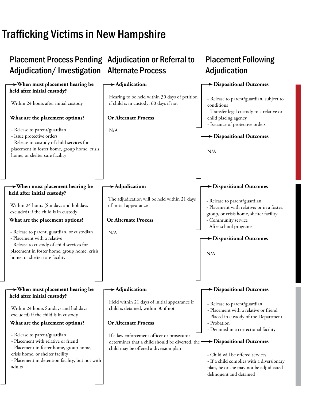# Trafficking Victims in New Hampshire

#### Placement Process Pending Adjudication or Referral to Adjudication/Investigation Alternate Process **Placement Following Adjudication When must placement hearing be held after initial custody? When must placement hearing be held after initial custody? When must placement hearing be held after initial custody? Adjudication: Adjudication: Adjudication: Dispositional Outcomes Dispositional Outcomes Dispositional Outcomes Dispositional Outcomes Dispositional Outcomes Dispositional Outcomes Or Alternate Process Or Alternate Process Or Alternate Process What are the placement options? What are the placement options? What are the placement options?**  Within 24 hours after initial custody - Release to parent/guardian - Issue protective orders - Release to custody of child services for placement in foster home, group home, crisis home, or shelter care facility Within 24 hours (Sundays and holidays excluded) if the child is in custody - Release to parent, guardian, or custodian - Placement with a relative - Release to custody of child services for placement in foster home, group home, crisis home, or shelter care facility - Release to parent/guardian - Placement with relative or friend - Placement in foster home, group home, crisis home, or shelter facility - Placement in detention facility, but not with adults N/A N/A If a law enforcement officer or prosecutor determines that a child should be diverted, the child may be offered a diversion plan Hearing to be held within 30 days of petition if child is in custody, 60 days if not The adjudication will be held within 21 days of initial appearance Held within 21 days of initial appearance if child is detained, within 30 if not - Release to parent/guardian, subject to conditions - Transfer legal custody to a relative or child placing agency - Issuance of protective orders - Release to parent/guardian - Placement with relative; or in a foster, group, or crisis home, shelter facility - Community service - After school programs - Release to parent/guardian - Placement with a relative or friend - Placed in custody of the Department - Probation - Detained in a correctional facility N/A N/A Within 24 hours Sundays and holidays excluded) if the child is in custody - Child will be offered services - If a child complies with a diversionary plan, he or she may not be adjudicated delinquent and detained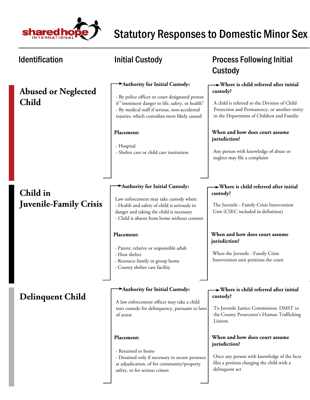

| <b>Identification</b>                     | <b>Initial Custody</b>                                                                                                                                                                                                                                                                                       | <b>Process Following Initial</b><br>Custody                                                                                                                                                                                                                                                                                              |
|-------------------------------------------|--------------------------------------------------------------------------------------------------------------------------------------------------------------------------------------------------------------------------------------------------------------------------------------------------------------|------------------------------------------------------------------------------------------------------------------------------------------------------------------------------------------------------------------------------------------------------------------------------------------------------------------------------------------|
| <b>Abused or Neglected</b><br>Child       | Authority for Initial Custody:<br>- By police officer or court designated person<br>if "imminent danger to life, safety, or health"<br>- By medical staff if serious, non-accidental<br>injuries, which custodian most likely caused<br>Placement:<br>- Hospital<br>- Shelter care or child care institution | $\rightarrow$ Where is child referred after initial<br>custody?<br>A child is referred to the Division of Child<br>Protection and Permanency, or another entity<br>in the Department of Children and Familie<br>When and how does court assume<br>jurisdiction?<br>Any person with knowledge of abuse or<br>neglect may file a complaint |
| Child in<br><b>Juvenile-Family Crisis</b> | Authority for Initial Custody:<br>Law enforcement may take custody when:<br>- Health and safety of child is seriously in<br>danger and taking the child is necessary<br>- Child is absent from home without consent<br>Placement:<br>- Parent, relative or responsible adult<br>- Host shelter               | $\rightarrow$ Where is child referred after initial<br>custody?<br>The Juvenile - Family Crisis Intervention<br>Unit (CSEC included in definition)<br>When and how does court assume<br>jurisdiction?<br>When the Juvenile - Family Crisis                                                                                               |
| <b>Delinquent Child</b>                   | - Resource family or group home<br>- County shelter care facility<br>Authority for Initial Custody:<br>A law enforcement officer may take a child<br>into custody for delinquency, pursuant to laws<br>of arrest                                                                                             | Intervention unit petitions the court<br>$\rightarrow$ Where is child referred after initial<br>custody?<br>To Juvenile Justice Commission. DMST to<br>the County Prosecutor's Human Trafficking<br>Liaison.                                                                                                                             |
|                                           | Placement:<br>- Returned to home<br>- Detained only if necessary to secure presence<br>at adjudication, of for community/property<br>safety, or for serious crimes                                                                                                                                           | When and how does court assume<br>jurisdiction?<br>Once any person with knowledge of the facts<br>files a petition charging the child with a<br>delinquent act                                                                                                                                                                           |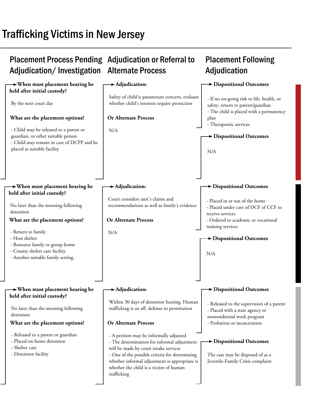# Trafficking Victims in New Jersey

#### Placement Process Pending Adjudication or Referral to Adjudication/Investigation Alternate Process **Placement Following Adjudication When must placement hearing be held after initial custody? When must placement hearing be held after initial custody? When must placement hearing be held after initial custody? Adjudication: Adjudication: Adjudication: Dispositional Outcomes Dispositional Outcomes Dispositional Outcomes Dispositional Outcomes Dispositional Outcomes Dispositional Outcomes Or Alternate Process Or Alternate Process Or Alternate Process What are the placement options? What are the placement options? What are the placement options?**  By the next court day - Child may be released to a parent or guardian, or other suitable person - Child may remain in care of DCPP and be placed at suitable facility No later than the morning following detention - Return to family - Host shelter - Resource family or group home - County shelter care facility - Another suitable family setting. - Released to a parent or guardian - Placed on home detention - Shelter care - Detention facility N/A N/A - A petition may be informally adjusted - The determination for informal adjustment will be made by court intake services - One of the possible criteria for determining whether informal adjustment is appropriate is whether the child is a victim of human trafficking Safety of child is paramount concern, evaluate whether child's interests require protection Court considers unit's claims and recommendations as well as family's evidence Within 30 days of detention hearing. Human trafficking is an aff. defense to prostitution - If no on-going risk to life, health, or safety, return to parent/guardian - The child is placed with a permanency plan - Therapeutic services - Placed in or out of the home - Placed under care of DCF of CCF to receive services - Ordered to academic or vocational training services - Released to the supervision of a parent - Placed with a state agency or nonresidential work program - Probation or incarceration N/A N/A No later than the morning following detention The case may be disposed of as a Juvenile-Family Crisis complaint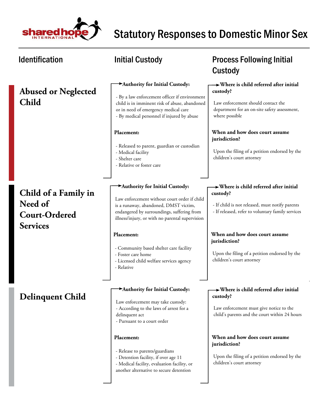

#### Identification **Matube initial Custody Constant Custody Process Following Initial** Custody  **Where is child referred after initial custody? Where is child referred after initial custody? Where is child referred after initial custody? When and how does court assume jurisdiction? When and how does court assume jurisdiction? When and how does court assume jurisdiction? Authority for Initial Custody: Authority for Initial Custody: Authority for Initial Custody: Placement: Placement: Placement: Abused or Neglected Child Child of a Family in Need of Court-Ordered Services Delinquent Child** Upon the filing of a petition endorsed by the children's court attorney Upon the filing of a petition endorsed by the children's court attorney Upon the filing of a petition endorsed by the children's court attorney Law enforcement should contact the department for an on-site safety assessment, where possible - If child is not released, must notify parents - If released, refer to voluntary family services Law enforcement must give notice to the child's parents and the court within 24 hours - By a law enforcement officer if environment child is in imminent risk of abuse, abandoned or in need of emergency medical care - By medical personnel if injured by abuse Law enforcement without court order if child is a runaway, abandoned, DMST victim, endangered by surroundings, suffering from illness/injury, or with no parental supervision Law enforcement may take custody: - According to the laws of arrest for a delinquent act - Pursuant to a court order - Released to parent, guardian or custodian - Medical facility - Shelter care - Relative or foster care - Community based shelter care facility - Foster care home - Licensed child welfare services agency - Relative - Release to parents/guardians - Detention facility, if over age 11

- Medical facility, evaluation facility, or another alternative to secure detention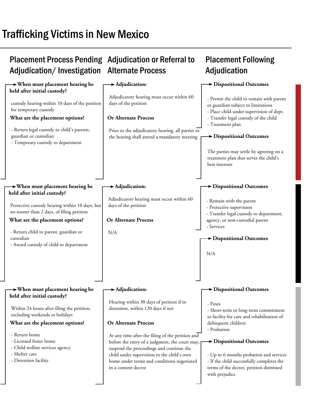# Trafficking Victims in New Mexico

#### Placement Process Pending Adjudication or Referral to Adjudication/Investigation Alternate Process **Placement Following Adjudication When must placement hearing be held after initial custody? When must placement hearing be held after initial custody? When must placement hearing be held after initial custody? Adjudication: Adjudication: Adjudication: Dispositional Outcomes Dispositional Outcomes Dispositional Outcomes Dispositional Outcomes Dispositional Outcomes Dispositional Outcomes Or Alternate Process Or Alternate Process Or Alternate Process What are the placement options? What are the placement options? What are the placement options?**  custody hearing within 10 days of the petition for temporary custody - Return legal custody to child's parents, guardian or custodian - Temporary custody to department Protective custody hearing within 10 days, but no sooner than 2 days, of filing petition - Return child to parent, guardian or custodian - Award custody of child to department - Return home - Licensed foster home - Child welfare services agency - Shelter care - Detention facility Prior to the adjudicatory hearing, all parties to the hearing shall attend a mandatory meeting N/A At any time after the filing of the petition and before the entry of a judgment, the court may, suspend the proceedings and continue the child under supervision in the child's own home under terms and conditions negotiated in a consent decree Adjudicatory hearing must occur within 60 days of the petition Adjudicatory hearing must occur within 60 days of the petition Hearing within 30 days of petition if in detention, within 120 days if not - Permit the child to remain with parent or guardian subject to limitations - Place child under supervision of dept. - Transfer legal custody of the child - Treatment plan - Remain with the parent - Protective supervision - Transfer legal custody to department, agency, or non-custodial parent - Services - Fines - Short-term or long-term commitment to facility for care and rehabilitation of delinquent children - Probation The parties may settle by agreeing on a treatment plan that serves the child's best interests N/A Within 24 hours after filing the petition, excluding weekends or holidays - Up to 6 months probation and services - If the child successfully completes the terms of the decree, petition dismissed with prejudice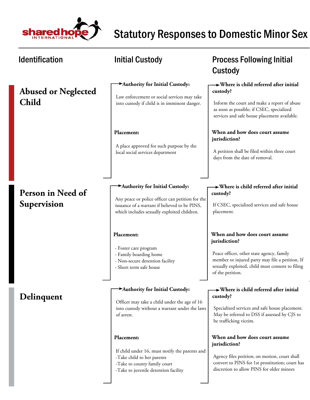

| <b>Identification</b>                      | <b>Initial Custody</b>                                                                                                                                                             | <b>Process Following Initial</b><br>Custody                                                                                                                                                                             |
|--------------------------------------------|------------------------------------------------------------------------------------------------------------------------------------------------------------------------------------|-------------------------------------------------------------------------------------------------------------------------------------------------------------------------------------------------------------------------|
| <b>Abused or Neglected</b><br><b>Child</b> | Authority for Initial Custody:<br>Law enforcement or social services may take<br>into custody if child is in imminent danger.                                                      | $\rightarrow$ Where is child referred after initial<br>custody?<br>Inform the court and make a report of abuse<br>as soon as possible; if CSEC, specialized<br>services and safe house placement available.             |
|                                            | Placement:<br>A place approved for such purpose by the<br>local social services department                                                                                         | When and how does court assume<br>jurisdiction?<br>A petition shall be filed within three court<br>days from the date of removal.                                                                                       |
| Person in Need of<br>Supervision           | Authority for Initial Custody:<br>Any peace or police officer can petition for the<br>issuance of a warrant if believed to be PINS,<br>which includes sexually exploited children. | $\rightarrow$ Where is child referred after initial<br>custody?<br>If CSEC, specialized services and safe house<br>placement.                                                                                           |
|                                            | Placement:<br>- Foster care program<br>- Family boarding home<br>- Non-secure detention facility<br>- Short term safe house                                                        | When and how does court assume<br>jurisdiction?<br>Peace officer, other state agency, family<br>member or injured party may file a petition. If<br>sexually exploited, child must consent to filing<br>of the petition. |
| Delinquent                                 | Authority for Initial Custody:<br>Officer may take a child under the age of 16<br>into custody without a warrant under the laws<br>of arrest.                                      | $\rightarrow$ Where is child referred after initial<br>custody?<br>Specialized services and safe house placement.<br>May be referred to DSS if assessed by CJS to<br>be trafficking victim.                             |
|                                            | Placement:<br>If child under 16, must notify the parents and<br>-Take child to her parents<br>-Take to county family court<br>-Take to juvenile detention facility                 | When and how does court assume<br>jurisdiction?<br>Agency files petition; on motion, court shall<br>convert to PINS for 1st prostitution; court has<br>discretion to allow PINS for older minors                        |

┚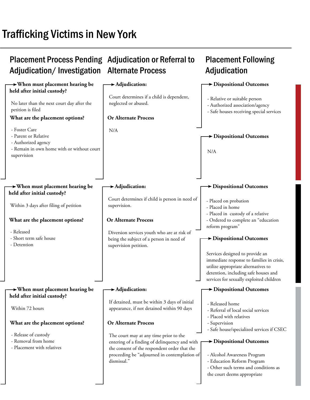# Trafficking Victims in New York

#### Placement Process Pending Adjudication or Referral to Adjudication/Investigation Alternate Process **Placement Following Adjudication When must placement hearing be held after initial custody? When must placement hearing be held after initial custody? When must placement hearing be held after initial custody? Adjudication: Adjudication: Adjudication: Dispositional Outcomes Dispositional Outcomes Dispositional Outcomes Dispositional Outcomes Dispositional Outcomes Dispositional Outcomes Or Alternate Process Or Alternate Process Or Alternate Process What are the placement options? What are the placement options? What are the placement options?**  No later than the next court day after the petition is filed - Foster Care - Parent or Relative - Authorized agency - Remain in own home with or without court supervision Within 3 days after filing of petition - Released - Short term safe house - Detention - Release of custody - Removal from home - Placement with relatives N/A Diversion services youth who are at risk of being the subject of a person in need of supervision petition. The court may at any time prior to the entering of a finding of delinquency and with the consent of the respondent order that the proceeding be "adjourned in contemplation of dismissal." Court determines if a child is dependent, neglected or abused. Court determines if child is person in need of supervision. If detained, must be within 3 days of initial appearance, if not detained within 90 days - Relative or suitable person - Authorized association/agency - Safe houses receiving special services - Placed on probation - Placed in home - Placed in custody of a relative - Ordered to complete an "education reform program" - Released home - Referral of local social services - Placed with relatives - Supervision - Safe house/specialized services if CSEC N/A Services designed to provide an immediate response to families in crisis, utilize appropriate alternatives to detention, including safe houses and services for sexually exploited children Within 72 hours - Alcohol Awareness Program - Education Reform Program - Other such terms and conditions as the court deems appropriate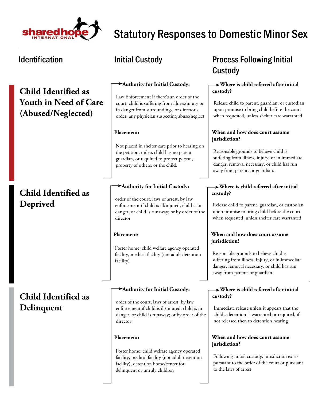

## **Child Identified as Youth in Need of Care (Abused/Neglected)**

## **Child Identified as Deprived**

## **Child Identified as Delinquent**

#### **Authority for Initial Custody:**

Law Enforcement if there's an order of the court, child is suffering from illness/injury or in danger from surroundings, or director's order. any physician suspecting abuse/neglect

#### **Placement:**

Not placed in shelter care prior to hearing on the petition, unless child has no parent guardian, or required to protect person, property of others, or the child.

#### **Authority for Initial Custody:**

order of the court, laws of arrest, by law enforcement if child is ill/injured, child is in danger, or child is runaway; or by order of the director

#### **Placement:**

Foster home, child welfare agency operated facility, medical facility (not adult detention facility)

#### **Authority for Initial Custody:**

order of the court, laws of arrest, by law enforcement if child is ill/injured, child is in danger, or child is runaway; or by order of the director

#### **Placement:**

Foster home, child welfare agency operated facility, medical facility (not adult detention facility), detention home/center for delinquent or unruly children

## Identification The Superintial Custody Contract Process Following Initial Custody

#### **Where is child referred after initial custody?**

Release child to parent, guardian, or custodian upon promise to bring child before the court when requested, unless shelter care warranted

#### **When and how does court assume jurisdiction?**

Reasonable grounds to believe child is suffering from illness, injury, or in immediate danger, removal necessary, or child has run away from parents or guardian.

#### **Where is child referred after initial custody?**

Release child to parent, guardian, or custodian upon promise to bring child before the court when requested, unless shelter care warranted

#### **When and how does court assume jurisdiction?**

Reasonable grounds to believe child is suffering from illness, injury, or in immediate danger, removal necessary, or child has run away from parents or guardian.

#### **Where is child referred after initial custody?**

Immediate release unless it appears that the child's detention is warranted or required, if not released then to detention hearing

#### **When and how does court assume jurisdiction?**

Following initial custody, jurisdiction exists pursuant to the order of the court or pursuant to the laws of arrest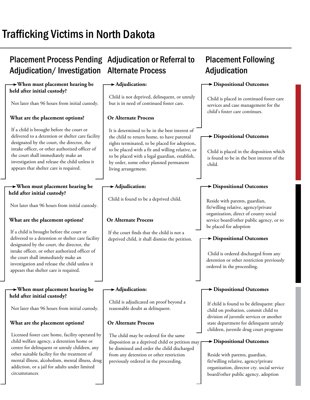# Trafficking Victims in North Dakota

## Placement Process Pending Adjudication or Referral to Adjudication/Investigation Alternate Process

#### **When must placement hearing be held after initial custody?**

Not later than 96 hours from initial custody.

### **What are the placement options?**

If a child is brought before the court or delivered to a detention or shelter care facility designated by the court, the director, the intake officer, or other authorized officer of the court shall immediately make an investigation and release the child unless it appears that shelter care is required.

#### **When must placement hearing be held after initial custody?**

Not later than 96 hours from initial custody.

### **What are the placement options?**

If a child is brought before the court or delivered to a detention or shelter care facility designated by the court, the director, the intake officer, or other authorized officer of the court shall immediately make an investigation and release the child unless it appears that shelter care is required.

#### **When must placement hearing be held after initial custody?**

Not later than 96 hours from initial custody.

### **What are the placement options?**

Licensed foster care home, facility operated by child welfare agency, a detention home or center for delinquent or unruly children, any other suitable facility for the treatment of mental illness, alcoholism, mental illness, drug addiction, or a jail for adults under limited circumstances

### **Adjudication:**

Child is not deprived, delinquent, or unruly but is in need of continued foster care.

### **Or Alternate Process**

It is determined to be in the best interest of the child to return home, to have parental rights terminated, to be placed for adoption, to be placed with a fit and willing relative, or to be placed with a legal guardian, establish, by order, some other planned permanent living arrangement.

### **Adjudication:**

Child is found to be a deprived child.

### **Or Alternate Process**

If the court finds that the child is not a deprived child, it shall dismiss the petition.

### **Adjudication:**

Child is adjudicated on proof beyond a reasonable doubt as delinquent.

### **Or Alternate Process**

The child may be ordered for the same disposition as a deprived child or petition may be dismissed and order the child discharged from any detention or other restriction previously ordered in the proceeding.

# **Placement Following Adjudication**

### **Dispositional Outcomes**

Child is placed in continued foster care services and case management for the child's foster care continues.

### **Dispositional Outcomes**

Child is placed in the disposition which is found to be in the best interest of the child.

### **Dispositional Outcomes**

Reside with parents, guardian, fit/willing relative, agency/private organization, direct of county social service board/other public agency, or to be placed for adoption

### **Dispositional Outcomes**

 Child is ordered discharged from any detention or other restriction previously ordered in the proceeding.

### **Dispositional Outcomes**

If child is found to be delinquent: place child on probation, commit child to division of juvenile services or another state department for delinquent unruly children, juvenile drug court programe

### **Dispositional Outcomes**

Reside with parents, guardian, fit/willing relative, agency/private organization, director cty. social service board/other public agency, adoption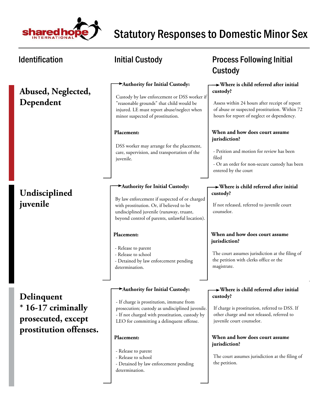

### **Abused, Neglected, Dependent**

## **Undisciplined juvenile**

**Delinquent \* 16-17 criminally prosecuted, except prostitution offenses.**

#### **Authority for Initial Custody:**

Custody by law enforcement or DSS worker if "reasonable grounds" that child would be injured. LE must report abuse/neglect when minor suspected of prostitution.

#### **Placement:**

DSS worker may arrange for the placement, care, supervision, and transportation of the juvenile.

#### **Authority for Initial Custody:**

By law enforcement if suspected of or charged with prostitution. Or, if believed to be undisciplined juvenile (runaway, truant, beyond control of parents, unlawful location).

#### **Placement:**

- Release to parent
- Release to school
- Detained by law enforcement pending determination.

#### **Authority for Initial Custody:**

- If charge is prostitution, immune from prosecution; custody as undisciplined juvenile. - If not charged with prostitution, custody by LEO for committing a delinquent offense.

#### **Placement:**

- Release to parent
- Release to school
- Detained by law enforcement pending determination.

## Identification **Matube initial Custody Constant Custody Process Following Initial** Custody

#### **Where is child referred after initial custody?**

Assess within 24 hours after receipt of report of abuse or suspected prostitution. Within 72 hours for report of neglect or dependency.

#### **When and how does court assume jurisdiction?**

- Petition and motion for review has been filed - Or an order for non-secure custody has been

entered by the court

#### **Where is child referred after initial custody?**

If not released, referred to juvenile court counselor.

#### **When and how does court assume jurisdiction?**

The court assumes jurisdiction at the filing of the petition with clerks office or the magistrate.

#### **Where is child referred after initial custody?**

If charge is prostitution, referred to DSS. If other charge and not released, referred to juvenile court counselor.

#### **When and how does court assume jurisdiction?**

The court assumes jurisdiction at the filing of the petition.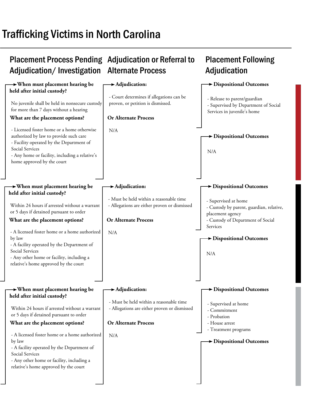# Trafficking Victims in North Carolina

#### Placement Process Pending Adjudication or Referral to Adjudication/Investigation Alternate Process **Placement Following Adjudication When must placement hearing be held after initial custody? When must placement hearing be held after initial custody? When must placement hearing be held after initial custody? Adjudication: Adjudication: Adjudication: Dispositional Outcomes Dispositional Outcomes Dispositional Outcomes Dispositional Outcomes Dispositional Outcomes Dispositional Outcomes Or Alternate Process Or Alternate Process Or Alternate Process What are the placement options? What are the placement options? What are the placement options?**  No juvenile shall be held in nonsecure custody for more than 7 days without a hearing - Licensed foster home or a home otherwise authorized by law to provide such care - Facility operated by the Department of Social Services - Any home or facility, including a relative's home approved by the court Within 24 hours if arrested without a warrant or 5 days if detained pursuant to order - A licensed foster home or a home authorized by law - A facility operated by the Department of Social Services - Any other home or facility, including a relative's home approved by the court - A licensed foster home or a home authorized by law - A facility operated by the Department of Social Services - Any other home or facility, including a relative's home approved by the court N/A N/A N/A - Court determines if allegations can be proven, or petition is dismissed. - Must be held within a reasonable time - Allegations are either proven or dismissed - Must be held within a reasonable time - Allegations are either proven or dismissed - Release to parent/guardian - Supervised by Department of Social Services in juvenile's home - Supervised at home - Custody by parent, guardian, relative, placement agency - Custody of Department of Social Services - Supervised at home - Commitment - Probation - House arrest - Treatment programs N/A N/A Within 24 hours if arrested without a warrant or 5 days if detained pursuant to order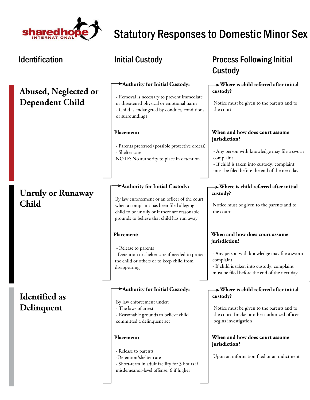

# Statutory Responses to Domestic Minor Sex

| <b>Identification</b>                          | <b>Initial Custody</b>                                                                                                                                                                                                     | <b>Process Following Initial</b><br>Custody                                                                                                                                                                 |
|------------------------------------------------|----------------------------------------------------------------------------------------------------------------------------------------------------------------------------------------------------------------------------|-------------------------------------------------------------------------------------------------------------------------------------------------------------------------------------------------------------|
| Abused, Neglected or<br><b>Dependent Child</b> | Authority for Initial Custody:<br>- Removal is necessary to prevent immediate<br>or threatened physical or emotional harm<br>- Child is endangered by conduct, conditions<br>or surroundings                               | $\rightarrow$ Where is child referred after initial<br>custody?<br>Notice must be given to the parents and to<br>the court                                                                                  |
|                                                | Placement:<br>- Parents preferred (possible protective orders)<br>- Shelter care<br>NOTE: No authority to place in detention.                                                                                              | When and how does court assume<br>jurisdiction?<br>- Any person with knowledge may file a sworn<br>complaint<br>- If child is taken into custody, complaint<br>must be filed before the end of the next day |
| <b>Unruly or Runaway</b><br><b>Child</b>       | Authority for Initial Custody:<br>By law enforcement or an officer of the court<br>when a complaint has been filed alleging<br>child to be unruly or if there are reasonable<br>grounds to believe that child has run away | $\rightarrow$ Where is child referred after initial<br>custody?<br>Notice must be given to the parents and to<br>the court                                                                                  |
|                                                | Placement:<br>- Release to parents<br>- Detention or shelter care if needed to protect<br>the child or others or to keep child from<br>disappearing                                                                        | When and how does court assume<br>jurisdiction?<br>- Any person with knowledge may file a sworn<br>complaint<br>- If child is taken into custody, complaint<br>must be filed before the end of the next day |
| <b>Identified</b> as<br>Delinquent             | Authority for Initial Custody:<br>By law enforcement under:<br>- The laws of arrest<br>- Reasonable grounds to believe child<br>committed a delinquent act                                                                 | $\rightarrow$ Where is child referred after initial<br>custody?<br>Notice must be given to the parents and to<br>the court. Intake or other authorized officer<br>begins investigation                      |
|                                                | Placement:<br>- Release to parents<br>-Detention/shelter care<br>- Short-term in adult facility for 3 hours if<br>misdemeanor-level offense, 6 if higher                                                                   | When and how does court assume<br>jurisdiction?<br>Upon an information filed or an indictment                                                                                                               |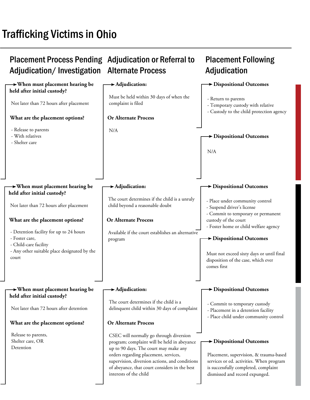# Trafficking Victims in Ohio

#### Placement Process Pending Adjudication or Referral to Adjudication/Investigation Alternate Process **Placement Following Adjudication When must placement hearing be held after initial custody? When must placement hearing be held after initial custody? When must placement hearing be held after initial custody? Adjudication: Adjudication: Adjudication: Dispositional Outcomes Dispositional Outcomes Dispositional Outcomes Dispositional Outcomes Dispositional Outcomes Dispositional Outcomes Or Alternate Process Or Alternate Process Or Alternate Process What are the placement options? What are the placement options? What are the placement options?**  Not later than 72 hours after placement - Release to parents - With relatives - Shelter care Not later than 72 hours after placement - Detention facility for up to 24 hours - Foster care, - Child-care facility - Any other suitable place designated by the court Release to parents, Shelter care, OR Detention N/A Available if the court establishes an alternative program CSEC will normally go through diversion program; complaint will be held in abeyance up to 90 days. The court may make any orders regarding placement, services, supervision, diversion actions, and conditions of abeyance, that court considers in the best interests of the child Must be held within 30 days of when the complaint is filed The court determines if the child is a unruly child beyond a reasonable doubt The court determines if the child is a delinquent child within 30 days of complaint - Return to parents - Temporary custody with relative - Custody to the child protection agency - Place under community control - Suspend driver's license - Commit to temporary or permanent custody of the court - Foster home or child welfare agency - Commit to temporary custody - Placement in a detention facility - Place child under community control N/A Must not exceed sixty days or until final disposition of the case, which ever comes first Not later than 72 hours after detention Placement, supervision, & trauma-based services or ed. activities. When program is successfully completed, complaint dismissed and record expunged.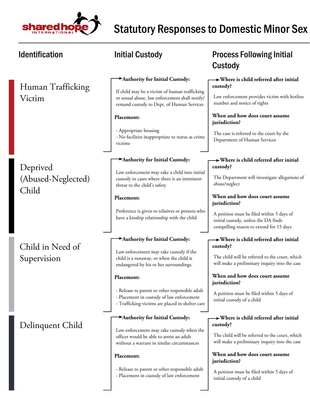

| <b>Identification</b>                   | <b>Initial Custody</b>                                                                                                                          | <b>Process Following Initial</b><br>Custody                                                                                  |
|-----------------------------------------|-------------------------------------------------------------------------------------------------------------------------------------------------|------------------------------------------------------------------------------------------------------------------------------|
| Human Trafficking                       | Authority for Initial Custody:                                                                                                                  | $\rightarrow$ Where is child referred after initial<br>custody?                                                              |
| Victim                                  | If child may be a victim of human trafficking<br>or sexual abuse, law enforcement shall notify/<br>remand custody to Dept. of Human Services    | Law enforcement provides victim with hotline<br>number and notice of rights                                                  |
|                                         | Placement:                                                                                                                                      | When and how does court assume<br>jurisdiction?                                                                              |
|                                         | - Appropriate housing<br>- No facilities inappropriate to status as crime<br>victims                                                            | The case is referred to the court by the<br>Department of Human Services                                                     |
|                                         | Authority for Initial Custody:                                                                                                                  | $\rightarrow$ Where is child referred after initial                                                                          |
| Deprived<br>(Abused-Neglected)<br>Child | Law enforcement may take a child into initial<br>custody in cases where there is an imminent<br>threat to the child's safety                    | custody?<br>The Department will investigate allegations of<br>abuse/neglect                                                  |
|                                         | Placement:                                                                                                                                      | When and how does court assume<br>jurisdiction?                                                                              |
|                                         | Preference is given to relatives or persons who<br>have a kinship relationship with the child                                                   | A petition must be filed within 5 days of<br>initial custody, unless the DA finds<br>compelling reason to extend for 15 days |
| Child in Need of                        | Authority for Initial Custody:                                                                                                                  | $\rightarrow$ Where is child referred after initial<br>custody?                                                              |
| Supervision                             | Law enforcement may take custody if the<br>child is a runaway, or when the child is<br>endangered by his or her surroundings.                   | The child will be referred to the court, which<br>will make a preliminary inquiry into the case                              |
|                                         | Placement:                                                                                                                                      | When and how does court assume<br>jurisdiction?                                                                              |
|                                         | - Release to parent or other responsible adult<br>- Placement in custody of law enforcement<br>- Trafficking victims are placed in shelter care | A petition must be filed within 5 days of<br>initial custody of a child                                                      |
|                                         | Authority for Initial Custody:                                                                                                                  | $\rightarrow$ Where is child referred after initial<br>custody?                                                              |
| Delinquent Child                        | Law enforcement may take custody when the<br>officer would be able to arrest an adult<br>without a warrant in similar circumstances             | The child will be referred to the court, which<br>will make a preliminary inquiry into the case                              |
|                                         | Placement:                                                                                                                                      | When and how does court assume<br>jurisdiction?                                                                              |
|                                         | - Release to parent or other responsible adult<br>- Placement in custody of law enforcement                                                     | A petition must be filed within 5 days of<br>initial custody of a child                                                      |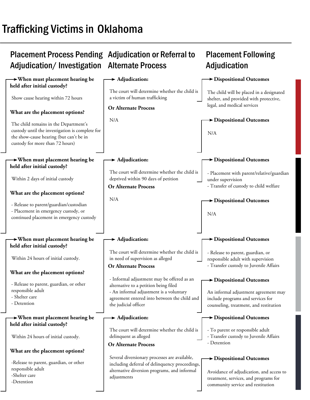# Trafficking Victims in Oklahoma

### Placement Process Pending Adjudication or Referral to Adjudication/Investigation Alternate Process

### Placement Following Adjudication

| $\rightarrow$ When must placement hearing be<br>held after initial custody?                                                   | $\blacktriangleright$ Adjudication:                                                            | Dispositional Outcomes                                                             |
|-------------------------------------------------------------------------------------------------------------------------------|------------------------------------------------------------------------------------------------|------------------------------------------------------------------------------------|
| Show cause hearing within 72 hours                                                                                            | The court will determine whether the child is<br>a victim of human trafficking                 | The child will be placed in a designated<br>shelter, and provided with protective, |
|                                                                                                                               | <b>Or Alternate Process</b>                                                                    | legal, and medical services                                                        |
| What are the placement options?                                                                                               |                                                                                                |                                                                                    |
| The child remains in the Department's                                                                                         | N/A                                                                                            | <b>&gt;</b> Dispositional Outcomes                                                 |
| custody until the investigation is complete for<br>the show-cause hearing (but can't be in<br>custody for more than 72 hours) |                                                                                                | N/A                                                                                |
|                                                                                                                               |                                                                                                |                                                                                    |
| $\rightarrow$ When must placement hearing be<br>held after initial custody?                                                   | $\blacktriangleright$ Adjudication:                                                            | $\blacktriangleright$ Dispositional Outcomes                                       |
|                                                                                                                               | The court will determine whether the child is                                                  | - Placement with parent/relative/guardian                                          |
| Within 2 days of initial custody                                                                                              | deprived within 90 days of petition                                                            | under supervision                                                                  |
| What are the placement options?                                                                                               | <b>Or Alternate Process</b>                                                                    | - Transfer of custody to child welfare                                             |
|                                                                                                                               | N/A                                                                                            | <b>&gt;</b> Dispositional Outcomes                                                 |
| - Release to parent/guardian/custodian<br>- Placement in emergency custody, or                                                |                                                                                                |                                                                                    |
| continued placement in emergency custody                                                                                      |                                                                                                | N/A                                                                                |
|                                                                                                                               |                                                                                                |                                                                                    |
|                                                                                                                               |                                                                                                |                                                                                    |
|                                                                                                                               |                                                                                                |                                                                                    |
| $\rightarrow$ When must placement hearing be<br>held after initial custody?                                                   | $\blacktriangleright$ Adjudication:                                                            | <b>&gt; Dispositional Outcomes</b>                                                 |
|                                                                                                                               | The court will determine whether the child is                                                  | - Release to parent, guardian, or                                                  |
| Within 24 hours of initial custody.                                                                                           | in need of supervision as alleged                                                              | responsible adult with supervision                                                 |
| What are the placement options?                                                                                               | <b>Or Alternate Process</b>                                                                    | - Transfer custody to Juvenile Affairs                                             |
|                                                                                                                               | - Informal adjustment may be offered as an                                                     | > Dispositional Outcomes                                                           |
| - Release to parent, guardian, or other<br>responsible adult                                                                  | alternative to a petition being filed                                                          |                                                                                    |
| - Shelter care                                                                                                                | - An informal adjustment is a voluntary<br>agreement entered into between the child and        | An informal adjustment agreement may<br>include programs and services for          |
| - Detention                                                                                                                   | the judicial officer                                                                           | counseling, treatment, and restitution                                             |
| $\rightarrow$ When must placement hearing be                                                                                  | $\blacktriangleright$ Adjudication:                                                            | $\blacktriangleright$ Dispositional Outcomes                                       |
| held after initial custody?                                                                                                   |                                                                                                |                                                                                    |
| Within 24 hours of initial custody.                                                                                           | The court will determine whether the child is<br>delinquent as alleged                         | - To parent or responsible adult<br>- Transfer custody to Juvenile Affairs         |
|                                                                                                                               | <b>Or Alternate Process</b>                                                                    | - Detention                                                                        |
| What are the placement options?                                                                                               |                                                                                                |                                                                                    |
| -Release to parent, guardian, or other                                                                                        | Several diversionary processes are available,                                                  | $\rightarrow$ Dispositional Outcomes                                               |
| responsible adult                                                                                                             | including deferral of delinquency proceedings,<br>alternative diversion programs, and informal | Avoidance of adjudication, and access to                                           |
| -Shelter care<br>-Detention                                                                                                   | adjustments                                                                                    | treatment, services, and programs for<br>community service and restitution         |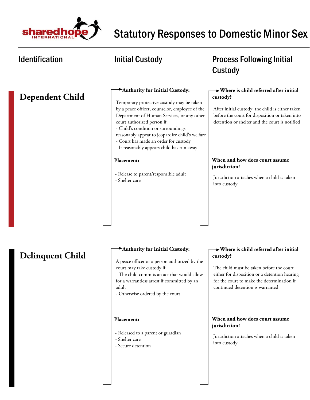

### Identification **Matube 10 Mullet 10 Mullet 10 Mullet 10 Mullet 10 Mullet 10 Mullet 10 Mullet 10 Mullet 10 Mullet 10 Mullet 10 Mullet 10 Mullet 10 Mullet 10 Mullet 10 Mullet 10 Mullet 10 Mullet 10 Mullet 10 Mullet 10 Mullet** Custody  **Where is child referred after initial custody? When and how does court assume jurisdiction? Authority for Initial Custody: Placement: Dependent Child** Jurisdiction attaches when a child is taken into custody After initial custody, the child is either taken before the court for disposition or taken into detention or shelter and the court is notified Temporary protective custody may be taken by a peace officer, counselor, employee of the Department of Human Services, or any other court authorized person if: - Child's condition or surroundings reasonably appear to jeopardize child's welfare - Court has made an order for custody - It reasonably appears child has run away - Release to parent/responsible adult - Shelter care

### **Delinquent Child**

### **Authority for Initial Custody:**

A peace officer or a person authorized by the court may take custody if:

- The child commits an act that would allow for a warrantless arrest if committed by an adult

- Otherwise ordered by the court

### **Placement:**

- Released to a parent or guardian
- Shelter care
- Secure detention

### **Where is child referred after initial custody?**

The child must be taken before the court either for disposition or a detention hearing for the court to make the determination if continued detention is warranted

### **When and how does court assume jurisdiction?**

Jurisdiction attaches when a child is taken into custody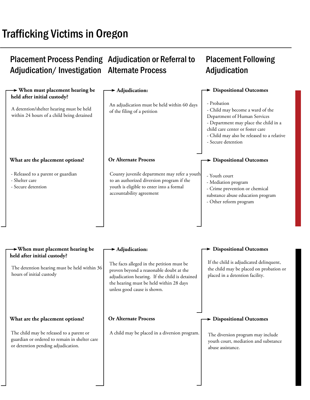# Trafficking Victims in Oregon

#### Placement Process Pending Adjudication or Referral to Adjudication/Investigation Alternate Process Placement Following Adjudication  **When must placement hearing be held after initial custody? When must placement hearing be held after initial custody? Adjudication Adjudication Dispositional Outcomes Dispositional Outcomes Dispositional Outcomes Dispositional Outcomes Or Alternate Process Or Alternate Process What are the placement options? What are the placement options?**  An adjudication must be held within 60 days of the filing of a petition - Probation - Child may become a ward of the Department of Human Services - Department may place the child in a child care center or foster care - Child may also be released to a relative - Secure detention - Released to a parent or guardian - Shelter care - Secure detention - Youth court - Mediation program - Crime prevention or chemical substance abuse education program - Other reform program The child may be released to a parent or guardian or ordered to remain in shelter care or detention pending adjudication. County juvenile department may refer a youth to an authorized diversion program if the youth is eligible to enter into a formal accountability agreement A child may be placed in a diversion program. A detention/shelter hearing must be held within 24 hours of a child being detained The detention hearing must be held within 36 hours of initial custody The facts alleged in the petition must be proven beyond a reasonable doubt at the adjudication hearing. If the child is detained the hearing must be held within 28 days unless good cause is shown. If the child is adjudicated delinquent, the child may be placed on probation or placed in a detention facility. The diversion program may include youth court, mediation and substance abuse assistance.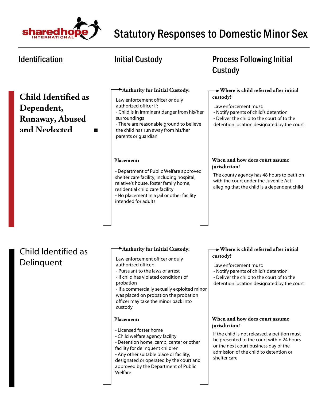

| <b>Identification</b>                                                                    | <b>Initial Custody</b>                                                                                                                                                                                                                                                                                                         | <b>Process Following Initial</b><br>Custody                                                                                                                                                                                                      |
|------------------------------------------------------------------------------------------|--------------------------------------------------------------------------------------------------------------------------------------------------------------------------------------------------------------------------------------------------------------------------------------------------------------------------------|--------------------------------------------------------------------------------------------------------------------------------------------------------------------------------------------------------------------------------------------------|
| <b>Child Identified as</b><br>Dependent,<br><b>Runaway, Abused</b><br>and Neglected<br>П | Authority for Initial Custody:<br>Law enforcement officer or duly<br>authorized officer if:<br>- Child is in imminent danger from his/her<br>surroundings<br>- There are reasonable ground to believe<br>the child has run away from his/her<br>parents or guardian                                                            | $\rightarrow$ Where is child referred after initial<br>custody?<br>Law enforcement must:<br>- Notify parents of child's detention<br>- Deliver the child to the court of to the<br>detention location designated by the court                    |
|                                                                                          | Placement:<br>- Department of Public Welfare approved<br>shelter care facility, including hospital,<br>relative's house, foster family home,<br>residential child care facility<br>- No placement in a jail or other facility<br>intended for adults                                                                           | When and how does court assume<br>jurisdiction?<br>The county agency has 48 hours to petition<br>with the court under the Juvenile Act<br>alleging that the child is a dependent child                                                           |
| Child Identified as<br>Delinguent                                                        | Authority for Initial Custody:<br>Law enforcement officer or duly<br>authorized officer:<br>- Pursuant to the laws of arrest<br>- If child has violated conditions of<br>probation<br>- If a commercially sexually exploited minor<br>was placed on probation the probation<br>officer may take the minor back into<br>custody | Where is child referred after initial<br>custody?<br>Law enforcement must:<br>- Notify parents of child's detention<br>- Deliver the child to the court of to the<br>detention location designated by the court                                  |
|                                                                                          | Placement:<br>- Licensed foster home<br>- Child welfare agency facility<br>- Detention home, camp, center or other<br>facility for delinquent children<br>- Any other suitable place or facility,<br>designated or operated by the court and<br>approved by the Department of Public<br>Welfare                                | When and how does court assume<br>jurisdiction?<br>If the child is not released, a petition must<br>be presented to the court within 24 hours<br>or the next court business day of the<br>admission of the child to detention or<br>shelter care |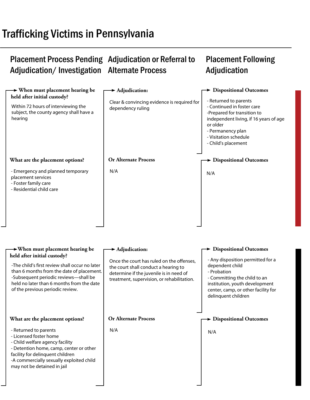# Trafficking Victims in Pennsylvania

#### Placement Process Pending Adjudication or Referral to Adjudication/Investigation Alternate Process Placement Following Adjudication

| $\rightarrow$ When must placement hearing be                                                                                                                                                                                                         | $\rightarrow$ Adjudication:                                                                                                                                                | $\rightarrow$ Dispositional Outcomes                                                                                                                                                                |
|------------------------------------------------------------------------------------------------------------------------------------------------------------------------------------------------------------------------------------------------------|----------------------------------------------------------------------------------------------------------------------------------------------------------------------------|-----------------------------------------------------------------------------------------------------------------------------------------------------------------------------------------------------|
| held after initial custody?                                                                                                                                                                                                                          |                                                                                                                                                                            | - Returned to parents                                                                                                                                                                               |
| Within 72 hours of interviewing the<br>subject, the county agency shall have a<br>hearing                                                                                                                                                            | Clear & convincing evidence is required for<br>dependency ruling                                                                                                           | - Continued in foster care<br>-Prepared for transition to<br>independent living, if 16 years of age<br>or older<br>- Permanency plan<br>- Visitation schedule<br>- Child's placement                |
| What are the placement options?                                                                                                                                                                                                                      | <b>Or Alternate Process</b>                                                                                                                                                | $\rightarrow$ Dispositional Outcomes                                                                                                                                                                |
| - Emergency and planned temporary<br>placement services<br>- Foster family care<br>- Residential child care                                                                                                                                          | N/A                                                                                                                                                                        | N/A                                                                                                                                                                                                 |
| $\rightarrow$ When must placement hearing be                                                                                                                                                                                                         | $\blacktriangleright$ Adjudication:                                                                                                                                        | <b>Dispositional Outcomes</b>                                                                                                                                                                       |
| held after initial custody?<br>-The child's first review shall occur no later<br>than 6 months from the date of placement.<br>-Subsequent periodic reviews-shall be<br>held no later than 6 months from the date<br>of the previous periodic review. | Once the court has ruled on the offenses,<br>the court shall conduct a hearing to<br>determine if the juvenile is in need of<br>treatment, supervision, or rehabilitation. | - Any disposition permitted for a<br>dependent child<br>- Probation<br>- Committing the child to an<br>institution, youth development<br>center, camp, or other facility for<br>delinquent children |
| What are the placement options?                                                                                                                                                                                                                      | <b>Or Alternate Process</b>                                                                                                                                                | > Dispositional Outcomes                                                                                                                                                                            |
| - Returned to parents<br>- Licensed foster home<br>- Child welfare agency facility<br>- Detention home, camp, center or other<br>facility for delinquent children<br>-A commercially sexually exploited child<br>may not be detained in jail         | N/A                                                                                                                                                                        | N/A                                                                                                                                                                                                 |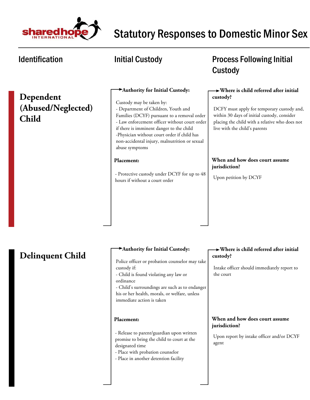

### **Dependent (Abused/Neglected) Child**

### **Authority for Initial Custody:**

Custody may be taken by: - Department of Children, Youth and Families (DCYF) pursuant to a removal order - Law enforcement officer without court order if there is imminent danger to the child -Physician without court order if child has non-accidental injury, malnutrition or sexual abuse symptoms

### **Placement:**

- Protective custody under DCYF for up to 48 hours if without a court order

### Identification **Matube 10 Mullet 10 Mullet 10 Mullet 10 Mullet 10 Mullet 10 Mullet 10 Mullet 10 Mullet 10 Mullet 10 Mullet 10 Mullet 10 Mullet 10 Mullet 10 Mullet 10 Mullet 10 Mullet 10 Mullet 10 Mullet 10 Mullet 10 Mullet** Custody

### **Where is child referred after initial custody?**

DCFY must apply for temporary custody and, within 30 days of initial custody, consider placing the child with a relative who does not live with the child's parents

### **When and how does court assume jurisdiction?**

Upon petition by DCYF

### **Delinquent Child**

### **Authority for Initial Custody:**

Police officer or probation counselor may take custody if:

- Child is found violating any law or
- ordinance

- Child's surroundings are such as to endanger his or her health, morals, or welfare, unless immediate action is taken

### **Placement:**

- Release to parent/guardian upon written promise to bring the child to court at the designated time

- Place with probation counselor

- Place in another detention facility

### **Where is child referred after initial custody?**

Intake officer should immediately report to the court

### **When and how does court assume jurisdiction?**

Upon report by intake officer and/or DCYF agent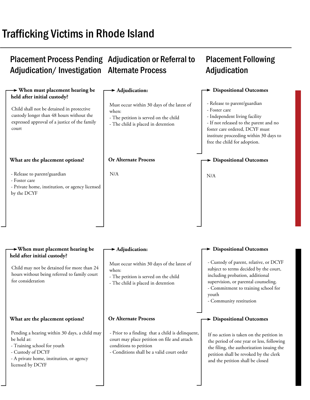# Trafficking Victims in Rhode Island

## Placement Process Pending Adjudication or Referral to Adjudication/Investigation Alternate Process

## Placement Following Adjudication

#### **When must placement hearing be held after initial custody? When must placement hearing be held after initial custody? Adjudication Adjudication Dispositional Outcomes Dispositional Outcomes Dispositional Outcomes Dispositional Outcomes Or Alternate Process Or Alternate Process What are the placement options? What are the placement options?**  Must occur within 30 days of the latest of when: - The petition is served on the child - The child is placed in detention - Release to parent/guardian - Foster care - Independent living facility - If not released to the parent and no foster care ordered, DCYF must institute proceeding within 30 days to free the child for adoption. - Release to parent/guardian - Foster care - Private home, institution, or agency licensed by the DCYF N/A Pending a hearing within 30 days, a child may be held at: - Training school for youth - Custody of DCYF - A private home, institution, or agency licensed by DCYF N/A - Prior to a finding that a child is delinquent, court may place petition on file and attach conditions to petition - Conditions shall be a valid court order Child shall not be detained in protective custody longer than 48 hours without the expressed approval of a justice of the family court Child may not be detained for more than 24 hours without being referred to family court for consideration Must occur within 30 days of the latest of when: - The petition is served on the child - The child is placed in detention - Custody of parent, relative, or DCYF subject to terms decided by the court, including probation, additional supervision, or parental counseling. - Commitment to training school for youth - Community restitution If no action is taken on the petition in the period of one year or less, following the filing, the authorization issuing the petition shall be revoked by the clerk and the petition shall be closed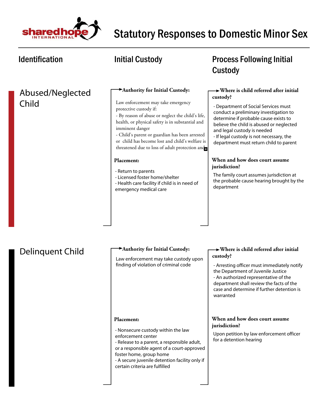

### Abused/Neglected Child

### **Authority for Initial Custody:**

Law enforcement may take emergency protective custody if:

- By reason of abuse or neglect the child's life, health, or physical safety is in substantial and imminent danger

- Child's parent or guardian has been arrested or child has become lost and child's welfare is threatened due to loss of adult protection and

### **Placement:**

- Return to parents
- Licensed foster home/shelter
- Health care facility if child is in need of emergency medical care

### Identification **Matube initial Custody CONGITY** Process Following Initial Custody

### **Where is child referred after initial custody?**

- Department of Social Services must conduct a preliminary investigation to determine if probable cause exists to believe the child is abused or neglected and legal custody is needed - If legal custody is not necessary, the department must return child to parent

### **When and how does court assume jurisdiction?**

The family court assumes jurisdiction at the probable cause hearing brought by the department

### Delinquent Child

### **Authority for Initial Custody:**

Law enforcement may take custody upon finding of violation of criminal code

### **Where is child referred after initial custody?**

- Arresting officer must immediately notify the Department of Juvenile Justice

- An authorized representative of the department shall review the facts of the case and determine if further detention is warranted

### **When and how does court assume jurisdiction?**

Upon petition by law enforcement officer for a detention hearing

### **Placement:**

- Nonsecure custody within the law enforcement center
- Release to a parent, a responsible adult,
- or a responsible agent of a court-approved foster home, group home
- A secure juvenile detention facility only if certain criteria are fulfilled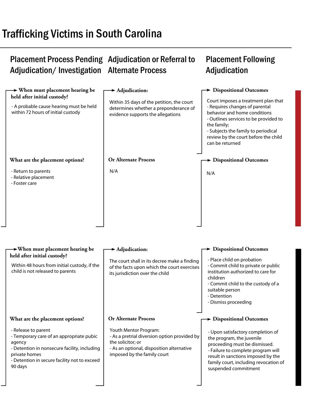# Trafficking Victims in South Carolina

#### Placement Process Pending Adjudication or Referral to Adjudication/Investigation Alternate Process Placement Following Adjudication

| $\rightarrow$ When must placement hearing be<br>held after initial custody?<br>- A probable cause hearing must be held<br>within 72 hours of initial custody                                          | $\blacktriangleright$ Adjudication:<br>Within 35 days of the petition, the court<br>determines whether a preponderance of<br>evidence supports the allegations         | $\rightarrow$ Dispositional Outcomes<br>Court imposes a treatment plan that<br>- Requires changes of parental<br>behavior and home conditions<br>- Outlines services to be provided to<br>the family;<br>- Subjects the family to periodical<br>review by the court before the child<br>can be returned |
|-------------------------------------------------------------------------------------------------------------------------------------------------------------------------------------------------------|------------------------------------------------------------------------------------------------------------------------------------------------------------------------|---------------------------------------------------------------------------------------------------------------------------------------------------------------------------------------------------------------------------------------------------------------------------------------------------------|
| What are the placement options?                                                                                                                                                                       | <b>Or Alternate Process</b>                                                                                                                                            | $\blacktriangleright$ Dispositional Outcomes                                                                                                                                                                                                                                                            |
| - Return to parents<br>- Relative placement<br>- Foster care                                                                                                                                          | N/A                                                                                                                                                                    | N/A                                                                                                                                                                                                                                                                                                     |
| $\rightarrow$ When must placement hearing be                                                                                                                                                          | $\blacktriangleright$ Adjudication:                                                                                                                                    | > Dispositional Outcomes                                                                                                                                                                                                                                                                                |
| held after initial custody?<br>Within 48 hours from initial custody, if the<br>child is not released to parents                                                                                       | The court shall in its decree make a finding<br>of the facts upon which the court exercises<br>its jurisdiction over the child                                         | - Place child on probation<br>- Commit child to private or public<br>institution authorized to care for<br>children<br>- Commit child to the custody of a<br>suitable person<br>- Detention<br>- Dismiss proceeding                                                                                     |
| What are the placement options?                                                                                                                                                                       | <b>Or Alternate Process</b>                                                                                                                                            | $\blacktriangleright$ Dispositional Outcomes                                                                                                                                                                                                                                                            |
| - Release to parent<br>- Temporary care of an appropriate pubic<br>agency<br>- Detention in nonsecure facility, including<br>private homes<br>- Detention in secure facility not to exceed<br>90 days | Youth Mentor Program:<br>- As a pretrial diversion option provided by<br>the solicitor; or<br>- As an optional, disposition alternative<br>imposed by the family court | - Upon satisfactory completion of<br>the program, the juvenile<br>proceeding must be dismissed.<br>- Failure to complete program will<br>result in sanctions imposed by the<br>family court, including revocation of<br>suspended commitment                                                            |
|                                                                                                                                                                                                       |                                                                                                                                                                        |                                                                                                                                                                                                                                                                                                         |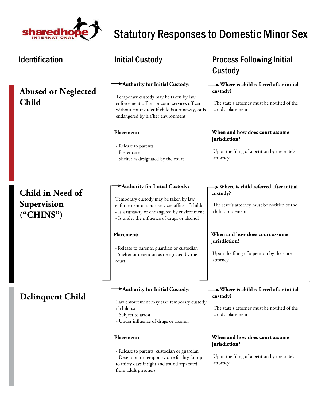

#### Identification **Matube initial Custody Constant Custody Process Following Initial** Custody  **Where is child referred after initial custody? Where is child referred after initial custody? Where is child referred after initial custody? When and how does court assume jurisdiction? When and how does court assume jurisdiction? When and how does court assume jurisdiction? Authority for Initial Custody: Authority for Initial Custody: Authority for Initial Custody: Placement: Placement: Placement: Abused or Neglected Child Child in Need of Supervision ("CHINS") Delinquent Child** Upon the filing of a petition by the state's attorney Upon the filing of a petition by the state's attorney Upon the filing of a petition by the state's attorney The state's attorney must be notified of the child's placement The state's attorney must be notified of the child's placement The state's attorney must be notified of the child's placement Temporary custody may be taken by law enforcement officer or court services officer without court order if child is a runaway, or is endangered by his/her environment Temporary custody may be taken by law enforcement or court services officer if child: - Is a runaway or endangered by environment - Is under the influence of drugs or alcohol Law enforcement may take temporary custody if child is: - Subject to arrest - Under influence of drugs or alcohol - Release to parents - Foster care - Shelter as designated by the court - Release to parents, guardian or custodian - Shelter or detention as designated by the court - Release to parents, custodian or guardian - Detention or temporary care facility for up to thirty days if sight and sound separated from adult prisoners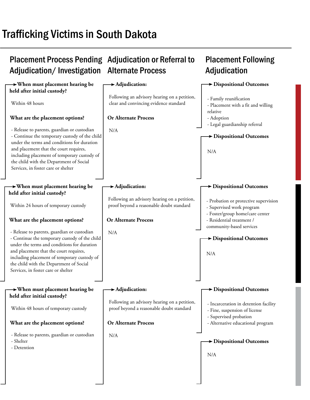# Trafficking Victims in South Dakota

#### Placement Process Pending Adjudication or Referral to Adjudication/Investigation Alternate Process **Placement Following Adjudication When must placement hearing be held after initial custody? When must placement hearing be held after initial custody? When must placement hearing be held after initial custody? Adjudication: Adjudication: Adjudication: Dispositional Outcomes Dispositional Outcomes Dispositional Outcomes Dispositional Outcomes Dispositional Outcomes Dispositional Outcomes Or Alternate Process Or Alternate Process Or Alternate Process What are the placement options? What are the placement options? What are the placement options?**  Within 48 hours - Release to parents, guardian or custodian - Continue the temporary custody of the child under the terms and conditions for duration and placement that the court requires, including placement of temporary custody of the child with the Department of Social Services, in foster care or shelter Within 24 hours of temporary custody - Release to parents, guardian or custodian - Continue the temporary custody of the child under the terms and conditions for duration and placement that the court requires, including placement of temporary custody of the child with the Department of Social Services, in foster care or shelter - Release to parents, guardian or custodian - Shelter - Detention N/A N/A N/A Following an advisory hearing on a petition, clear and convincing evidence standard Following an advisory hearing on a petition, proof beyond a reasonable doubt standard Following an advisory hearing on a petition, proof beyond a reasonable doubt standard - Family reunification - Placement with a fit and willing relative - Adoption - Legal guardianship referral - Probation or protective supervision - Supervised work program - Foster/group home/care center - Residential treatment / community-based services - Incarceration in detention facility - Fine, suspension of license - Supervised probation - Alternative educational program N/A N/A Within 48 hours of temporary custody N/A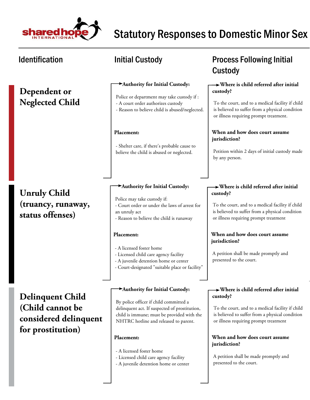

**jurisdiction?**

presented to the court.

A petition shall be made promptly and

#### Identification **Matube initial Custody Constant Custody Process Following Initial** Custody  **Where is child referred after initial custody? Where is child referred after initial custody? Where is child referred after initial custody? When and how does court assume jurisdiction? When and how does court assume jurisdiction? When and how does court assume Authority for Initial Custody: Authority for Initial Custody: Authority for Initial Custody: Placement: Placement: Placement: Dependent or Neglected Child Unruly Child (truancy, runaway, status offenses) Delinquent Child (Child cannot be considered delinquent for prostitution)** Petition within 2 days of initial custody made by any person. A petition shall be made promptly and presented to the court. To the court, and to a medical facility if child is believed to suffer from a physical condition or illness requiring prompt treatment. To the court, and to a medical facility if child is believed to suffer from a physical condition or illness requiring prompt treatment To the court, and to a medical facility if child is believed to suffer from a physical condition or illness requiring prompt treatment Police or department may take custody if : - A court order authorizes custody - Reason to believe child is abused/neglected. Police may take custody if: - Court order or under the laws of arrest for an unruly act - Reason to believe the child is runaway By police officer if child committed a delinquent act. If suspected of prostitution, child is immune; must be provided with the NHTRC hotline and released to parent. - Shelter care, if there's probable cause to believe the child is abused or neglected. - A licensed foster home - Licensed child care agency facility - A juvenile detention home or center - Court-designated "suitable place or facility"

- A licensed foster home
- Licensed child care agency facility
- A juvenile detention home or center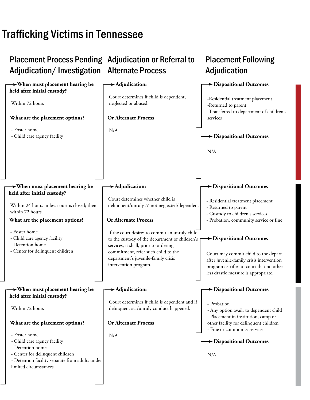# Trafficking Victims in Tennessee

| <b>Placement Process Pending Adjudication or Referral to</b><br>Adjudication/Investigation                                                                                                                           | <b>Alternate Process</b>                                                                                                                                                                                                                         | <b>Placement Following</b><br>Adjudication                                                                                                                                                                     |
|----------------------------------------------------------------------------------------------------------------------------------------------------------------------------------------------------------------------|--------------------------------------------------------------------------------------------------------------------------------------------------------------------------------------------------------------------------------------------------|----------------------------------------------------------------------------------------------------------------------------------------------------------------------------------------------------------------|
| $\rightarrow$ When must placement hearing be<br>held after initial custody?<br>Within 72 hours<br>What are the placement options?<br>- Foster home<br>- Child care agency facility                                   | $\rightarrow$ Adjudication:<br>Court determines if child is dependent,<br>neglected or abused.<br><b>Or Alternate Process</b><br>N/A                                                                                                             | Dispositional Outcomes<br>-Residential treatment placement<br>-Returned to parent<br>-Transferred to department of children's<br>services<br><b>&gt;</b> Dispositional Outcomes<br>N/A                         |
| $\rightarrow$ When must placement hearing be<br>held after initial custody?<br>Within 24 hours unless court is closed; then<br>within 72 hours.<br>What are the placement options?                                   | $\blacktriangleright$ Adjudication:<br>Court determines whether child is<br>delinquent/unruly & not neglected/dependent<br><b>Or Alternate Process</b>                                                                                           | Dispositional Outcomes<br>- Residential treatment placement<br>- Returned to parent<br>- Custody to children's services<br>- Probation, community service or fine                                              |
| - Foster home<br>- Child care agency facility<br>- Detention home<br>- Center for delinquent children                                                                                                                | If the court desires to commit an unruly child<br>to the custody of the department of children's<br>services, it shall, prior to ordering<br>commitment, refer such child to the<br>department's juvenile-family crisis<br>intervention program. | $\rightarrow$ Dispositional Outcomes<br>Court may commit child to the depart.<br>after juvenile-family crisis intervention<br>program certifies to court that no other<br>less drastic measure is appropriate. |
| $\rightarrow$ When must placement hearing be<br>held after initial custody?<br>Within 72 hours                                                                                                                       | $\rightarrow$ Adjudication:<br>Court determines if child is dependent and if<br>delinquent act/unruly conduct happened.                                                                                                                          | Dispositional Outcomes<br>- Probation<br>- Any option avail. to dependent child                                                                                                                                |
| What are the placement options?<br>- Foster home<br>- Child care agency facility<br>- Detention home<br>- Center for delinquent children<br>- Detention facility separate from adults under<br>limited circumstances | <b>Or Alternate Process</b><br>N/A                                                                                                                                                                                                               | - Placement in institution, camp or<br>other facility for delinquent children<br>- Fine or community service<br>> Dispositional Outcomes<br>N/A                                                                |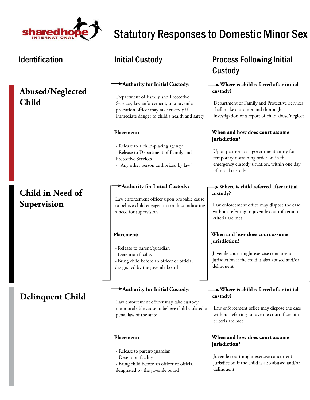

### **Abused/Neglected Child**

## **Child in Need of Supervision**

### **Delinquent Child**

### **Authority for Initial Custody:**

Department of Family and Protective Services, law enforcement, or a juvenile probation officer may take custody if immediate danger to child's health and safety

### **Placement:**

- Release to a child-placing agency
- Release to Department of Family and Protective Services
- "Any other person authorized by law"

### **Authority for Initial Custody:**

Law enforcement officer upon probable cause to believe child engaged in conduct indicating a need for supervision

### **Placement:**

- Release to parent/guardian
- Detention facility
- Bring child before an officer or official
- designated by the juvenile board

### **Authority for Initial Custody:**

Law enforcement officer may take custody upon probable cause to believe child violated a penal law of the state

### **Placement:**

- Release to parent/guardian
- Detention facility
- Bring child before an officer or official designated by the juvenile board

## Identification The Superintial Custody Contract Process Following Initial Custody

### **Where is child referred after initial custody?**

Department of Family and Protective Services shall make a prompt and thorough investigation of a report of child abuse/neglect

### **When and how does court assume jurisdiction?**

Upon petition by a government entity for temporary restraining order or, in the emergency custody situation, within one day of initial custody

### **Where is child referred after initial custody?**

Law enforcement office may dispose the case without referring to juvenile court if certain criteria are met

### **When and how does court assume jurisdiction?**

Juvenile court might exercise concurrent jurisdiction if the child is also abused and/or delinquent

### **Where is child referred after initial custody?**

Law enforcement office may dispose the case without referring to juvenile court if certain criteria are met

### **When and how does court assume jurisdiction?**

Juvenile court might exercise concurrent jurisdiction if the child is also abused and/or delinquent.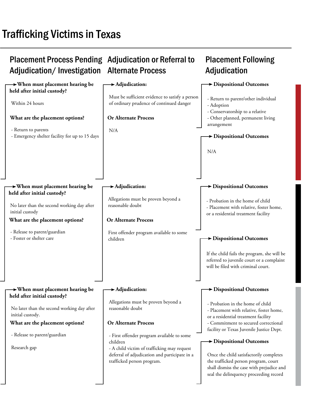# Trafficking Victims in Texas

#### Placement Process Pending Adjudication or Referral to Adjudication/Investigation **Alternate Process Placement Following Adjudication When must placement hearing be held after initial custody? When must placement hearing be held after initial custody? When must placement hearing be held after initial custody? Adjudication: Adjudication: Adjudication: Dispositional Outcomes Dispositional Outcomes Dispositional Outcomes Dispositional Outcomes Dispositional Outcomes Dispositional Outcomes Or Alternate Process Or Alternate Process Or Alternate Process What are the placement options? What are the placement options? What are the placement options?**  Within 24 hours - Return to parents - Emergency shelter facility for up to 15 days No later than the second working day after initial custody - Release to parent/guardian - Foster or shelter care - Release to parent/guardian Research gap N/A First offender program available to some children - First offender program available to some children - A child victim of trafficking may request deferral of adjudication and participate in a trafficked person program. Must be sufficient evidence to satisfy a person of ordinary prudence of continued danger Allegations must be proven beyond a reasonable doubt Allegations must be proven beyond a reasonable doubt - Return to parent/other individual - Adoption - Conservatorship to a relative - Other planned, permanent living arrangement - Probation in the home of child - Placement with relative, foster home, or a residential treatment facility - Probation in the home of child - Placement with relative, foster home, or a residential treatment facility - Commitment to secured correctional facility or Texas Juvenile Justice Dept. N/A If the child fails the program, she will be referred to juvenile court or a complaint will be filed with criminal court. No later than the second working day after initial custody. Once the child satisfactorily completes the trafficked person program, court shall dismiss the case with prejudice and seal the delinquency proceeding record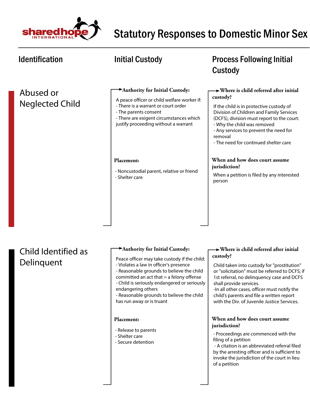

### Identification **Matube initial Custody CONGITY** Process Following Initial Custody  **Where is child referred after initial custody? Where is child referred after initial custody? When and how does court assume jurisdiction? Authority for Initial Custody: Authority for Initial Custody: Placement:** Abused or Neglected Child Child Identified as Delinquent When a petition is filed by any interested person If the child is in protective custody of Division of Children and Family Services (DCFS), division must report to the court: - Why the child was removed - Any services to prevent the need for removal - The need for continued shelter care Child taken into custody for "prostitution" A peace officer or child welfare worker if: - There is a warrant or court order - The parents consent - There are exigent circumstances which justify proceeding without a warrant Peace officer may take custody if the child: - Violates a law in officer's presence - Reasonable grounds to believe the child - Noncustodial parent, relative or friend - Shelter care

committed an act that  $=$  a felony offense - Child is seriously endangered or seriously

- Reasonable grounds to believe the child

**Placement:**

endangering others

- Release to parents - Shelter care - Secure detention

has run away or is truant

or "solicitation" must be referred to DCFS; if 1st referral, no delinquency case and DCFS shall provide services.

-In all other cases, officer must notify the child's parents and file a written report with the Div. of Juvenile Justice Services.

### **When and how does court assume jurisdiction?**

- Proceedings are commenced with the filing of a petition

 - A citation is an abbreviated referral filed by the arresting officer and is sufficient to invoke the jurisdiction of the court in lieu of a petition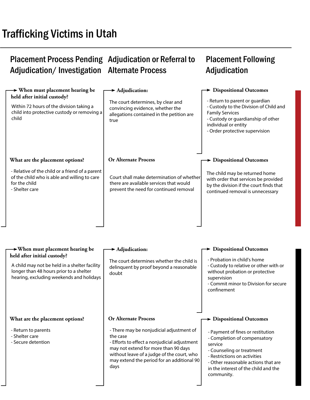#### Placement Process Pending Adjudication or Referral to Adjudication/Investigation Alternate Process Placement Following **Adjudication**

#### **When must placement hearing be held after initial custody? When must placement hearing be held after initial custody? Adjudication Adjudication Dispositional Outcomes Dispositional Outcomes Dispositional Outcomes Or Alternate Process What are the placement options?**  The court determines, by clear and convincing evidence, whether the allegations contained in the petition are true - Return to parent or guardian - Custody to the Division of Child and Family Services - Custody or guardianship of other individual or entity - Order protective supervision - Relative of the child or a friend of a parent of the child who is able and willing to care for the child - Shelter care The child may be returned home with order that services be provided by the division if the court finds that continued removal is unnecessary Court shall make determination of whether there are available services that would prevent the need for continued removal Within 72 hours of the division taking a child into protective custody or removing a child A child may not be held in a shelter facility The court determines whether the child is - Probation in child's home - Custody to relative or other with or

longer than 48 hours prior to a shelter hearing, excluding weekends and holidays

### **What are the placement options?**

- Return to parents
- Shelter care
- Secure detention

delinquent by proof beyond a reasonable doubt

without probation or protective supervision

- Commit minor to Division for secure confinement

### **Or Alternate Process**

- There may be nonjudicial adjustment of the case

- Efforts to effect a nonjudicial adjustment may not extend for more than 90 days without leave of a judge of the court, who may extend the period for an additional 90 days

### **Dispositional Outcomes**

- Payment of fines or restitution
- Completion of compensatory service
- Counseling or treatment
- Restrictions on activities
- Other reasonable actions that are in the interest of the child and the community.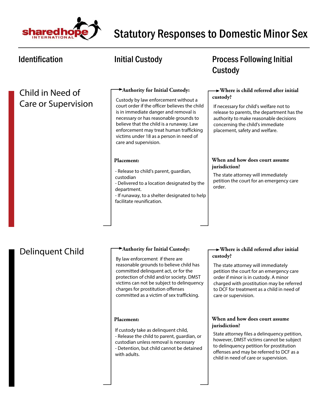

### Child in Need of Care or Supervision

### **Authority for Initial Custody:**

Custody by law enforcement without a court order if the officer believes the child is in immediate danger and removal is necessary or has reasonable grounds to believe that the child is a runaway. Law enforcement may treat human trafficking victims under 18 as a person in need of care and supervision.

### **Placement:**

- Release to child's parent, guardian, custodian
- Delivered to a location designated by the department.
- If runaway, to a shelter designated to help facilitate reunification.

### Identification **Matube initial Custody CONGITY** Process Following Initial Custody

### **Where is child referred after initial custody?**

If necessary for child's welfare not to release to parents, the department has the authority to make reasonable decisions concerning the child's immediate placement, safety and welfare.

### **When and how does court assume jurisdiction?**

The state attorney will immediately petition the court for an emergency care order.

### Delinquent Child

### **Authority for Initial Custody:**

By law enforcement if there are reasonable grounds to believe child has committed delinquent act, or for the protection of child and/or society. DMST victims can not be subject to delinquency charges for prostitution offenses committed as a victim of sex trafficking.

### **Placement:**

- If custody take as delinquent child,
- Release the child to parent, guardian, or
- custodian unless removal is necessary - Detention, but child cannot be detained with adults.

### **Where is child referred after initial custody?**

The state attorney will immediately petition the court for an emergency care order if minor is in custody. A minor charged with prostitution may be referred to DCF for treatment as a child in need of care or supervision.

### **When and how does court assume jurisdiction?**

State attorney files a delinquency petition, however, DMST victims cannot be subject to delinquency petition for prostitution offenses and may be referred to DCF as a child in need of care or supervision.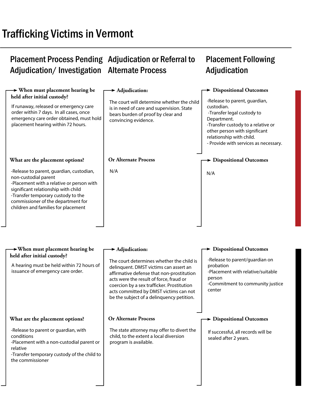# **Trafficking Victims in Vermont**

#### Placement Process Pending Adjudication or Referral to Adjudication/Investigation Alternate Process Placement Following Adjudication

| $\rightarrow$ When must placement hearing be<br>held after initial custody?<br>If runaway, released or emergency care<br>order within 7 days. In all cases, once<br>emergency care order obtained, must hold<br>placement hearing within 72 hours.                      | $\blacktriangleright$ Adjudication:<br>The court will determine whether the child<br>is in need of care and supervision. State<br>bears burden of proof by clear and<br>convincing evidence.                                                                                                                     | > Dispositional Outcomes<br>-Release to parent, guardian,<br>custodian.<br>-Transfer legal custody to<br>Department.<br>-Transfer custody to a relative or<br>other person with significant<br>relationship with child.<br>- Provide with services as necessary. |
|-------------------------------------------------------------------------------------------------------------------------------------------------------------------------------------------------------------------------------------------------------------------------|------------------------------------------------------------------------------------------------------------------------------------------------------------------------------------------------------------------------------------------------------------------------------------------------------------------|------------------------------------------------------------------------------------------------------------------------------------------------------------------------------------------------------------------------------------------------------------------|
| What are the placement options?                                                                                                                                                                                                                                         | <b>Or Alternate Process</b>                                                                                                                                                                                                                                                                                      | $\rightarrow$ Dispositional Outcomes                                                                                                                                                                                                                             |
| -Release to parent, guardian, custodian,<br>non-custodial parent<br>-Placement with a relative or person with<br>significant relationship with child<br>-Transfer temporary custody to the<br>commissioner of the department for<br>children and families for placement | N/A                                                                                                                                                                                                                                                                                                              | N/A                                                                                                                                                                                                                                                              |
| $\rightarrow$ When must placement hearing be                                                                                                                                                                                                                            | $\blacktriangleright$ Adjudication:                                                                                                                                                                                                                                                                              | > Dispositional Outcomes                                                                                                                                                                                                                                         |
| held after initial custody?<br>A hearing must be held within 72 hours of<br>issuance of emergency care order.                                                                                                                                                           | The court determines whether the child is<br>delinquent. DMST victims can assert an<br>affirmative defense that non-prostitution<br>acts were the result of force, fraud or<br>coercion by a sex trafficker. Prostitution<br>acts committed by DMST victims can not<br>be the subject of a delinquency petition. | -Release to parent/guardian on<br>probation<br>-Placement with relative/suitable<br>person<br>-Commitment to community justice<br>center                                                                                                                         |
| What are the placement options?                                                                                                                                                                                                                                         | <b>Or Alternate Process</b>                                                                                                                                                                                                                                                                                      | $\rightarrow$ Dispositional Outcomes                                                                                                                                                                                                                             |
| -Release to parent or guardian, with<br>conditions<br>-Placement with a non-custodial parent or<br>relative<br>-Transfer temporary custody of the child to<br>the commissioner                                                                                          | The state attorney may offer to divert the<br>child, to the extent a local diversion<br>program is available.                                                                                                                                                                                                    | If successful, all records will be<br>sealed after 2 years.                                                                                                                                                                                                      |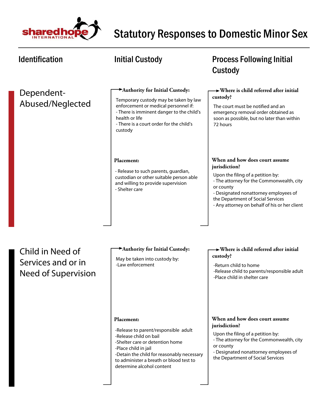

| <b>Identification</b>                                                | <b>Initial Custody</b>                                                                                                                                                                                                                                               | <b>Process Following Initial</b><br>Custody                                                                                                                                                                                                                                   |
|----------------------------------------------------------------------|----------------------------------------------------------------------------------------------------------------------------------------------------------------------------------------------------------------------------------------------------------------------|-------------------------------------------------------------------------------------------------------------------------------------------------------------------------------------------------------------------------------------------------------------------------------|
| Dependent-<br>Abused/Neglected                                       | Authority for Initial Custody:<br>Temporary custody may be taken by law<br>enforcement or medical personnel if:<br>- There is imminent danger to the child's<br>health or life<br>- There is a court order for the child's<br>custody                                | $\rightarrow$ Where is child referred after initial<br>custody?<br>The court must be notified and an<br>emergency removal order obtained as<br>soon as possible, but no later than within<br>72 hours                                                                         |
|                                                                      | Placement:<br>- Release to such parents, guardian,<br>custodian or other suitable person able<br>and willing to provide supervision<br>- Shelter care                                                                                                                | When and how does court assume<br>jurisdiction?<br>Upon the filing of a petition by:<br>- The attorney for the Commonwealth, city<br>or county<br>- Designated nonattorney employees of<br>the Department of Social Services<br>- Any attorney on behalf of his or her client |
| Child in Need of<br>Services and or in<br><b>Need of Supervision</b> | Authority for Initial Custody:<br>May be taken into custody by:<br>-Law enforcement                                                                                                                                                                                  | $\rightarrow$ Where is child referred after initial<br>custody?<br>-Return child to home<br>-Release child to parents/responsible adult<br>-Place child in shelter care                                                                                                       |
|                                                                      | <b>Placement:</b><br>-Release to parent/responsible adult<br>-Release child on bail<br>-Shelter care or detention home<br>-Place child in jail<br>-Detain the child for reasonably necessary<br>to administer a breath or blood test to<br>determine alcohol content | When and how does court assume<br>jurisdiction?<br>Upon the filing of a petition by:<br>- The attorney for the Commonwealth, city<br>or county<br>- Designated nonattorney employees of<br>the Department of Social Services                                                  |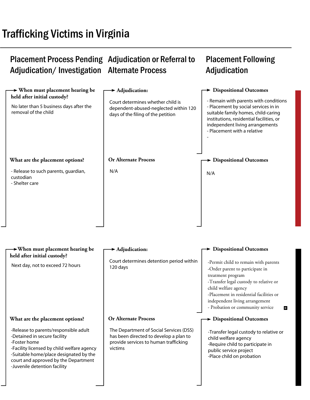# Trafficking Victims in Virginia

#### Placement Process Pending Adjudication or Referral to Adjudication/Investigation Alternate Process Placement Following Adjudication

| $\rightarrow$ When must placement hearing be<br>held after initial custody?                                                                                                                                                                           | $\blacktriangleright$ Adjudication:                                                                                                   | > Dispositional Outcomes                                                                                                                                                                                                                                                             |
|-------------------------------------------------------------------------------------------------------------------------------------------------------------------------------------------------------------------------------------------------------|---------------------------------------------------------------------------------------------------------------------------------------|--------------------------------------------------------------------------------------------------------------------------------------------------------------------------------------------------------------------------------------------------------------------------------------|
| No later than 5 business days after the<br>removal of the child                                                                                                                                                                                       | Court determines whether child is<br>dependent-abused-neglected within 120<br>days of the filing of the petition                      | - Remain with parents with conditions<br>- Placement by social services in in<br>suitable family homes, child-caring<br>institutions, residential facilities, or<br>independent living arrangements<br>- Placement with a relative                                                   |
| What are the placement options?                                                                                                                                                                                                                       | <b>Or Alternate Process</b>                                                                                                           | $\blacktriangleright$ Dispositional Outcomes                                                                                                                                                                                                                                         |
| - Release to such parents, guardian,<br>custodian<br>- Shelter care                                                                                                                                                                                   | N/A                                                                                                                                   | N/A                                                                                                                                                                                                                                                                                  |
|                                                                                                                                                                                                                                                       |                                                                                                                                       |                                                                                                                                                                                                                                                                                      |
| $\rightarrow$ When must placement hearing be<br>held after initial custody?                                                                                                                                                                           | $\blacktriangleright$ Adjudication:                                                                                                   | > Dispositional Outcomes                                                                                                                                                                                                                                                             |
| Next day, not to exceed 72 hours                                                                                                                                                                                                                      | Court determines detention period within<br>120 days                                                                                  | -Permit child to remain with parents<br>-Order parent to participate in<br>treatment program<br>-Transfer legal custody to relative or<br>child welfare agency<br>-Placement in residential facilities or<br>independent living arrangement<br>- Probation or community service<br>ы |
| What are the placement options?                                                                                                                                                                                                                       | <b>Or Alternate Process</b>                                                                                                           | $\rightarrow$ Dispositional Outcomes                                                                                                                                                                                                                                                 |
| -Release to parents/responsible adult<br>-Detained in secure facility<br>-Foster home<br>-Facility licensed by child welfare agency<br>-Suitable home/place designated by the<br>court and approved by the Department<br>-Juvenile detention facility | The Department of Social Services (DSS)<br>has been directed to develop a plan to<br>provide services to human trafficking<br>victims | -Transfer legal custody to relative or<br>child welfare agency<br>-Require child to participate in<br>public service project<br>-Place child on probation                                                                                                                            |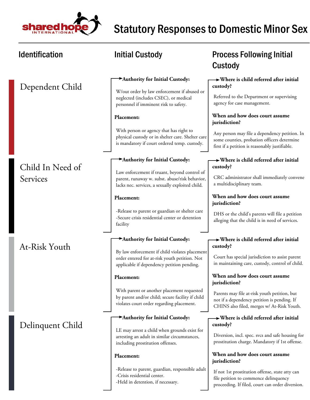

| <b>Identification</b> | <b>Initial Custody</b>                                                                                                                             | <b>Process Following Initial</b><br>Custody                                                                                                    |
|-----------------------|----------------------------------------------------------------------------------------------------------------------------------------------------|------------------------------------------------------------------------------------------------------------------------------------------------|
|                       | Authority for Initial Custody:                                                                                                                     | $\rightarrow$ Where is child referred after initial<br>custody?                                                                                |
| Dependent Child       | W/out order by law enforcement if abused or<br>neglected (includes CSEC), or medical<br>personnel if imminent risk to safety.                      | Referred to the Department or supervising<br>agency for case management.                                                                       |
|                       | Placement:                                                                                                                                         | When and how does court assume<br>jurisdiction?                                                                                                |
|                       | With person or agency that has right to<br>physical custody or in shelter care. Shelter care<br>is mandatory if court ordered temp. custody.       | Any person may file a dependency petition. In<br>some counties, probation officers determine<br>first if a petition is reasonably justifiable. |
| Child In Need of      | Authority for Initial Custody:                                                                                                                     | $\rightarrow$ Where is child referred after initial<br>custody?                                                                                |
| Services              | Law enforcement if truant, beyond control of<br>parent, runaway w. subst. abuse/risk behavior,<br>lacks nec. services, a sexually exploited child. | CRC administrator shall immediately convene<br>a multidisciplinary team.                                                                       |
|                       | Placement:                                                                                                                                         | When and how does court assume<br>jurisdiction?                                                                                                |
|                       | -Release to parent or guardian or shelter care<br>-Secure crisis residential center or detention<br>facility                                       | DHS or the child's parents will file a petition<br>alleging that the child is in need of services.                                             |
|                       | Authority for Initial Custody:                                                                                                                     | $\rightarrow$ Where is child referred after initial                                                                                            |
| At-Risk Youth         | By law enforcement if child violates placement<br>order entered for at-risk youth petition. Not<br>applicable if dependency petition pending.      | custody?<br>Court has special jurisdiction to assist parent<br>in maintaining care, custody, control of child.                                 |
|                       | Placement:                                                                                                                                         | When and how does court assume<br>jurisdiction?                                                                                                |
|                       | With parent or another placement requested<br>by parent and/or child; secure facility if child<br>violates court order regarding placement.        | Parents may file at-risk youth petition, but<br>not if a dependency petition is pending. If<br>CHINS also filed, merges w/ At-Risk Youth.      |
|                       | Authority for Initial Custody:                                                                                                                     | $\rightarrow$ Where is child referred after initial<br>custody?                                                                                |
| Delinquent Child      | LE may arrest a child when grounds exist for<br>arresting an adult in similar circumstances,<br>including prostitution offenses.                   | Diversion, incl. spec. svcs and safe housing for<br>prostitution charge. Mandatory if 1st offense.                                             |
|                       | Placement:                                                                                                                                         | When and how does court assume<br>jurisdiction?                                                                                                |
|                       | -Release to parent, guardian, responsible adult<br>-Crisis residential center.<br>-Held in detention, if necessary.                                | If not 1st prostitution offense, state atty can<br>file petition to commence delinquency<br>proceeding. If filed, court can order diversion.   |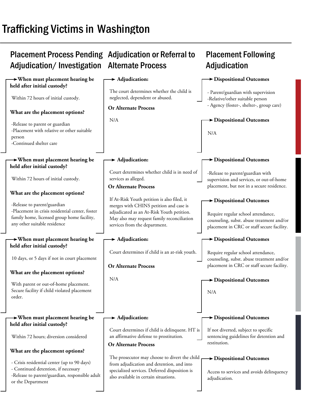# Trafficking Victims in Washington

#### Placement Process Pending Adjudication or Referral to Adjudication/Investigation Alternate Process Placement Following Adjudication

| $\rightarrow$ When must placement hearing be<br>held after initial custody?                                                   | $\blacktriangleright$ Adjudication:                                                                                                                                | Dispositional Outcomes                                                                                                        |
|-------------------------------------------------------------------------------------------------------------------------------|--------------------------------------------------------------------------------------------------------------------------------------------------------------------|-------------------------------------------------------------------------------------------------------------------------------|
| Within 72 hours of initial custody.                                                                                           | The court determines whether the child is<br>neglected, dependent or abused.                                                                                       | - Parent/guardian with supervision<br>-Relative/other suitable person                                                         |
| What are the placement options?                                                                                               | <b>Or Alternate Process</b>                                                                                                                                        | - Agency (foster-, shelter-, group care)                                                                                      |
| -Release to parent or guardian<br>-Placement with relative or other suitable<br>person<br>-Continued shelter care             | N/A                                                                                                                                                                | Dispositional Outcomes<br>N/A                                                                                                 |
| $\rightarrow$ When must placement hearing be<br>held after initial custody?                                                   | $\blacktriangleright$ Adjudication:                                                                                                                                | > Dispositional Outcomes                                                                                                      |
| Within 72 hours of initial custody.                                                                                           | Court determines whether child is in need of<br>services as alleged.<br><b>Or Alternate Process</b>                                                                | -Release to parent/guardian with<br>supervision and services, or out-of-home<br>placement, but not in a secure residence.     |
| What are the placement options?<br>-Release to parent/guardian                                                                | If At-Risk Youth petition is also filed, it                                                                                                                        | > Dispositional Outcomes                                                                                                      |
| -Placement in crisis residential center, foster<br>family home, licensed group home facility,<br>any other suitable residence | merges with CHINS petition and case is<br>adjudicated as an At-Risk Youth petition.<br>May also may request family reconciliation<br>services from the department. | Require regular school attendance,<br>counseling, subst. abuse treatment and/or<br>placement in CRC or staff secure facility. |
| $\rightarrow$ When must placement hearing be<br>held after initial custody?                                                   | $\rightarrow$ Adjudication:                                                                                                                                        | Dispositional Outcomes                                                                                                        |
| 10 days, or 5 days if not in court placement                                                                                  | Court determines if child is an at-risk youth.                                                                                                                     | Require regular school attendance,<br>counseling, subst. abuse treatment and/or                                               |
| What are the placement options?                                                                                               | <b>Or Alternate Process</b>                                                                                                                                        | placement in CRC or staff secure facility.                                                                                    |
| With parent or out-of-home placement.<br>Secure facility if child violated placement<br>order.                                | N/A                                                                                                                                                                | > Dispositional Outcomes<br>N/A                                                                                               |
| $\rightarrow$ When must placement hearing be<br>held after initial custody?                                                   | $\blacktriangleright$ Adjudication:                                                                                                                                | Dispositional Outcomes                                                                                                        |
| Within 72 hours; diversion considered                                                                                         | Court determines if child is delinquent. HT is<br>an affirmative defense to prostitution.                                                                          | If not diverted, subject to specific<br>sentencing guidelines for detention and<br>restitution.                               |
|                                                                                                                               | <b>Or Alternate Process</b>                                                                                                                                        |                                                                                                                               |
| What are the placement options?                                                                                               | The prosecutor may choose to divert the child                                                                                                                      | $\rightarrow$ Dispositional Outcomes                                                                                          |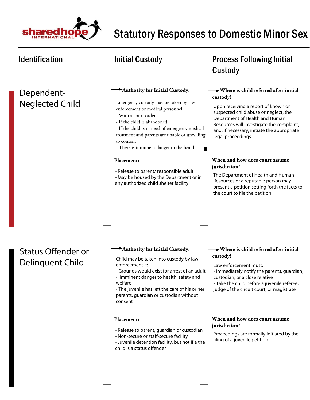

H

### Dependent-Neglected Child

### **Authority for Initial Custody:**

Emergency custody may be taken by law enforcement or medical personnel:

- With a court order
- If the child is abandoned
- If the child is in need of emergency medical treatment and parents are unable or unwilling to consent

- There is imminent danger to the health,

### **Placement:**

- Release to parent/ responsible adult - May be housed by the Department or in
- any authorized child shelter facility

## Identification **Matube initial Custody CONGITY** Process Following Initial Custody

### **Where is child referred after initial custody?**

Upon receiving a report of known or suspected child abuse or neglect, the Department of Health and Human Resources will investigate the complaint, and, if necessary, initiate the appropriate legal proceedings

### **When and how does court assume jurisdiction?**

The Department of Health and Human Resources or a reputable person may present a petition setting forth the facts to the court to file the petition

## Status Offender or Delinquent Child

### **Authority for Initial Custody:**

Child may be taken into custody by law enforcement if:

- Grounds would exist for arrest of an adult - Imminent danger to health, safety and
- welfare

- The juvenile has left the care of his or her parents, guardian or custodian without consent

### **Placement:**

- Release to parent, guardian or custodian
- Non-secure or staff-secure facility
- Juvenile detention facility, but not if a the

### child is a status offender

### **Where is child referred after initial custody?**

Law enforcement must:

- Immediately notify the parents, guardian, custodian, or a close relative
- Take the child before a juvenile referee, judge of the circuit court, or magistrate

### **When and how does court assume jurisdiction?**

Proceedings are formally initiated by the filing of a juvenile petition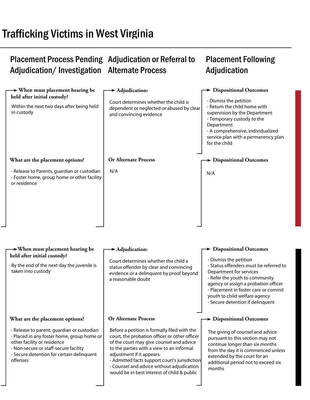# Trafficking Victims in West Virginia

#### Placement Process Pending Adjudication or Referral to Adjudication/Investigation Alternate Process Placement Following Adjudication

| $\rightarrow$ When must placement hearing be<br>held after initial custody?<br>Within the next two days after being held<br>in custody                                                                                    | $\blacktriangleright$ Adjudication:<br>Court determines whether the child is<br>dependent or neglected or abused by clear<br>and convincing evidence                                                                                                                                                                                                             | $\rightarrow$ Dispositional Outcomes<br>- Dismiss the petition<br>- Return the child home with<br>supervision by the Department<br>- Temporary custody to the<br>Department<br>- A comprehensive, individualized<br>service plan with a permanency plan<br>for the child           |
|---------------------------------------------------------------------------------------------------------------------------------------------------------------------------------------------------------------------------|------------------------------------------------------------------------------------------------------------------------------------------------------------------------------------------------------------------------------------------------------------------------------------------------------------------------------------------------------------------|------------------------------------------------------------------------------------------------------------------------------------------------------------------------------------------------------------------------------------------------------------------------------------|
| What are the placement options?                                                                                                                                                                                           | <b>Or Alternate Process</b>                                                                                                                                                                                                                                                                                                                                      | $\rightarrow$ Dispositional Outcomes                                                                                                                                                                                                                                               |
| - Release to Parents, guardian or custodian<br>- Foster home, group home or other facility<br>or residence                                                                                                                | N/A                                                                                                                                                                                                                                                                                                                                                              | N/A                                                                                                                                                                                                                                                                                |
| When must placement hearing be                                                                                                                                                                                            | $\blacktriangleright$ Adjudication:                                                                                                                                                                                                                                                                                                                              | $\blacktriangleright$ Dispositional Outcomes                                                                                                                                                                                                                                       |
| held after initial custody?<br>By the end of the next day the juvenile is<br>taken into custody                                                                                                                           | Court determines whether the child a<br>status offender by clear and convincing<br>evidence or a delinquent by proof beyond<br>a reasonable doubt                                                                                                                                                                                                                | - Dismiss the petition<br>- Status offenders must be referred to<br>Department for services<br>- Refer the youth to community<br>agency or assign a probation officer<br>- Placement in foster care or commit<br>youth to child welfare agency<br>- Secure detention if delinquent |
| What are the placement options?                                                                                                                                                                                           | <b>Or Alternate Process</b>                                                                                                                                                                                                                                                                                                                                      | $\rightarrow$ Dispositional Outcomes                                                                                                                                                                                                                                               |
| - Release to parent, guardian or custodian<br>- Placed in any foster home, group home or<br>other facility or residence<br>- Non-secure or staff-secure facility<br>- Secure detention for certain delinquent<br>offenses | Before a petition is formally filed with the<br>court, the probation officer or other officer<br>of the court may give counsel and advice<br>to the parties with a view to an informal<br>adjustment if it appears:<br>- Admitted facts support court's jurisdiction<br>- Counsel and advice without adjudication<br>would be in best interest of child & public | The giving of counsel and advice<br>pursuant to this section may not<br>continue longer than six months<br>from the day it is commenced unless<br>extended by the court for an<br>additional period not to exceed six<br>months                                                    |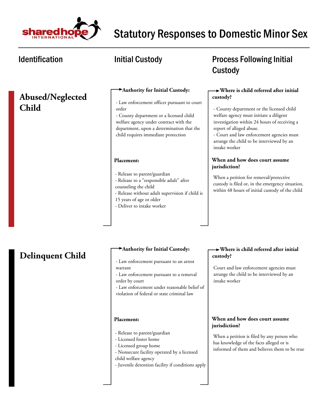

### **Abused/Neglected Child**

### **Authority for Initial Custody:**

- Law enforcement officer pursuant to court order

- County department or a licensed child welfare agency under contract with the department, upon a determination that the child requires immediate protection

### **Placement:**

- Release to parent/guardian
- Release to a "responsible adult" after counseling the child
- Release without adult supervision if child is
- 15 years of age or older
- Deliver to intake worker

### **Delinquent Child**

### **Authority for Initial Custody:**

- Law enforcement pursuant to an arrest warrant
- Law enforcement pursuant to a removal order by court
- Law enforcement under reasonable belief of violation of federal or state criminal law

### **Placement:**

- Release to parent/guardian
- Licensed foster home
- Licensed group home
- Nonsecure facility operated by a licensed
- child welfare agency
- Juvenile detention facility if conditions apply

### Identification **Matube 10 Mullet 10 Mullet 10 Mullet 10 Mullet 10 Mullet 10 Mullet 10 Mullet 10 Mullet 10 Mullet 10 Mullet 10 Mullet 10 Mullet 10 Mullet 10 Mullet 10 Mullet 10 Mullet 10 Mullet 10 Mullet 10 Mullet 10 Mullet** Custody

### **Where is child referred after initial custody?**

- County department or the licensed child welfare agency must initiate a diligent investigation within 24 hours of receiving a report of alleged abuse.

- Court and law enforcement agencies must arrange the child to be interviewed by an intake worker

### **When and how does court assume jurisdiction?**

When a petition for removal/protective custody is filed or, in the emergency situation, within 48 hours of initial custody of the child

### **Where is child referred after initial custody?**

Court and law enforcement agencies must arrange the child to be interviewed by an intake worker

### **When and how does court assume jurisdiction?**

When a petition is filed by any person who has knowledge of the facts alleged or is informed of them and believes them to be true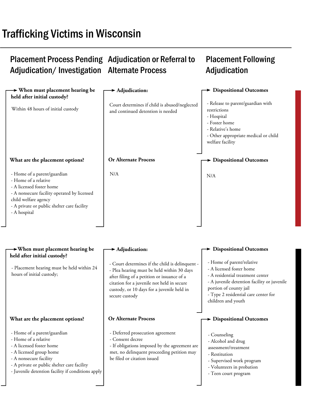# Trafficking Victims in Wisconsin

#### Placement Process Pending Adjudication or Referral to Adjudication/Investigation Alternate Process Placement Following Adjudication

| $\rightarrow$ When must placement hearing be<br>held after initial custody?                                                                                                                                           | $\blacktriangleright$ Adjudication:                                                                                                                                                                                                                        | > Dispositional Outcomes                                                                                                                                                                                                         |
|-----------------------------------------------------------------------------------------------------------------------------------------------------------------------------------------------------------------------|------------------------------------------------------------------------------------------------------------------------------------------------------------------------------------------------------------------------------------------------------------|----------------------------------------------------------------------------------------------------------------------------------------------------------------------------------------------------------------------------------|
| Within 48 hours of initial custody                                                                                                                                                                                    | Court determines if child is abused/neglected<br>and continued detention is needed                                                                                                                                                                         | - Release to parent/guardian with<br>restrictions<br>- Hospital<br>- Foster home<br>- Relative's home<br>- Other appropriate medical or child<br>welfare facility                                                                |
| What are the placement options?                                                                                                                                                                                       | <b>Or Alternate Process</b>                                                                                                                                                                                                                                | <b>&gt; Dispositional Outcomes</b>                                                                                                                                                                                               |
| - Home of a parent/guardian<br>- Home of a relative<br>- A licensed foster home<br>- A nonsecure facility operated by licensed<br>child welfare agency<br>- A private or public shelter care facility<br>- A hospital | N/A                                                                                                                                                                                                                                                        | N/A                                                                                                                                                                                                                              |
|                                                                                                                                                                                                                       |                                                                                                                                                                                                                                                            |                                                                                                                                                                                                                                  |
| $\rightarrow$ When must placement hearing be<br>held after initial custody?                                                                                                                                           | $\blacktriangleright$ Adjudication:                                                                                                                                                                                                                        | <b>Dispositional Outcomes</b>                                                                                                                                                                                                    |
| - Placement hearing must be held within 24<br>hours of initial custody;                                                                                                                                               | - Court determines if the child is delinquent -<br>- Plea hearing must be held within 30 days<br>after filing of a petition or issuance of a<br>citation for a juvenile not held in secure<br>custody, or 10 days for a juvenile held in<br>secure custody | - Home of parent/relative<br>- A licensed foster home<br>- A residential treatment center<br>- A juvenile detention facility or juvenile<br>portion of county jail<br>- Type 2 residential care center for<br>children and youth |
| What are the placement options?                                                                                                                                                                                       | <b>Or Alternate Process</b>                                                                                                                                                                                                                                | $\rightarrow$ Dispositional Outcomes                                                                                                                                                                                             |
| - Home of a parent/guardian<br>- Home of a relative<br>- A licensed foster home<br>- A licensed group home<br>- A nonsecure facility                                                                                  | - Deferred prosecution agreement<br>- Consent decree<br>- If obligations imposed by the agreement are<br>met, no delinquent proceeding petition may<br>be filed or citation issued                                                                         | - Counseling<br>- Alcohol and drug<br>assessment/treatment<br>- Restitution<br>- Supervised work program                                                                                                                         |

- A private or public shelter care facility
- Juvenile detention facility if conditions apply

- Teen court program

- Volunteers in probation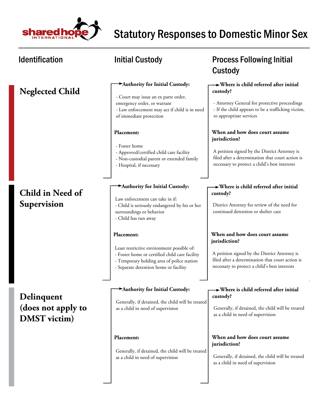

| <b>Identification</b>                                   | <b>Initial Custody</b>                                                                                                                                                                            | <b>Process Following Initial</b><br>Custody                                                                                                                                                           |
|---------------------------------------------------------|---------------------------------------------------------------------------------------------------------------------------------------------------------------------------------------------------|-------------------------------------------------------------------------------------------------------------------------------------------------------------------------------------------------------|
| <b>Neglected Child</b>                                  | Authority for Initial Custody:<br>- Court may issue an ex parte order,<br>emergency order, or warrant<br>- Law enforcement may act if child is in need<br>of immediate protection                 | $\rightarrow$ Where is child referred after initial<br>custody?<br>- Attorney General for protective proceedings<br>- If the child appears to be a trafficking victim,<br>to appropriate services     |
|                                                         | Placement:<br>- Foster home<br>- Approved/certified child care facility<br>- Non-custodial parent or extended family<br>- Hospital, if necessary                                                  | When and how does court assume<br>jurisdiction?<br>A petition signed by the District Attorney is<br>filed after a determination that court action is<br>necessary to protect a child's best interests |
| Child in Need of<br>Supervision                         | Authority for Initial Custody:<br>Law enforcement can take in if:<br>- Child is seriously endangered by his or her<br>surroundings or behavior<br>- Child has run away                            | $\rightarrow$ Where is child referred after initial<br>custody?<br>District Attorney for review of the need for<br>continued detention or shelter care                                                |
|                                                         | Placement:<br>Least restrictive environment possible of:<br>- Foster home or certified child care facility<br>- Temporary holding area of police station<br>- Separate detention home or facility | When and how does court assume<br>jurisdiction?<br>A petition signed by the District Attorney is<br>filed after a determination that court action is<br>necessary to protect a child's best interests |
| Delinquent<br>(does not apply to<br><b>DMST</b> victim) | Authority for Initial Custody:<br>Generally, if detained, the child will be treated<br>as a child in need of supervision                                                                          | $\rightarrow$ Where is child referred after initial<br>custody?<br>Generally, if detained, the child will be treated<br>as a child in need of supervision                                             |
|                                                         | Placement:<br>Generally, if detained, the child will be treated<br>as a child in need of supervision                                                                                              | When and how does court assume<br>jurisdiction?<br>Generally, if detained, the child will be treated<br>as a child in need of supervision                                                             |